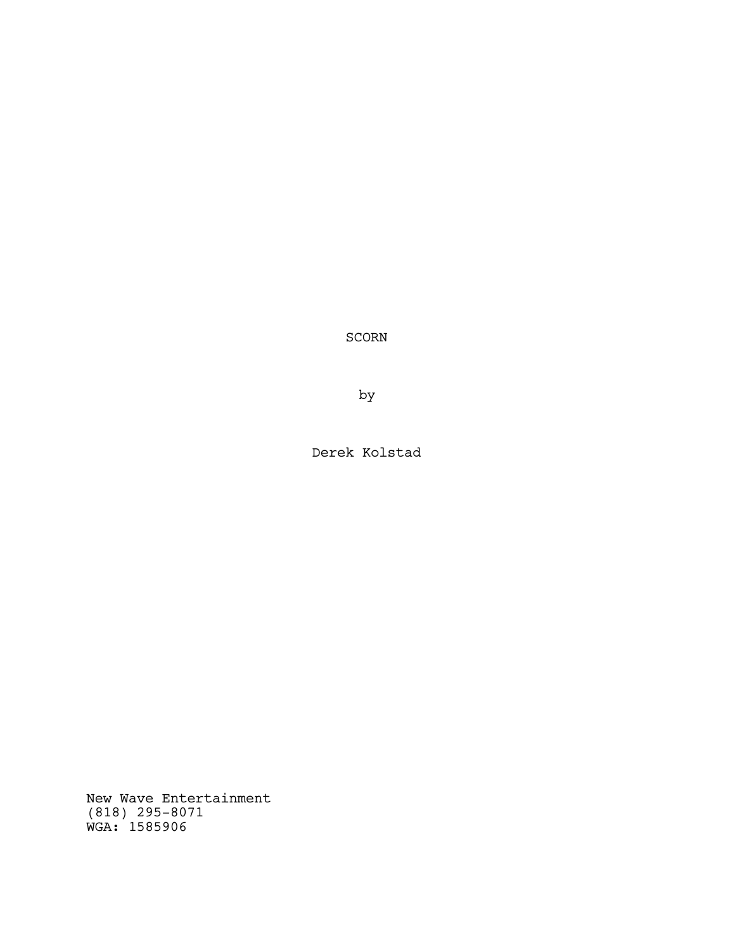SCORN

by

Derek Kolstad

New Wave Entertainment (818) 295-8071 WGA: 1585906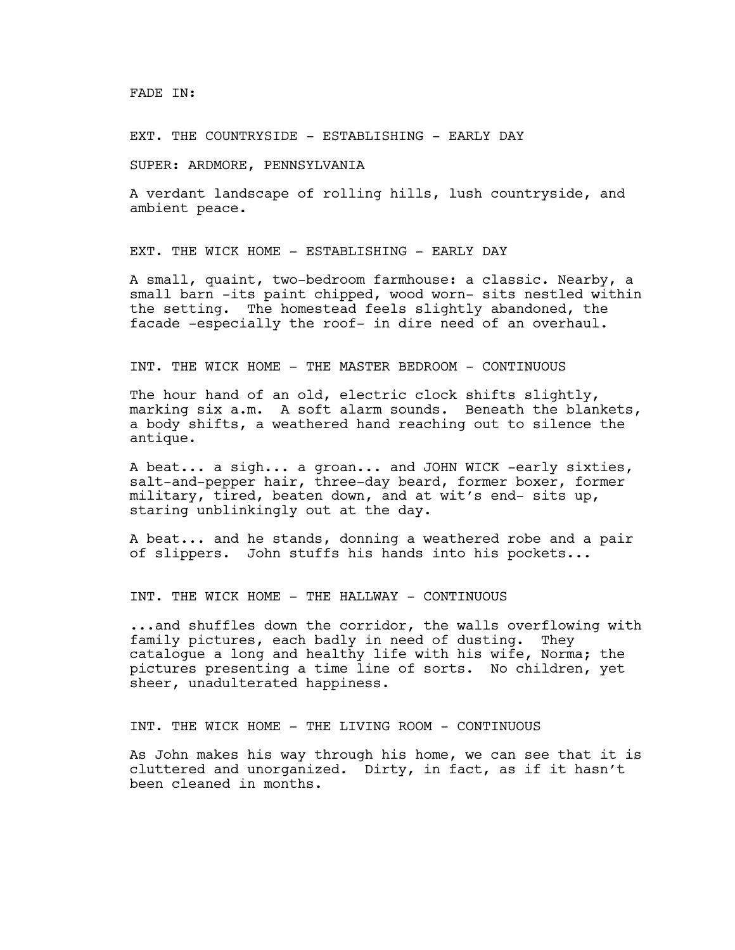FADE IN:

EXT. THE COUNTRYSIDE - ESTABLISHING - EARLY DAY

SUPER: ARDMORE, PENNSYLVANIA

A verdant landscape of rolling hills, lush countryside, and ambient peace.

EXT. THE WICK HOME - ESTABLISHING - EARLY DAY

A small, quaint, two-bedroom farmhouse: a classic. Nearby, a small barn -its paint chipped, wood worn- sits nestled within the setting. The homestead feels slightly abandoned, the facade -especially the roof- in dire need of an overhaul.

# INT. THE WICK HOME - THE MASTER BEDROOM - CONTINUOUS

The hour hand of an old, electric clock shifts slightly, marking six a.m. A soft alarm sounds. Beneath the blankets, a body shifts, a weathered hand reaching out to silence the antique.

A beat... a sigh... a groan... and JOHN WICK -early sixties, salt-and-pepper hair, three-day beard, former boxer, former military, tired, beaten down, and at wit's end- sits up, staring unblinkingly out at the day.

A beat... and he stands, donning a weathered robe and a pair of slippers. John stuffs his hands into his pockets...

INT. THE WICK HOME - THE HALLWAY - CONTINUOUS

...and shuffles down the corridor, the walls overflowing with family pictures, each badly in need of dusting. They catalogue a long and healthy life with his wife, Norma; the pictures presenting a time line of sorts. No children, yet sheer, unadulterated happiness.

INT. THE WICK HOME - THE LIVING ROOM - CONTINUOUS

As John makes his way through his home, we can see that it is cluttered and unorganized. Dirty, in fact, as if it hasn't been cleaned in months.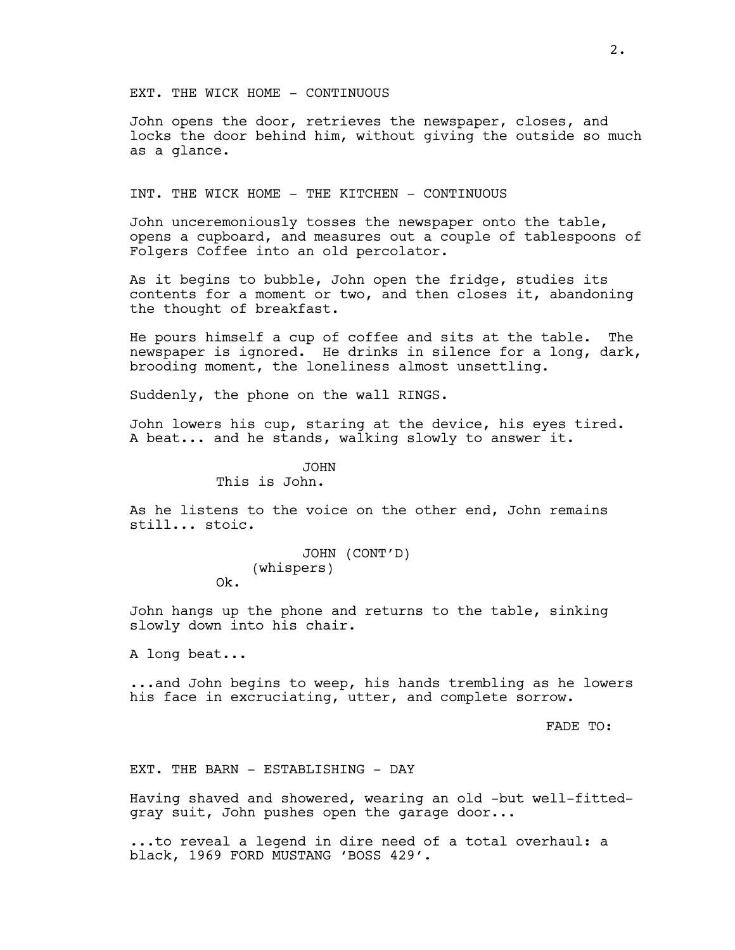EXT. THE WICK HOME - CONTINUOUS

John opens the door, retrieves the newspaper, closes, and locks the door behind him, without giving the outside so much as a glance.

INT. THE WICK HOME - THE KITCHEN - CONTINUOUS

John unceremoniously tosses the newspaper onto the table, opens a cupboard, and measures out a couple of tablespoons of Folgers Coffee into an old percolator.

As it begins to bubble, John open the fridge, studies its contents for a moment or two, and then closes it, abandoning the thought of breakfast.

He pours himself a cup of coffee and sits at the table. The newspaper is ignored. He drinks in silence for a long, dark, brooding moment, the loneliness almost unsettling.

Suddenly, the phone on the wall RINGS.

John lowers his cup, staring at the device, his eyes tired. A beat... and he stands, walking slowly to answer it.

> JOHN This is John.

As he listens to the voice on the other end, John remains still... stoic.

> JOHN (CONT'D) (whispers) Ok.

John hangs up the phone and returns to the table, sinking slowly down into his chair.

A long beat...

...and John begins to weep, his hands trembling as he lowers his face in excruciating, utter, and complete sorrow.

FADE TO:

EXT. THE BARN - ESTABLISHING - DAY

Having shaved and showered, wearing an old -but well-fittedgray suit, John pushes open the garage door...

...to reveal a legend in dire need of a total overhaul: a black, 1969 FORD MUSTANG 'BOSS 429'.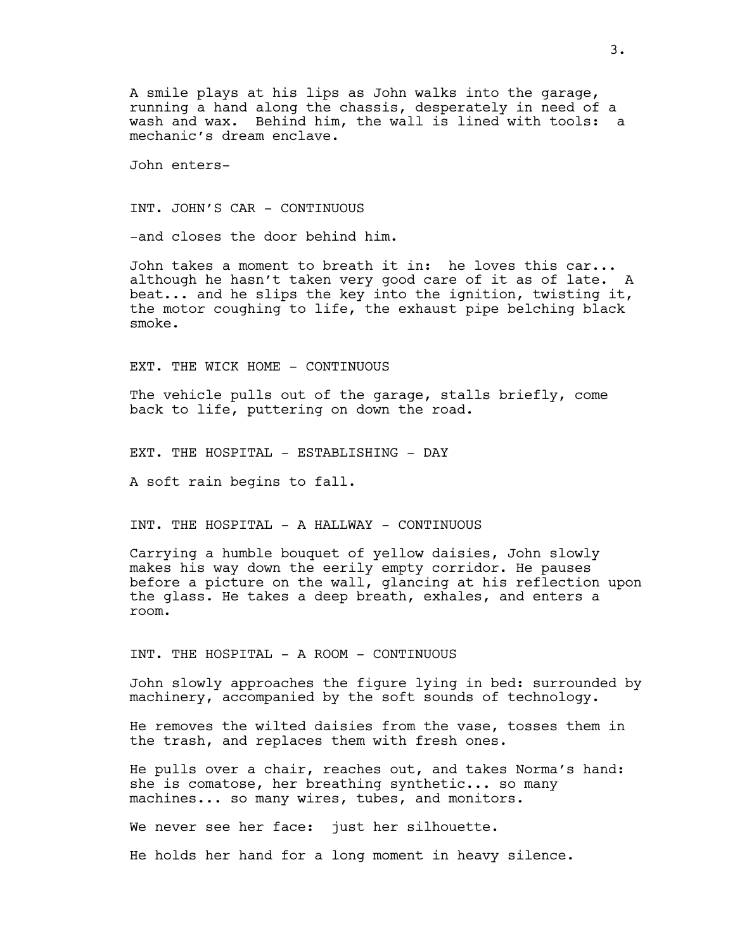A smile plays at his lips as John walks into the garage, running a hand along the chassis, desperately in need of a wash and wax. Behind him, the wall is lined with tools: a mechanic's dream enclave.

John enters-

INT. JOHN'S CAR - CONTINUOUS

-and closes the door behind him.

John takes a moment to breath it in: he loves this car... although he hasn't taken very good care of it as of late. A beat... and he slips the key into the ignition, twisting it, the motor coughing to life, the exhaust pipe belching black smoke.

EXT. THE WICK HOME - CONTINUOUS

The vehicle pulls out of the garage, stalls briefly, come back to life, puttering on down the road.

EXT. THE HOSPITAL - ESTABLISHING - DAY

A soft rain begins to fall.

INT. THE HOSPITAL - A HALLWAY - CONTINUOUS

Carrying a humble bouquet of yellow daisies, John slowly makes his way down the eerily empty corridor. He pauses before a picture on the wall, glancing at his reflection upon the glass. He takes a deep breath, exhales, and enters a room.

INT. THE HOSPITAL - A ROOM - CONTINUOUS

John slowly approaches the figure lying in bed: surrounded by machinery, accompanied by the soft sounds of technology.

He removes the wilted daisies from the vase, tosses them in the trash, and replaces them with fresh ones.

He pulls over a chair, reaches out, and takes Norma's hand: she is comatose, her breathing synthetic... so many machines... so many wires, tubes, and monitors.

We never see her face: just her silhouette.

He holds her hand for a long moment in heavy silence.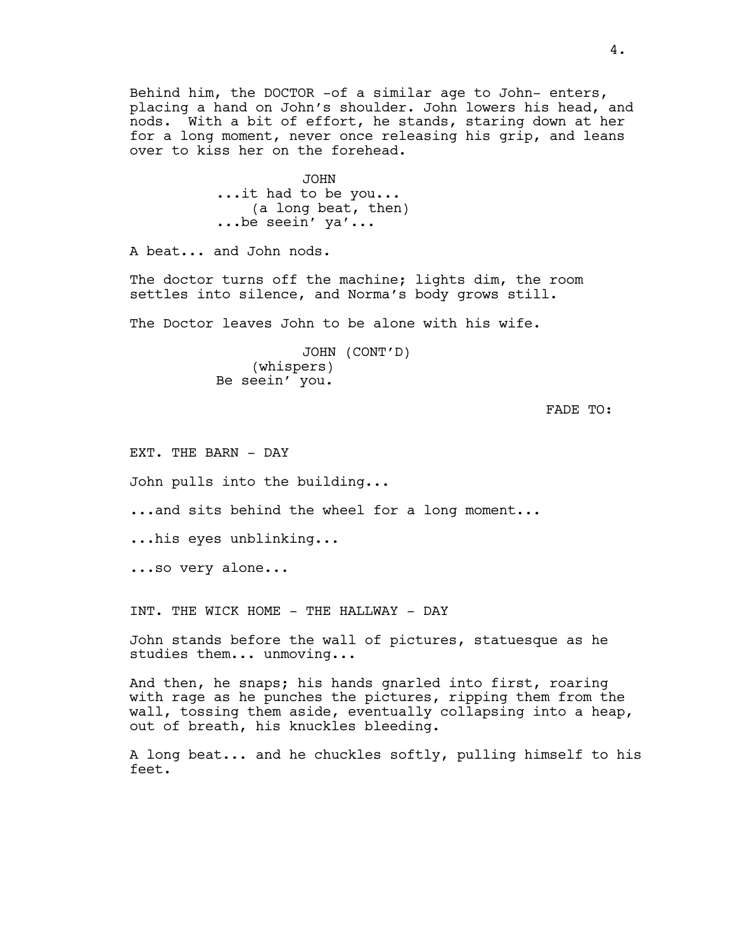Behind him, the DOCTOR -of a similar age to John- enters, placing a hand on John's shoulder. John lowers his head, and nods. With a bit of effort, he stands, staring down at her for a long moment, never once releasing his grip, and leans over to kiss her on the forehead.

> JOHN ...it had to be you... (a long beat, then) ...be seein' ya'...

A beat... and John nods.

The doctor turns off the machine; lights dim, the room settles into silence, and Norma's body grows still.

The Doctor leaves John to be alone with his wife.

JOHN (CONT'D) (whispers) Be seein' you.

FADE TO:

EXT. THE BARN - DAY

John pulls into the building...

...and sits behind the wheel for a long moment...

...his eyes unblinking...

...so very alone...

INT. THE WICK HOME - THE HALLWAY - DAY

John stands before the wall of pictures, statuesque as he studies them... unmoving...

And then, he snaps; his hands gnarled into first, roaring with rage as he punches the pictures, ripping them from the wall, tossing them aside, eventually collapsing into a heap, out of breath, his knuckles bleeding.

A long beat... and he chuckles softly, pulling himself to his feet.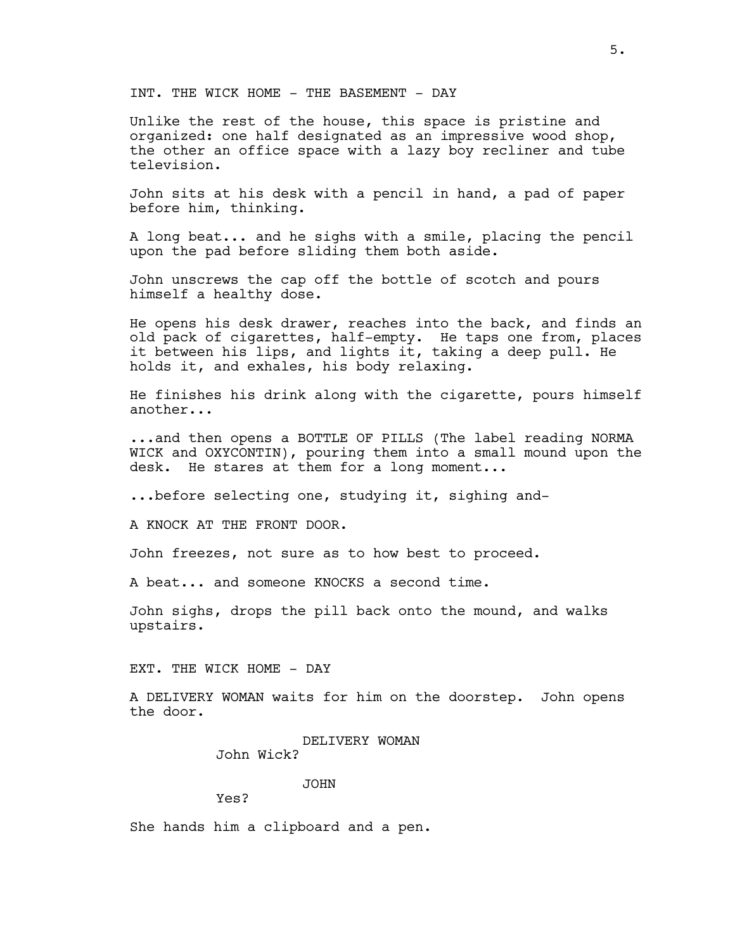INT. THE WICK HOME - THE BASEMENT - DAY

Unlike the rest of the house, this space is pristine and organized: one half designated as an impressive wood shop, the other an office space with a lazy boy recliner and tube television.

John sits at his desk with a pencil in hand, a pad of paper before him, thinking.

A long beat... and he sighs with a smile, placing the pencil upon the pad before sliding them both aside.

John unscrews the cap off the bottle of scotch and pours himself a healthy dose.

He opens his desk drawer, reaches into the back, and finds an old pack of cigarettes, half-empty. He taps one from, places it between his lips, and lights it, taking a deep pull. He holds it, and exhales, his body relaxing.

He finishes his drink along with the cigarette, pours himself another...

...and then opens a BOTTLE OF PILLS (The label reading NORMA WICK and OXYCONTIN), pouring them into a small mound upon the desk. He stares at them for a long moment...

...before selecting one, studying it, sighing and-

A KNOCK AT THE FRONT DOOR.

John freezes, not sure as to how best to proceed.

A beat... and someone KNOCKS a second time.

John sighs, drops the pill back onto the mound, and walks upstairs.

EXT. THE WICK HOME - DAY

A DELIVERY WOMAN waits for him on the doorstep. John opens the door.

> DELIVERY WOMAN John Wick?

> > JOHN

Yes?

She hands him a clipboard and a pen.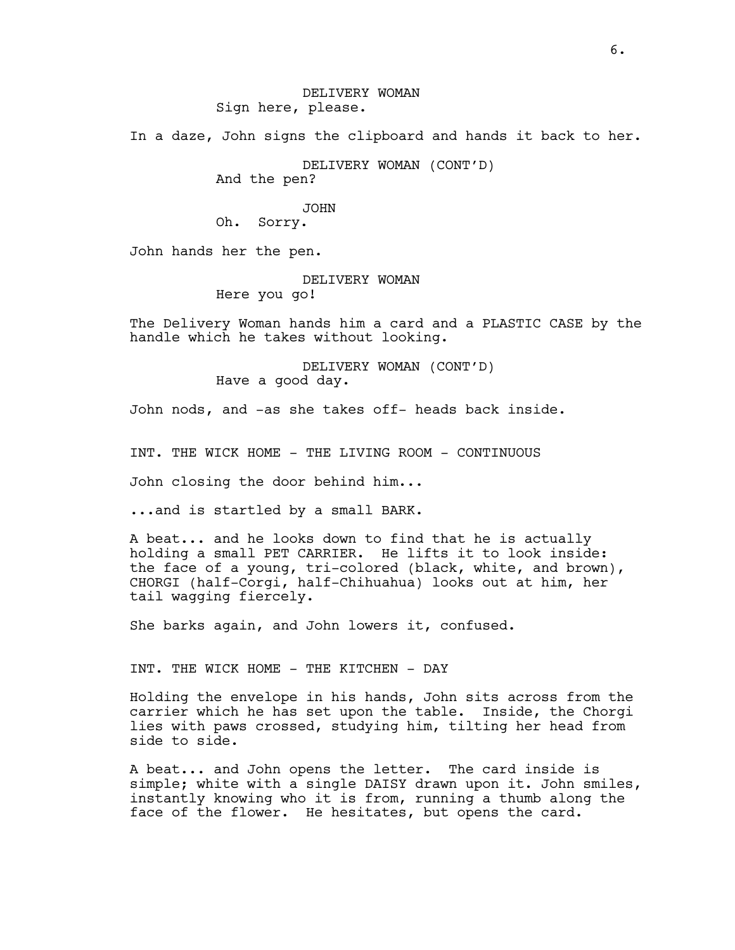In a daze, John signs the clipboard and hands it back to her.

DELIVERY WOMAN (CONT'D)

And the pen?

## JOHN

Oh. Sorry.

John hands her the pen.

DELIVERY WOMAN Here you go!

The Delivery Woman hands him a card and a PLASTIC CASE by the handle which he takes without looking.

> DELIVERY WOMAN (CONT'D) Have a good day.

John nods, and -as she takes off- heads back inside.

INT. THE WICK HOME - THE LIVING ROOM - CONTINUOUS

John closing the door behind him...

...and is startled by a small BARK.

A beat... and he looks down to find that he is actually holding a small PET CARRIER. He lifts it to look inside: the face of a young, tri-colored (black, white, and brown), CHORGI (half-Corgi, half-Chihuahua) looks out at him, her tail wagging fiercely.

She barks again, and John lowers it, confused.

INT. THE WICK HOME - THE KITCHEN - DAY

Holding the envelope in his hands, John sits across from the carrier which he has set upon the table. Inside, the Chorgi lies with paws crossed, studying him, tilting her head from side to side.

A beat... and John opens the letter. The card inside is simple; white with a single DAISY drawn upon it. John smiles, instantly knowing who it is from, running a thumb along the face of the flower. He hesitates, but opens the card.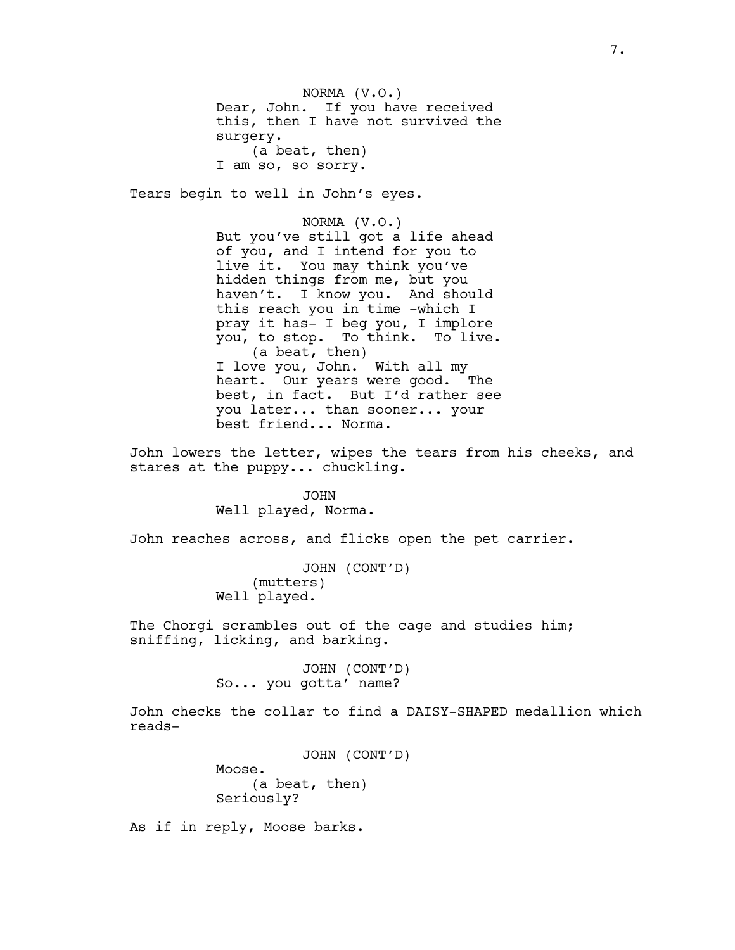NORMA (V.O.) Dear, John. If you have received this, then I have not survived the surgery. (a beat, then) I am so, so sorry.

Tears begin to well in John's eyes.

NORMA (V.O.) But you've still got a life ahead of you, and I intend for you to live it. You may think you've hidden things from me, but you haven't. I know you. And should this reach you in time -which I pray it has- I beg you, I implore you, to stop. To think. To live. (a beat, then) I love you, John. With all my heart. Our years were good. The best, in fact. But I'd rather see you later... than sooner... your best friend... Norma.

John lowers the letter, wipes the tears from his cheeks, and stares at the puppy... chuckling.

> JOHN Well played, Norma.

John reaches across, and flicks open the pet carrier.

JOHN (CONT'D) (mutters) Well played.

The Chorgi scrambles out of the cage and studies him; sniffing, licking, and barking.

> JOHN (CONT'D) So... you gotta' name?

John checks the collar to find a DAISY-SHAPED medallion which reads-

> JOHN (CONT'D) Moose. (a beat, then) Seriously?

As if in reply, Moose barks.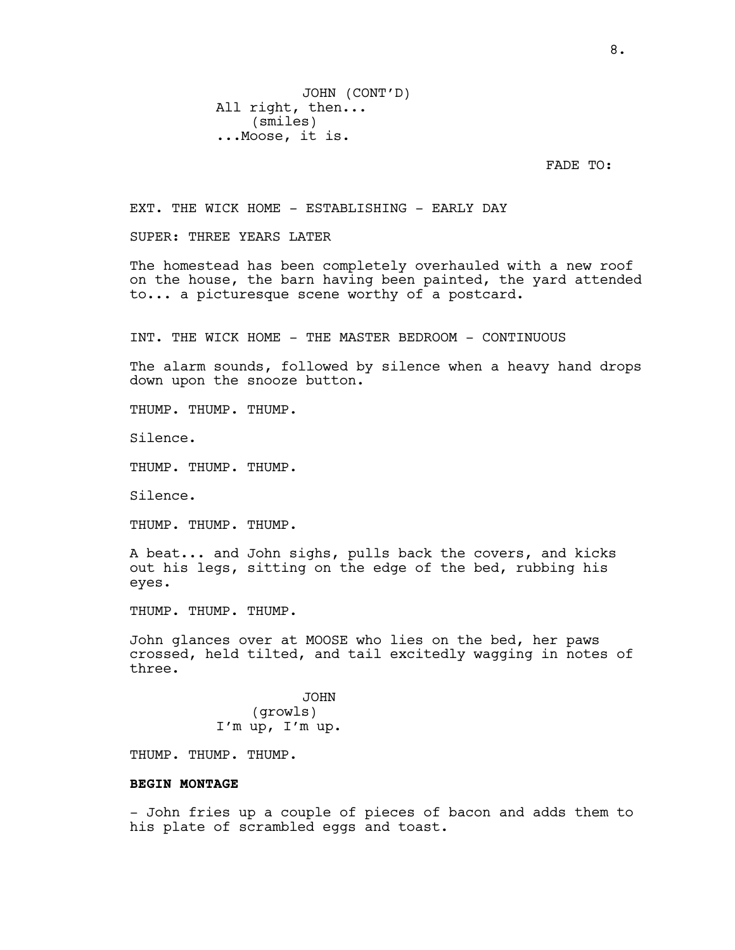FADE TO:

EXT. THE WICK HOME - ESTABLISHING - EARLY DAY

SUPER: THREE YEARS LATER

The homestead has been completely overhauled with a new roof on the house, the barn having been painted, the yard attended to... a picturesque scene worthy of a postcard.

INT. THE WICK HOME - THE MASTER BEDROOM - CONTINUOUS

The alarm sounds, followed by silence when a heavy hand drops down upon the snooze button.

THUMP. THUMP. THUMP.

Silence.

THUMP. THUMP. THUMP.

Silence.

THUMP. THUMP. THUMP.

A beat... and John sighs, pulls back the covers, and kicks out his legs, sitting on the edge of the bed, rubbing his eyes.

THUMP. THUMP. THUMP.

John glances over at MOOSE who lies on the bed, her paws crossed, held tilted, and tail excitedly wagging in notes of three.

> JOHN (growls) I'm up, I'm up.

THUMP. THUMP. THUMP.

## **BEGIN MONTAGE**

- John fries up a couple of pieces of bacon and adds them to his plate of scrambled eggs and toast.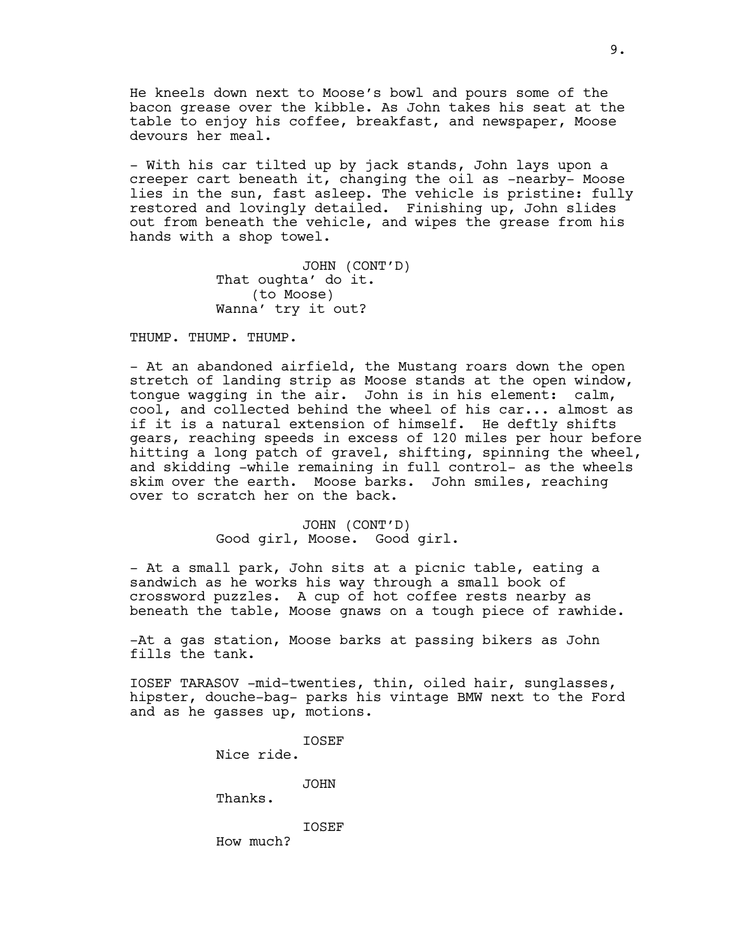He kneels down next to Moose's bowl and pours some of the bacon grease over the kibble. As John takes his seat at the table to enjoy his coffee, breakfast, and newspaper, Moose devours her meal.

- With his car tilted up by jack stands, John lays upon a creeper cart beneath it, changing the oil as -nearby- Moose lies in the sun, fast asleep. The vehicle is pristine: fully restored and lovingly detailed. Finishing up, John slides out from beneath the vehicle, and wipes the grease from his hands with a shop towel.

> JOHN (CONT'D) That oughta' do it. (to Moose) Wanna' try it out?

THUMP. THUMP. THUMP.

- At an abandoned airfield, the Mustang roars down the open stretch of landing strip as Moose stands at the open window, tongue wagging in the air. John is in his element: calm, cool, and collected behind the wheel of his car... almost as if it is a natural extension of himself. He deftly shifts gears, reaching speeds in excess of 120 miles per hour before hitting a long patch of gravel, shifting, spinning the wheel, and skidding -while remaining in full control- as the wheels skim over the earth. Moose barks. John smiles, reaching over to scratch her on the back.

> JOHN (CONT'D) Good girl, Moose. Good girl.

- At a small park, John sits at a picnic table, eating a sandwich as he works his way through a small book of crossword puzzles. A cup of hot coffee rests nearby as beneath the table, Moose gnaws on a tough piece of rawhide.

-At a gas station, Moose barks at passing bikers as John fills the tank.

IOSEF TARASOV -mid-twenties, thin, oiled hair, sunglasses, hipster, douche-bag- parks his vintage BMW next to the Ford and as he gasses up, motions.

> IOSEF Nice ride. JOHN Thanks. IOSEF How much?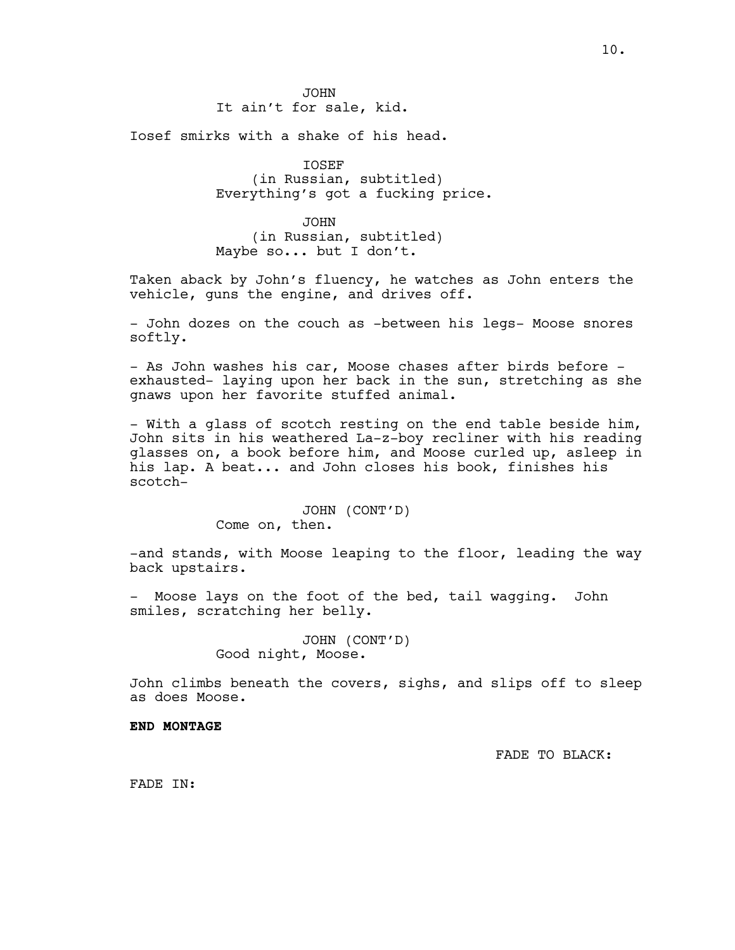10.

JOHN It ain't for sale, kid.

Iosef smirks with a shake of his head.

IOSEF (in Russian, subtitled) Everything's got a fucking price.

JOHN (in Russian, subtitled) Maybe so... but I don't.

Taken aback by John's fluency, he watches as John enters the vehicle, guns the engine, and drives off.

- John dozes on the couch as -between his legs- Moose snores softly.

- As John washes his car, Moose chases after birds before exhausted- laying upon her back in the sun, stretching as she gnaws upon her favorite stuffed animal.

- With a glass of scotch resting on the end table beside him, John sits in his weathered La-z-boy recliner with his reading glasses on, a book before him, and Moose curled up, asleep in his lap. A beat... and John closes his book, finishes his scotch-

> JOHN (CONT'D) Come on, then.

-and stands, with Moose leaping to the floor, leading the way back upstairs.

- Moose lays on the foot of the bed, tail wagging. John smiles, scratching her belly.

> JOHN (CONT'D) Good night, Moose.

John climbs beneath the covers, sighs, and slips off to sleep as does Moose.

# **END MONTAGE**

FADE TO BLACK:

FADE IN: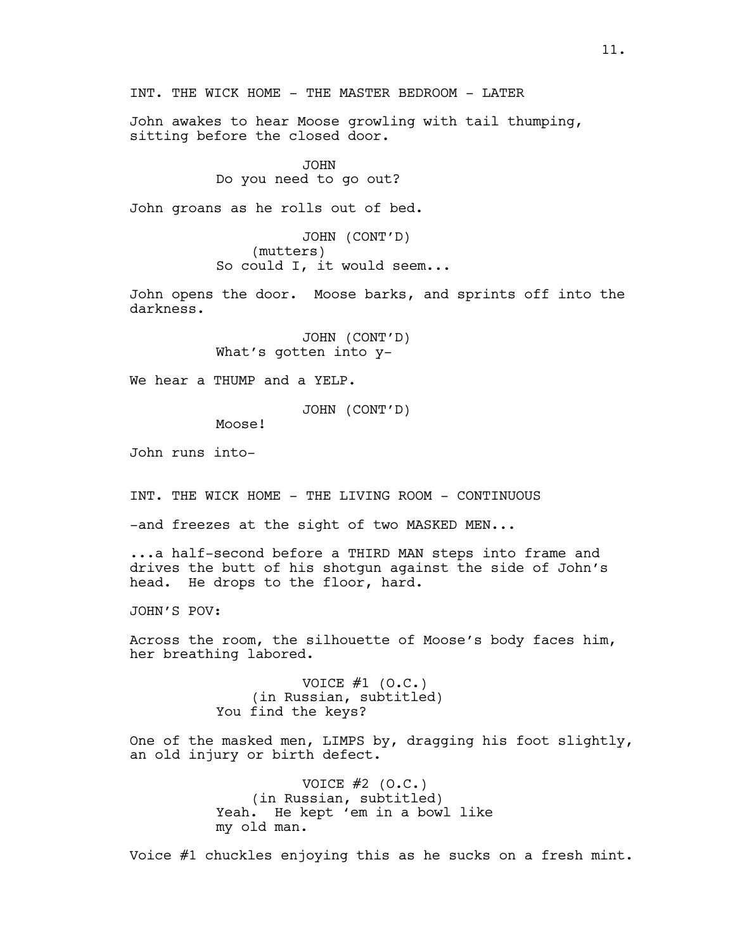INT. THE WICK HOME - THE MASTER BEDROOM - LATER

John awakes to hear Moose growling with tail thumping, sitting before the closed door.

> JOHN Do you need to go out?

John groans as he rolls out of bed.

JOHN (CONT'D) (mutters) So could I, it would seem...

John opens the door. Moose barks, and sprints off into the darkness.

> JOHN (CONT'D) What's gotten into y-

We hear a THUMP and a YELP.

JOHN (CONT'D)

Moose!

John runs into-

INT. THE WICK HOME - THE LIVING ROOM - CONTINUOUS

-and freezes at the sight of two MASKED MEN...

...a half-second before a THIRD MAN steps into frame and drives the butt of his shotgun against the side of John's head. He drops to the floor, hard.

JOHN'S POV:

Across the room, the silhouette of Moose's body faces him, her breathing labored.

> VOICE  $#1$  (O.C.) (in Russian, subtitled) You find the keys?

One of the masked men, LIMPS by, dragging his foot slightly, an old injury or birth defect.

> VOICE  $#2$  (O.C.) (in Russian, subtitled) Yeah. He kept 'em in a bowl like my old man.

Voice #1 chuckles enjoying this as he sucks on a fresh mint.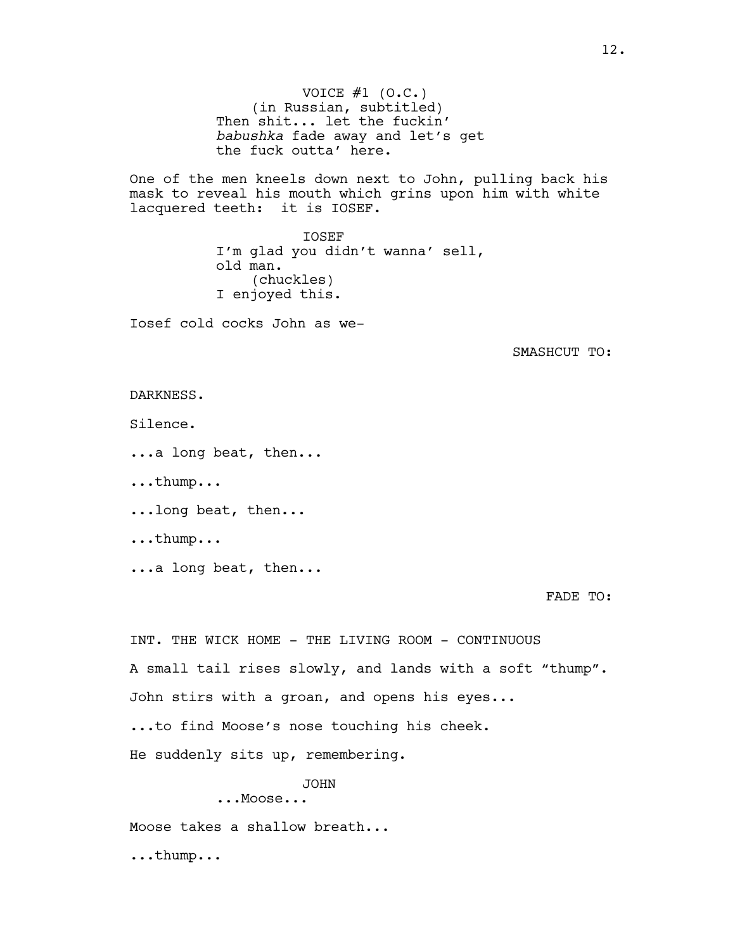VOICE  $#1$  (O.C.) (in Russian, subtitled) Then shit... let the fuckin' *babushka* fade away and let's get the fuck outta' here.

One of the men kneels down next to John, pulling back his mask to reveal his mouth which grins upon him with white lacquered teeth: it is IOSEF.

> IOSEF I'm glad you didn't wanna' sell, old man. (chuckles) I enjoyed this.

Iosef cold cocks John as we-

SMASHCUT TO:

## DARKNESS.

Silence.

...a long beat, then...

...thump...

...long beat, then...

...thump...

...a long beat, then...

FADE TO:

INT. THE WICK HOME - THE LIVING ROOM - CONTINUOUS A small tail rises slowly, and lands with a soft "thump". John stirs with a groan, and opens his eyes... ...to find Moose's nose touching his cheek. He suddenly sits up, remembering. JOHN

...Moose...

Moose takes a shallow breath...

...thump...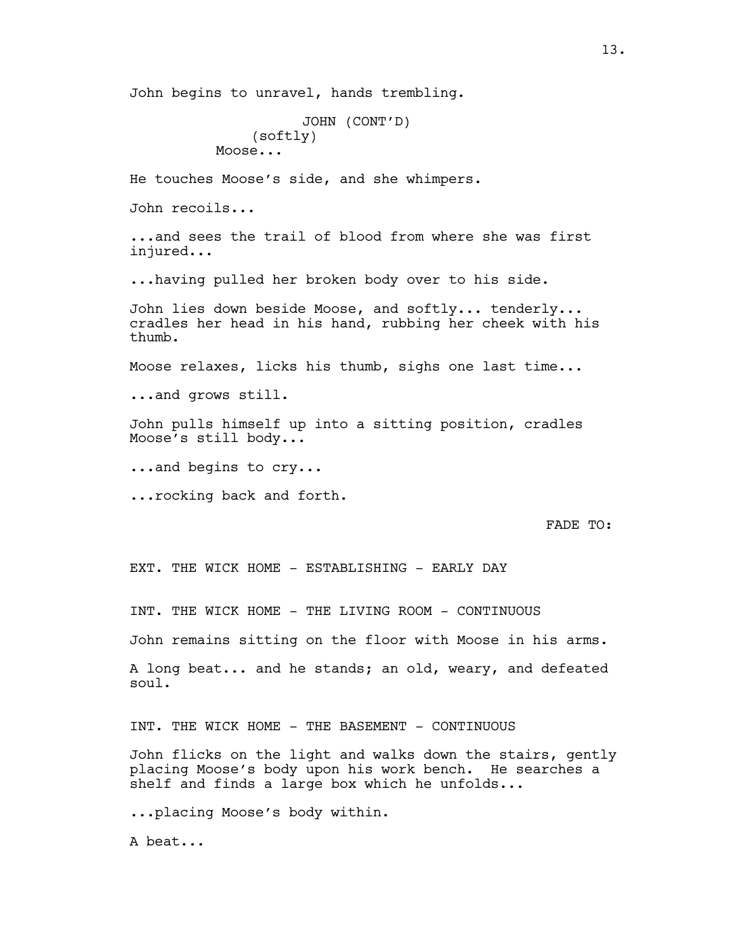John begins to unravel, hands trembling.

```
JOHN (CONT'D)
    (softly)
Moose...
```
He touches Moose's side, and she whimpers.

John recoils...

...and sees the trail of blood from where she was first injured...

...having pulled her broken body over to his side.

John lies down beside Moose, and softly... tenderly... cradles her head in his hand, rubbing her cheek with his thumb.

Moose relaxes, licks his thumb, sighs one last time...

...and grows still.

John pulls himself up into a sitting position, cradles Moose's still body...

...and begins to cry...

...rocking back and forth.

FADE TO:

EXT. THE WICK HOME - ESTABLISHING - EARLY DAY

INT. THE WICK HOME - THE LIVING ROOM - CONTINUOUS

John remains sitting on the floor with Moose in his arms.

A long beat... and he stands; an old, weary, and defeated soul.

INT. THE WICK HOME - THE BASEMENT - CONTINUOUS

John flicks on the light and walks down the stairs, gently placing Moose's body upon his work bench. He searches a shelf and finds a large box which he unfolds...

...placing Moose's body within.

A beat...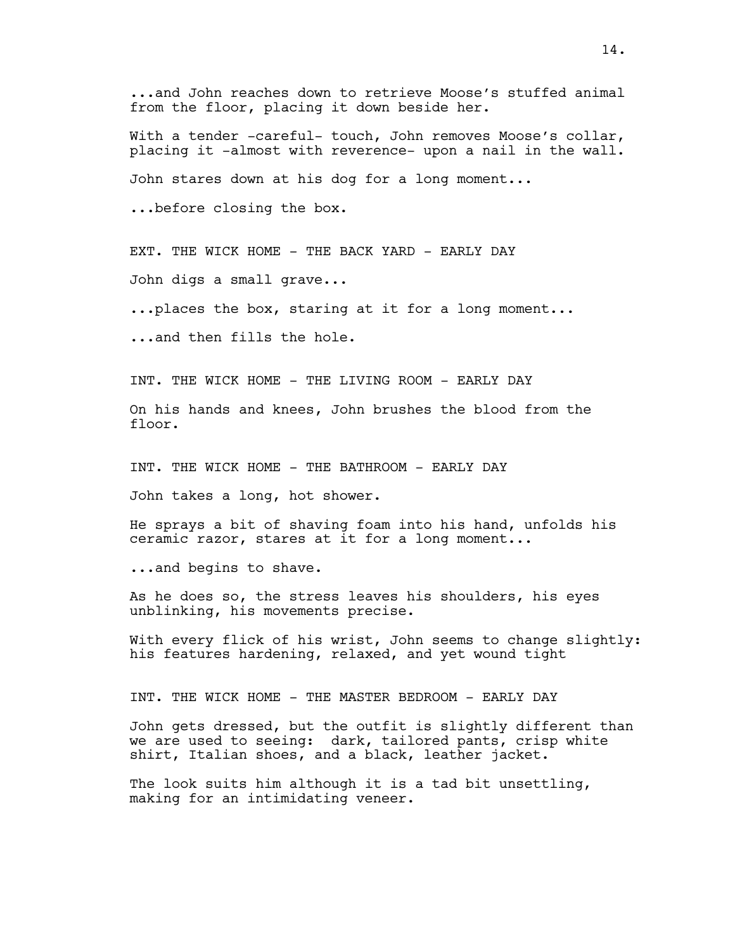...and John reaches down to retrieve Moose's stuffed animal from the floor, placing it down beside her.

With a tender -careful- touch, John removes Moose's collar, placing it -almost with reverence- upon a nail in the wall. John stares down at his dog for a long moment... ...before closing the box.

EXT. THE WICK HOME - THE BACK YARD - EARLY DAY

John digs a small grave...

...places the box, staring at it for a long moment...

...and then fills the hole.

INT. THE WICK HOME - THE LIVING ROOM - EARLY DAY

On his hands and knees, John brushes the blood from the floor.

INT. THE WICK HOME - THE BATHROOM - EARLY DAY

John takes a long, hot shower.

He sprays a bit of shaving foam into his hand, unfolds his ceramic razor, stares at it for a long moment...

...and begins to shave.

As he does so, the stress leaves his shoulders, his eyes unblinking, his movements precise.

With every flick of his wrist, John seems to change slightly: his features hardening, relaxed, and yet wound tight

INT. THE WICK HOME - THE MASTER BEDROOM - EARLY DAY

John gets dressed, but the outfit is slightly different than we are used to seeing: dark, tailored pants, crisp white shirt, Italian shoes, and a black, leather jacket.

The look suits him although it is a tad bit unsettling, making for an intimidating veneer.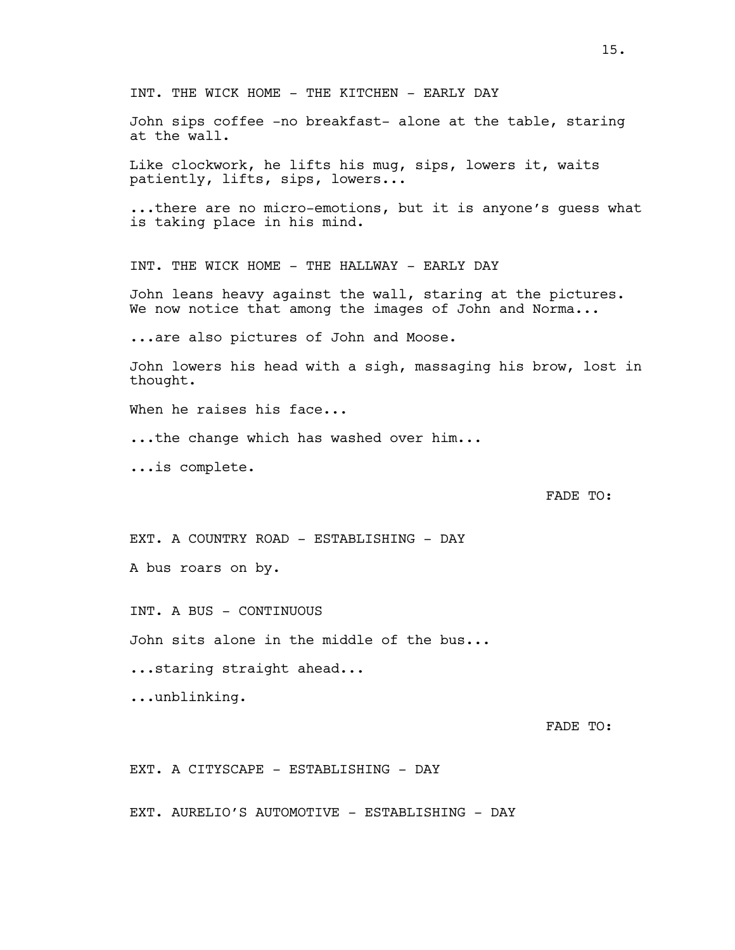INT. THE WICK HOME - THE KITCHEN - EARLY DAY John sips coffee -no breakfast- alone at the table, staring at the wall. Like clockwork, he lifts his mug, sips, lowers it, waits patiently, lifts, sips, lowers... ...there are no micro-emotions, but it is anyone's guess what is taking place in his mind. INT. THE WICK HOME - THE HALLWAY - EARLY DAY John leans heavy against the wall, staring at the pictures. We now notice that among the images of John and Norma... ...are also pictures of John and Moose. John lowers his head with a sigh, massaging his brow, lost in thought. When he raises his face... ...the change which has washed over him... ...is complete. FADE TO: EXT. A COUNTRY ROAD - ESTABLISHING - DAY A bus roars on by. INT. A BUS - CONTINUOUS John sits alone in the middle of the bus... ...staring straight ahead... ...unblinking.

FADE TO:

EXT. A CITYSCAPE - ESTABLISHING - DAY

EXT. AURELIO'S AUTOMOTIVE - ESTABLISHING - DAY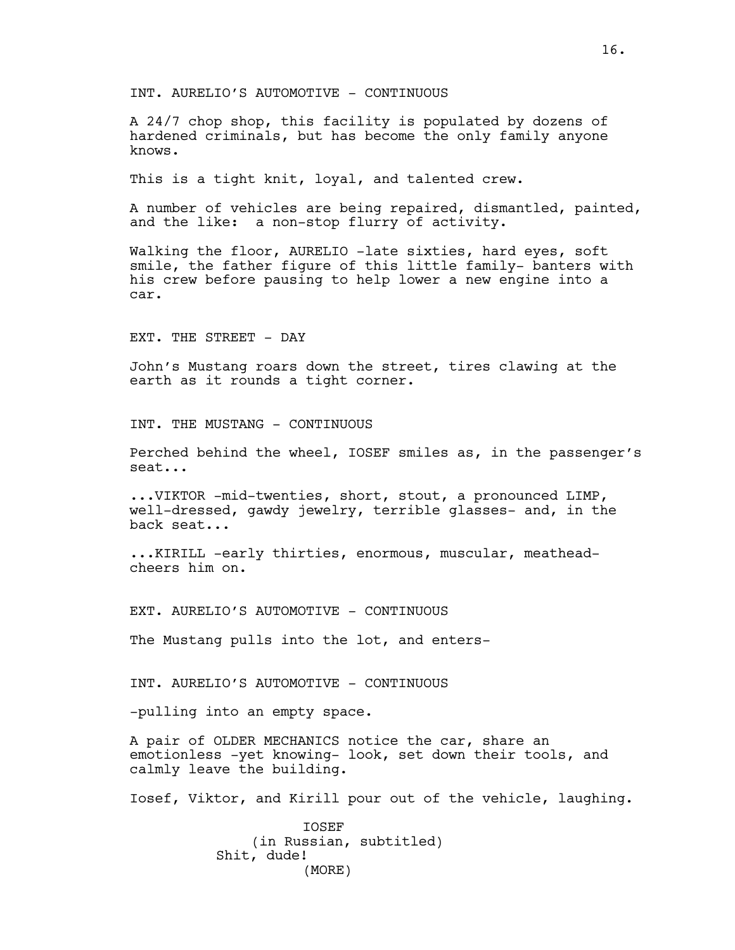INT. AURELIO'S AUTOMOTIVE - CONTINUOUS

A 24/7 chop shop, this facility is populated by dozens of hardened criminals, but has become the only family anyone knows.

This is a tight knit, loyal, and talented crew.

A number of vehicles are being repaired, dismantled, painted, and the like: a non-stop flurry of activity.

Walking the floor, AURELIO -late sixties, hard eyes, soft smile, the father figure of this little family- banters with his crew before pausing to help lower a new engine into a car.

EXT. THE STREET - DAY

John's Mustang roars down the street, tires clawing at the earth as it rounds a tight corner.

INT. THE MUSTANG - CONTINUOUS

Perched behind the wheel, IOSEF smiles as, in the passenger's seat...

...VIKTOR -mid-twenties, short, stout, a pronounced LIMP, well-dressed, gawdy jewelry, terrible glasses- and, in the back seat...

...KIRILL -early thirties, enormous, muscular, meatheadcheers him on.

EXT. AURELIO'S AUTOMOTIVE - CONTINUOUS

The Mustang pulls into the lot, and enters-

INT. AURELIO'S AUTOMOTIVE - CONTINUOUS

-pulling into an empty space.

A pair of OLDER MECHANICS notice the car, share an emotionless -yet knowing- look, set down their tools, and calmly leave the building.

Iosef, Viktor, and Kirill pour out of the vehicle, laughing.

IOSEF (in Russian, subtitled) Shit, dude! (MORE)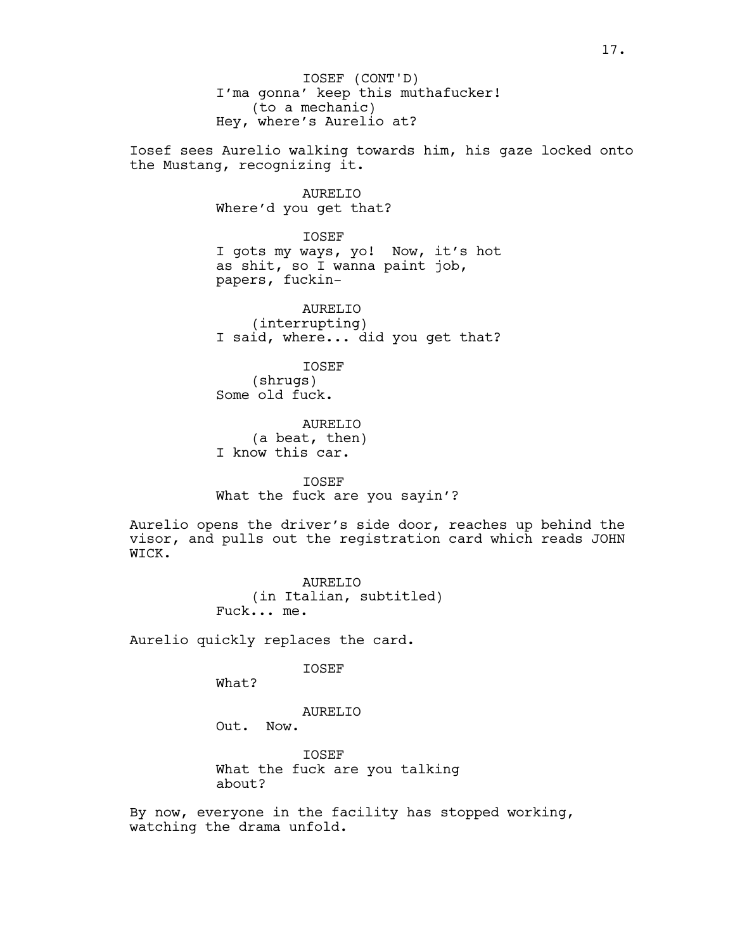I'ma gonna' keep this muthafucker! (to a mechanic) Hey, where's Aurelio at? IOSEF (CONT'D)

Iosef sees Aurelio walking towards him, his gaze locked onto the Mustang, recognizing it.

> AURELIO Where'd you get that?

IOSEF I gots my ways, yo! Now, it's hot as shit, so I wanna paint job, papers, fuckin-

AURELIO (interrupting) I said, where... did you get that?

IOSEF (shrugs) Some old fuck.

AURELIO (a beat, then) I know this car.

IOSEF What the fuck are you sayin'?

Aurelio opens the driver's side door, reaches up behind the visor, and pulls out the registration card which reads JOHN WICK.

> AURELIO (in Italian, subtitled) Fuck... me.

Aurelio quickly replaces the card.

IOSEF

What?

AURELIO

Out. Now.

**TOSEF** What the fuck are you talking about?

By now, everyone in the facility has stopped working, watching the drama unfold.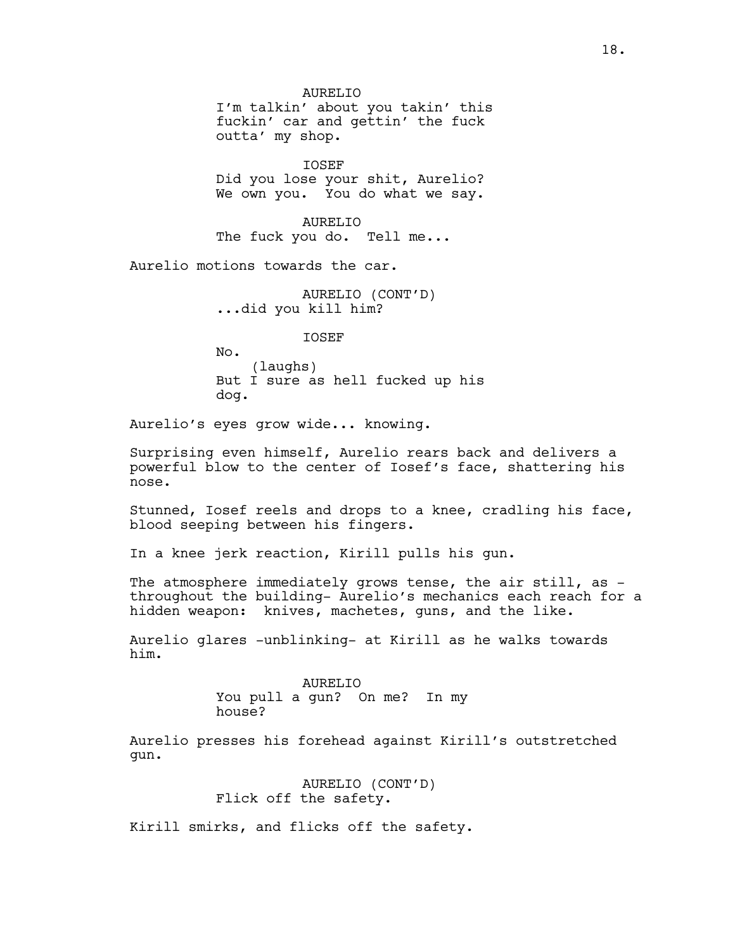AURELIO I'm talkin' about you takin' this fuckin' car and gettin' the fuck outta' my shop.

IOSEF Did you lose your shit, Aurelio? We own you. You do what we say.

AURELIO The fuck you do. Tell me...

Aurelio motions towards the car.

AURELIO (CONT'D) ...did you kill him?

IOSEF

No. (laughs) But I sure as hell fucked up his dog.

Aurelio's eyes grow wide... knowing.

Surprising even himself, Aurelio rears back and delivers a powerful blow to the center of Iosef's face, shattering his nose.

Stunned, Iosef reels and drops to a knee, cradling his face, blood seeping between his fingers.

In a knee jerk reaction, Kirill pulls his gun.

The atmosphere immediately grows tense, the air still, as throughout the building- Aurelio's mechanics each reach for a hidden weapon: knives, machetes, guns, and the like.

Aurelio glares -unblinking- at Kirill as he walks towards him.

### AURELIO

You pull a gun? On me? In my

house?

Aurelio presses his forehead against Kirill's outstretched gun.

> AURELIO (CONT'D) Flick off the safety.

Kirill smirks, and flicks off the safety.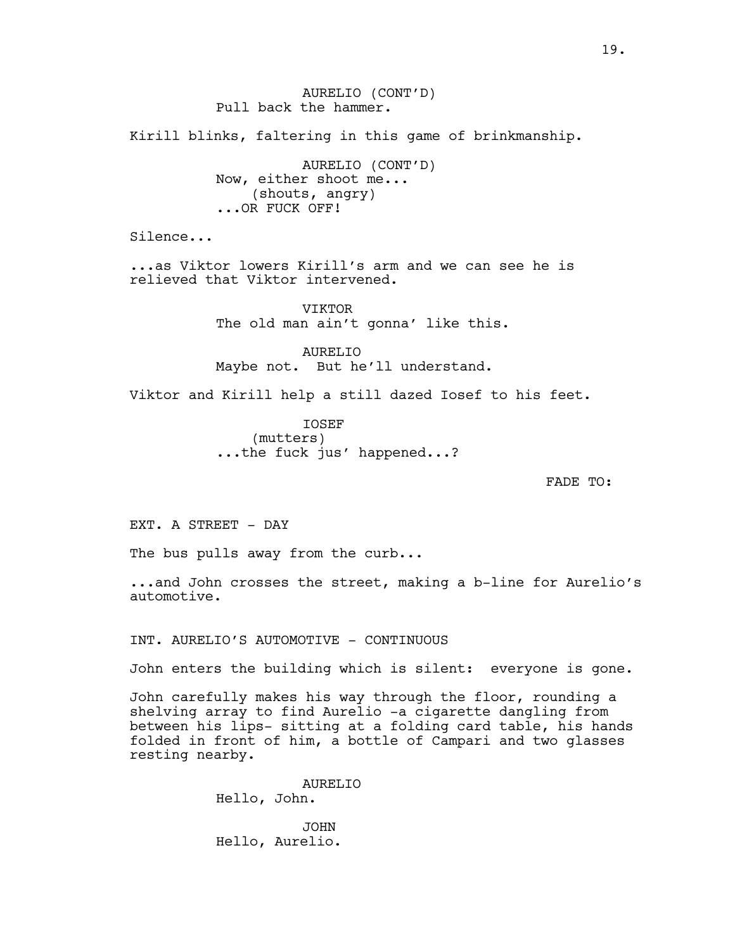AURELIO (CONT'D) Pull back the hammer. Kirill blinks, faltering in this game of brinkmanship. AURELIO (CONT'D) Now, either shoot me... (shouts, angry) ...OR FUCK OFF! Silence... ...as Viktor lowers Kirill's arm and we can see he is relieved that Viktor intervened. VIKTOR The old man ain't gonna' like this. AURELIO Maybe not. But he'll understand. Viktor and Kirill help a still dazed Iosef to his feet.

> IOSEF (mutters) ...the fuck jus' happened...?

> > FADE TO:

EXT. A STREET - DAY

The bus pulls away from the curb...

...and John crosses the street, making a b-line for Aurelio's automotive.

INT. AURELIO'S AUTOMOTIVE - CONTINUOUS

John enters the building which is silent: everyone is gone.

John carefully makes his way through the floor, rounding a shelving array to find Aurelio -a cigarette dangling from between his lips- sitting at a folding card table, his hands folded in front of him, a bottle of Campari and two glasses resting nearby.

> AURELIO Hello, John.

JOHN Hello, Aurelio.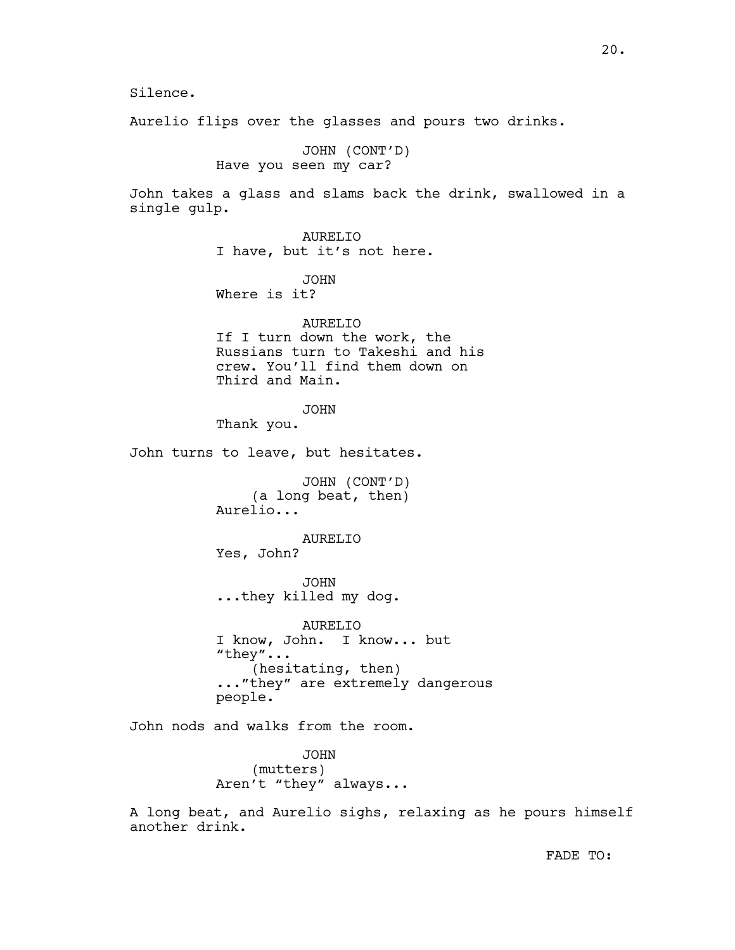Silence.

Aurelio flips over the glasses and pours two drinks.

JOHN (CONT'D) Have you seen my car?

John takes a glass and slams back the drink, swallowed in a single gulp.

> AURELIO I have, but it's not here.

JOHN Where is it?

AURELIO If I turn down the work, the Russians turn to Takeshi and his crew. You'll find them down on Third and Main.

JOHN

Thank you.

John turns to leave, but hesitates.

JOHN (CONT'D) (a long beat, then) Aurelio...

AURELIO

Yes, John?

JOHN ...they killed my dog.

AURELIO I know, John. I know... but "they"... (hesitating, then) ..."they" are extremely dangerous people.

John nods and walks from the room.

JOHN (mutters) Aren't "they" always...

A long beat, and Aurelio sighs, relaxing as he pours himself another drink.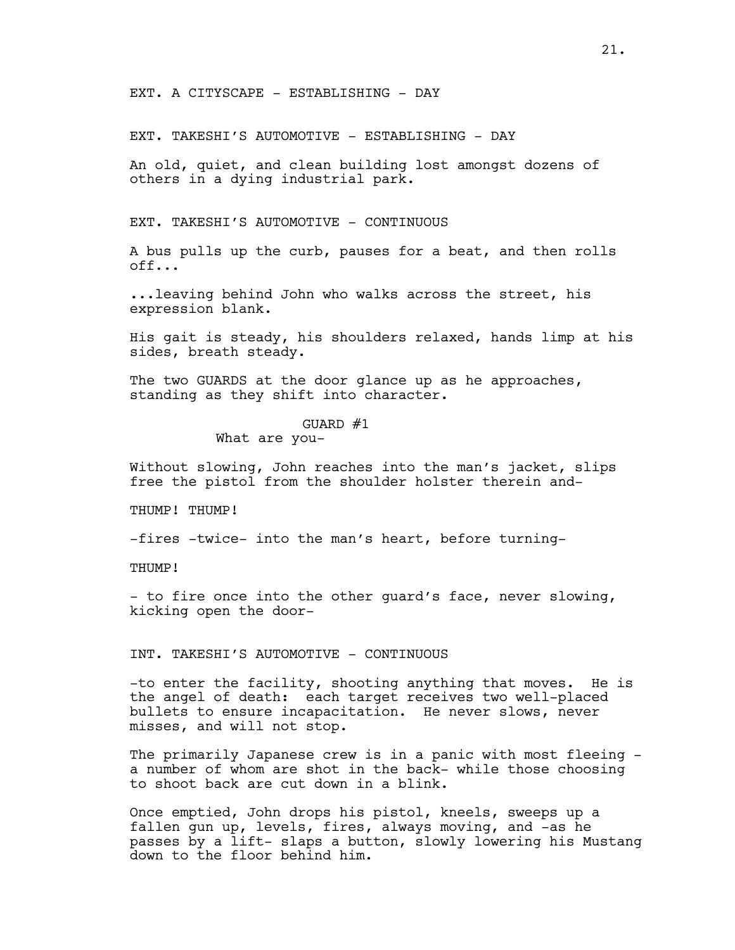EXT. A CITYSCAPE - ESTABLISHING - DAY

EXT. TAKESHI'S AUTOMOTIVE - ESTABLISHING - DAY

An old, quiet, and clean building lost amongst dozens of others in a dying industrial park.

EXT. TAKESHI'S AUTOMOTIVE - CONTINUOUS

A bus pulls up the curb, pauses for a beat, and then rolls off...

...leaving behind John who walks across the street, his expression blank.

His gait is steady, his shoulders relaxed, hands limp at his sides, breath steady.

The two GUARDS at the door glance up as he approaches, standing as they shift into character.

#### GUARD #1

What are you-

Without slowing, John reaches into the man's jacket, slips free the pistol from the shoulder holster therein and-

THUMP! THUMP!

-fires -twice- into the man's heart, before turning-

THUMP!

- to fire once into the other guard's face, never slowing, kicking open the door-

INT. TAKESHI'S AUTOMOTIVE - CONTINUOUS

-to enter the facility, shooting anything that moves. He is the angel of death: each target receives two well-placed bullets to ensure incapacitation. He never slows, never misses, and will not stop.

The primarily Japanese crew is in a panic with most fleeing a number of whom are shot in the back- while those choosing to shoot back are cut down in a blink.

Once emptied, John drops his pistol, kneels, sweeps up a fallen gun up, levels, fires, always moving, and -as he passes by a lift- slaps a button, slowly lowering his Mustang down to the floor behind him.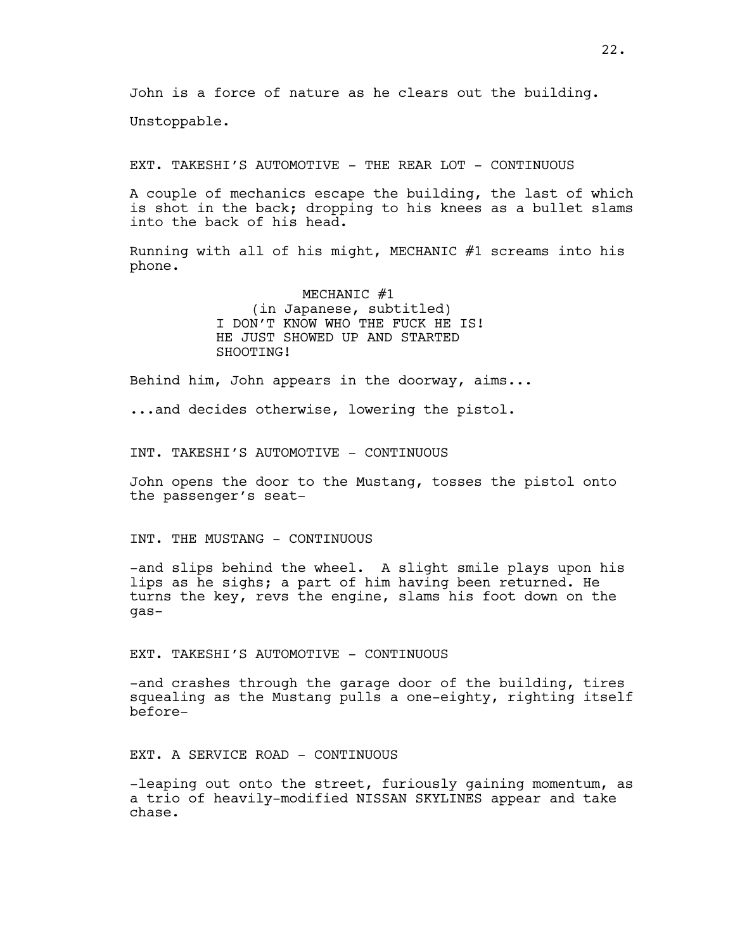John is a force of nature as he clears out the building.

Unstoppable.

EXT. TAKESHI'S AUTOMOTIVE - THE REAR LOT - CONTINUOUS

A couple of mechanics escape the building, the last of which is shot in the back; dropping to his knees as a bullet slams into the back of his head.

Running with all of his might, MECHANIC #1 screams into his phone.

> MECHANIC #1 (in Japanese, subtitled) I DON'T KNOW WHO THE FUCK HE IS! HE JUST SHOWED UP AND STARTED SHOOTING!

Behind him, John appears in the doorway, aims...

...and decides otherwise, lowering the pistol.

INT. TAKESHI'S AUTOMOTIVE - CONTINUOUS

John opens the door to the Mustang, tosses the pistol onto the passenger's seat-

INT. THE MUSTANG - CONTINUOUS

-and slips behind the wheel. A slight smile plays upon his lips as he sighs; a part of him having been returned. He turns the key, revs the engine, slams his foot down on the gas-

EXT. TAKESHI'S AUTOMOTIVE - CONTINUOUS

-and crashes through the garage door of the building, tires squealing as the Mustang pulls a one-eighty, righting itself before-

EXT. A SERVICE ROAD - CONTINUOUS

-leaping out onto the street, furiously gaining momentum, as a trio of heavily-modified NISSAN SKYLINES appear and take chase.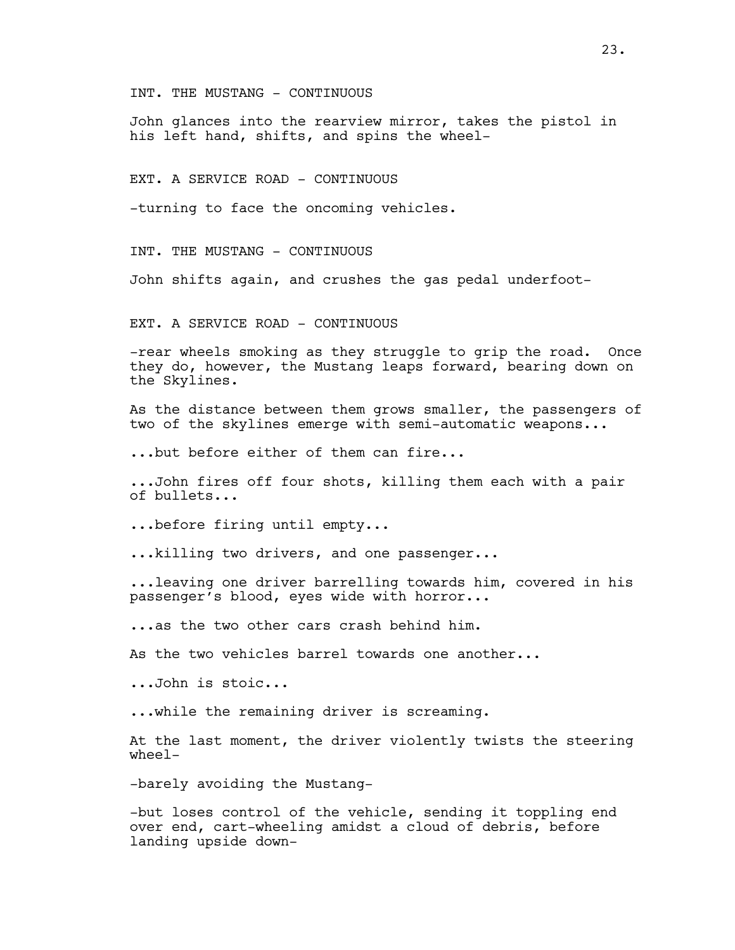INT. THE MUSTANG - CONTINUOUS

John glances into the rearview mirror, takes the pistol in his left hand, shifts, and spins the wheel-

EXT. A SERVICE ROAD - CONTINUOUS

-turning to face the oncoming vehicles.

INT. THE MUSTANG - CONTINUOUS

John shifts again, and crushes the gas pedal underfoot-

EXT. A SERVICE ROAD - CONTINUOUS

-rear wheels smoking as they struggle to grip the road. Once they do, however, the Mustang leaps forward, bearing down on the Skylines.

As the distance between them grows smaller, the passengers of two of the skylines emerge with semi-automatic weapons...

...but before either of them can fire...

...John fires off four shots, killing them each with a pair of bullets...

...before firing until empty...

...killing two drivers, and one passenger...

...leaving one driver barrelling towards him, covered in his passenger's blood, eyes wide with horror...

...as the two other cars crash behind him.

As the two vehicles barrel towards one another...

...John is stoic...

...while the remaining driver is screaming.

At the last moment, the driver violently twists the steering wheel-

-barely avoiding the Mustang-

-but loses control of the vehicle, sending it toppling end over end, cart-wheeling amidst a cloud of debris, before landing upside down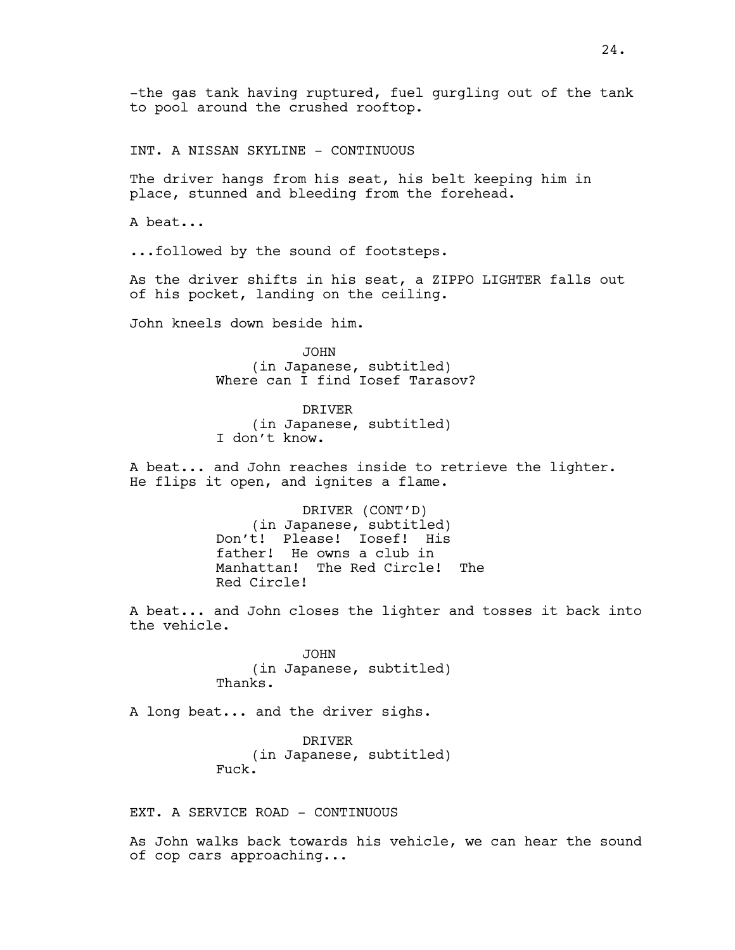-the gas tank having ruptured, fuel gurgling out of the tank to pool around the crushed rooftop.

INT. A NISSAN SKYLINE - CONTINUOUS

The driver hangs from his seat, his belt keeping him in place, stunned and bleeding from the forehead.

A beat...

...followed by the sound of footsteps.

As the driver shifts in his seat, a ZIPPO LIGHTER falls out of his pocket, landing on the ceiling.

John kneels down beside him.

JOHN (in Japanese, subtitled) Where can I find Iosef Tarasov?

DRIVER (in Japanese, subtitled) I don't know.

A beat... and John reaches inside to retrieve the lighter. He flips it open, and ignites a flame.

> DRIVER (CONT'D) (in Japanese, subtitled) Don't! Please! Iosef! His father! He owns a club in Manhattan! The Red Circle! The Red Circle!

A beat... and John closes the lighter and tosses it back into the vehicle.

> JOHN (in Japanese, subtitled) Thanks.

A long beat... and the driver sighs.

DRIVER (in Japanese, subtitled) Fuck.

EXT. A SERVICE ROAD - CONTINUOUS

As John walks back towards his vehicle, we can hear the sound of cop cars approaching...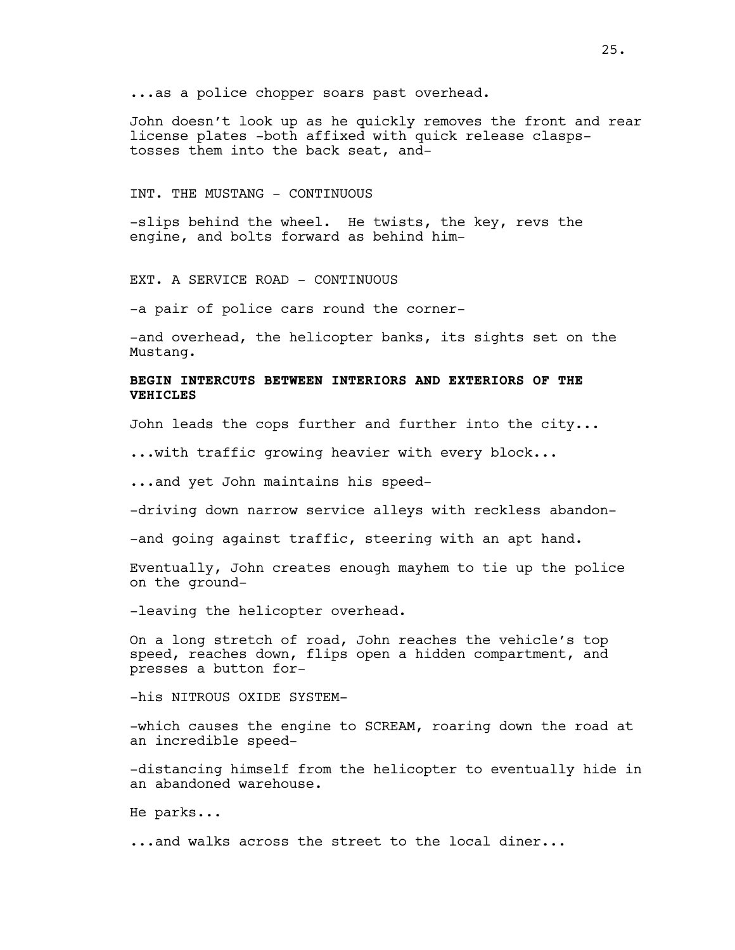...as a police chopper soars past overhead.

John doesn't look up as he quickly removes the front and rear license plates -both affixed with quick release claspstosses them into the back seat, and-

### INT. THE MUSTANG - CONTINUOUS

-slips behind the wheel. He twists, the key, revs the engine, and bolts forward as behind him-

EXT. A SERVICE ROAD - CONTINUOUS

-a pair of police cars round the corner-

-and overhead, the helicopter banks, its sights set on the Mustang.

# **BEGIN INTERCUTS BETWEEN INTERIORS AND EXTERIORS OF THE VEHICLES**

John leads the cops further and further into the city...

...with traffic growing heavier with every block...

...and yet John maintains his speed-

-driving down narrow service alleys with reckless abandon-

-and going against traffic, steering with an apt hand.

Eventually, John creates enough mayhem to tie up the police on the ground-

-leaving the helicopter overhead.

On a long stretch of road, John reaches the vehicle's top speed, reaches down, flips open a hidden compartment, and presses a button for-

-his NITROUS OXIDE SYSTEM-

-which causes the engine to SCREAM, roaring down the road at an incredible speed-

-distancing himself from the helicopter to eventually hide in an abandoned warehouse.

He parks...

...and walks across the street to the local diner...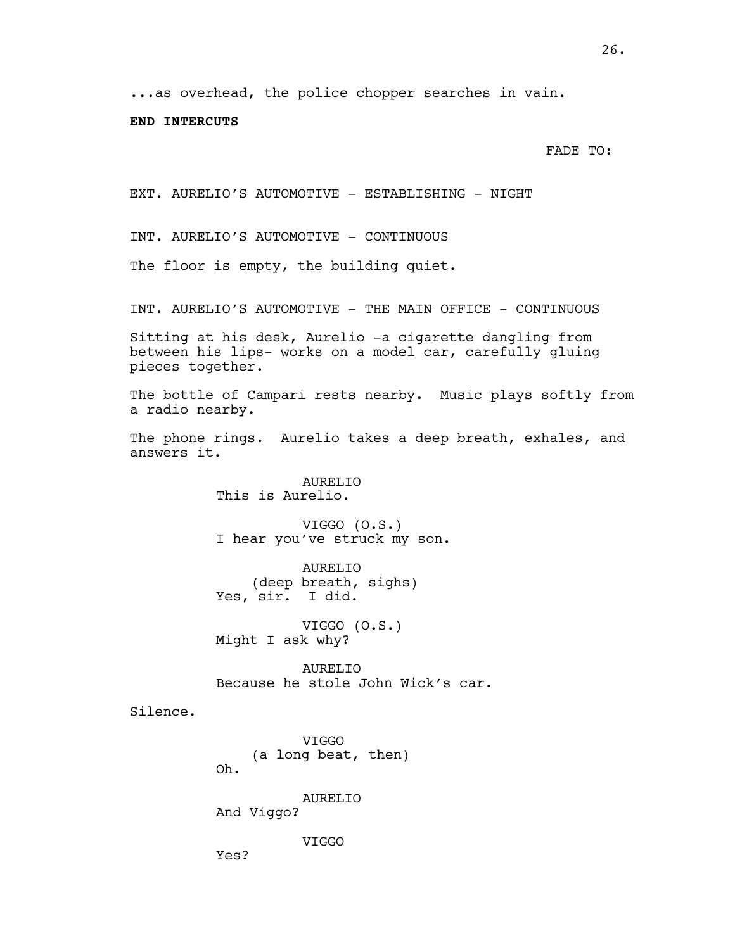...as overhead, the police chopper searches in vain.

### **END INTERCUTS**

FADE TO:

EXT. AURELIO'S AUTOMOTIVE - ESTABLISHING - NIGHT

INT. AURELIO'S AUTOMOTIVE - CONTINUOUS

The floor is empty, the building quiet.

INT. AURELIO'S AUTOMOTIVE - THE MAIN OFFICE - CONTINUOUS

Sitting at his desk, Aurelio -a cigarette dangling from between his lips- works on a model car, carefully gluing pieces together.

The bottle of Campari rests nearby. Music plays softly from a radio nearby.

The phone rings. Aurelio takes a deep breath, exhales, and answers it.

> AURELIO This is Aurelio.

VIGGO (O.S.) I hear you've struck my son.

AURELIO (deep breath, sighs) Yes, sir. I did.

VIGGO (O.S.) Might I ask why?

AURELIO Because he stole John Wick's car.

Silence.

VIGGO (a long beat, then) Oh.

AURELIO And Viggo?

VIGGO

Yes?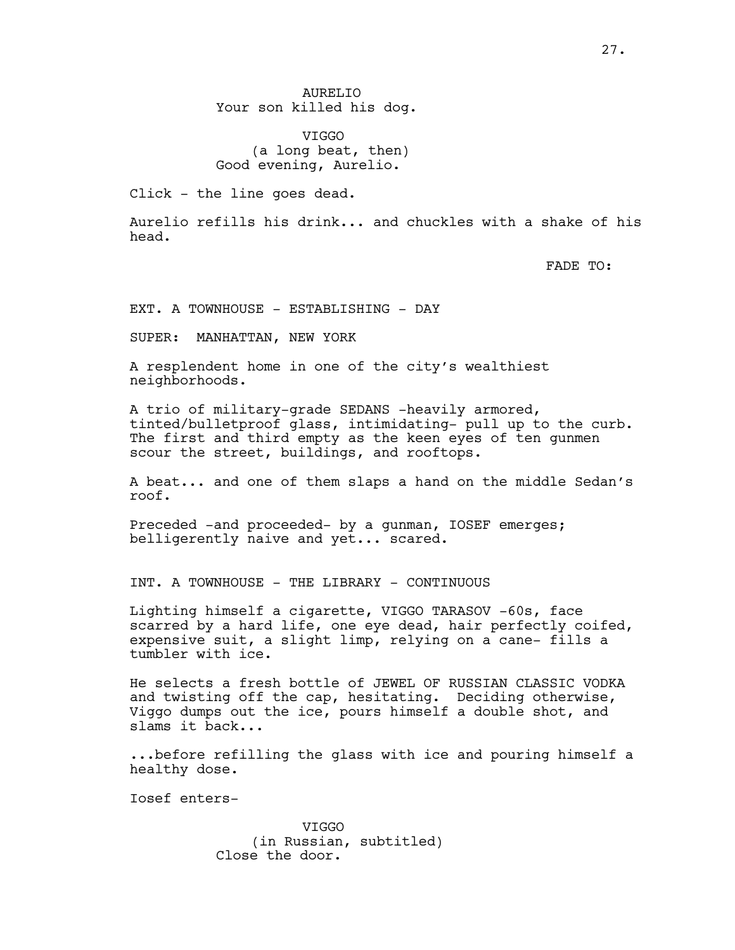AURELIO Your son killed his dog.

VIGGO (a long beat, then) Good evening, Aurelio.

Click - the line goes dead.

Aurelio refills his drink... and chuckles with a shake of his head.

FADE TO:

EXT. A TOWNHOUSE - ESTABLISHING - DAY

SUPER: MANHATTAN, NEW YORK

A resplendent home in one of the city's wealthiest neighborhoods.

A trio of military-grade SEDANS -heavily armored, tinted/bulletproof glass, intimidating- pull up to the curb. The first and third empty as the keen eyes of ten gunmen scour the street, buildings, and rooftops.

A beat... and one of them slaps a hand on the middle Sedan's roof.

Preceded -and proceeded- by a gunman, IOSEF emerges; belligerently naive and yet... scared.

INT. A TOWNHOUSE - THE LIBRARY - CONTINUOUS

Lighting himself a cigarette, VIGGO TARASOV -60s, face scarred by a hard life, one eye dead, hair perfectly coifed, expensive suit, a slight limp, relying on a cane- fills a tumbler with ice.

He selects a fresh bottle of JEWEL OF RUSSIAN CLASSIC VODKA and twisting off the cap, hesitating. Deciding otherwise, Viggo dumps out the ice, pours himself a double shot, and slams it back...

...before refilling the glass with ice and pouring himself a healthy dose.

Iosef enters-

VIGGO (in Russian, subtitled) Close the door.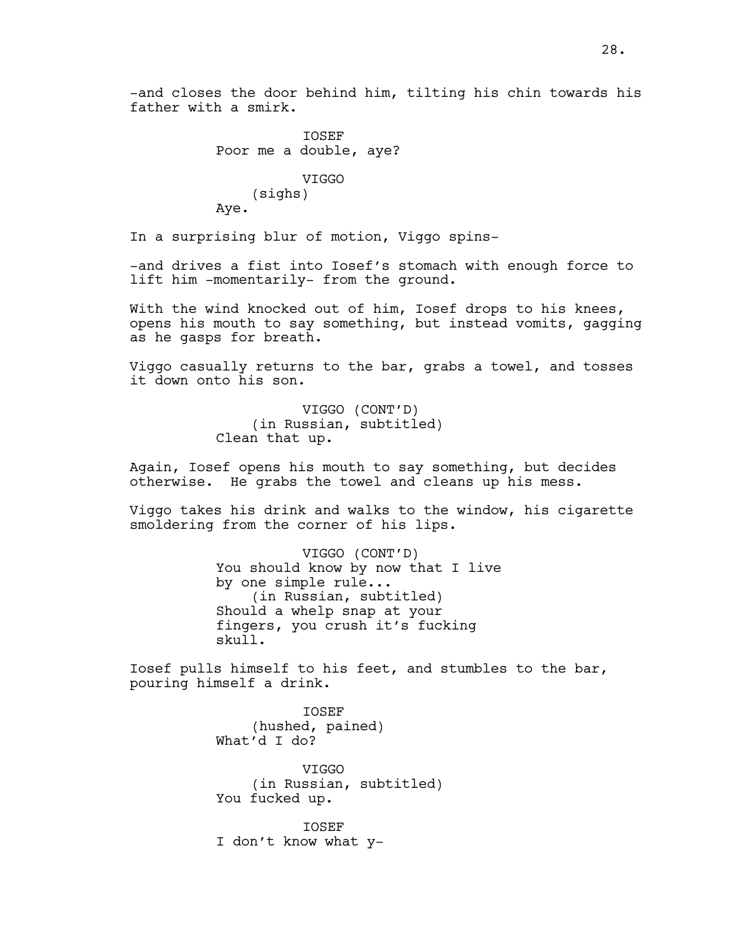-and closes the door behind him, tilting his chin towards his father with a smirk.

> IOSEF Poor me a double, aye? VIGGO (sighs) Aye.

In a surprising blur of motion, Viggo spins-

-and drives a fist into Iosef's stomach with enough force to lift him -momentarily- from the ground.

With the wind knocked out of him, Iosef drops to his knees, opens his mouth to say something, but instead vomits, gagging as he gasps for breath.

Viggo casually returns to the bar, grabs a towel, and tosses it down onto his son.

> VIGGO (CONT'D) (in Russian, subtitled) Clean that up.

Again, Iosef opens his mouth to say something, but decides otherwise. He grabs the towel and cleans up his mess.

Viggo takes his drink and walks to the window, his cigarette smoldering from the corner of his lips.

> VIGGO (CONT'D) You should know by now that I live by one simple rule... (in Russian, subtitled) Should a whelp snap at your fingers, you crush it's fucking skull.

Iosef pulls himself to his feet, and stumbles to the bar, pouring himself a drink.

> IOSEF (hushed, pained) What'd I do?

VIGGO (in Russian, subtitled) You fucked up.

IOSEF I don't know what y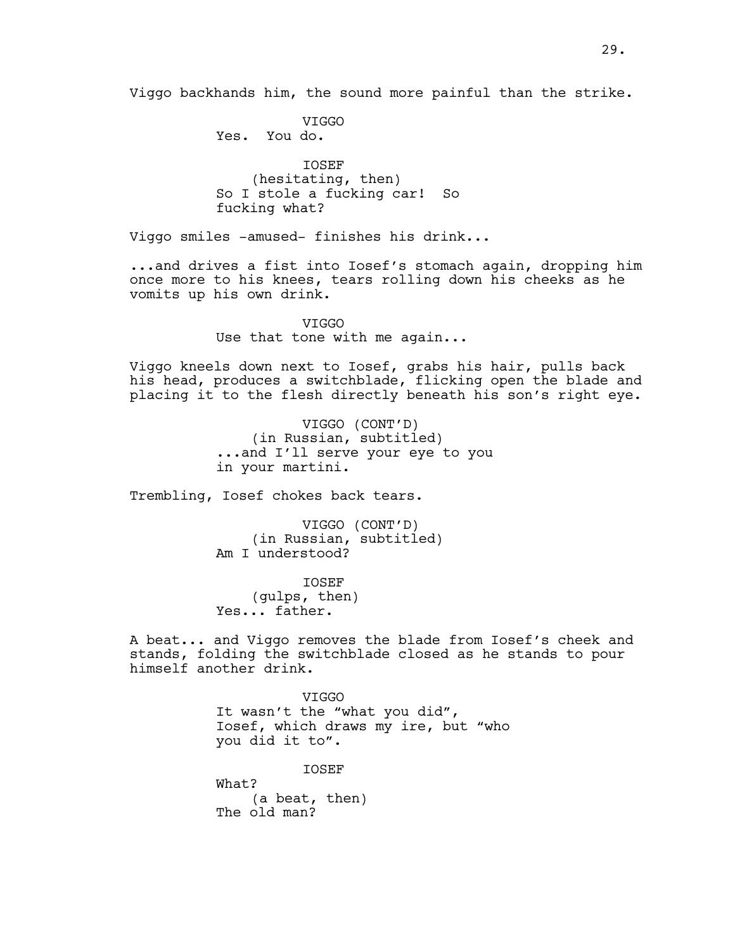Viggo backhands him, the sound more painful than the strike.

**VTGGO** Yes. You do.

IOSEF (hesitating, then) So I stole a fucking car! So fucking what?

Viggo smiles -amused- finishes his drink...

...and drives a fist into Iosef's stomach again, dropping him once more to his knees, tears rolling down his cheeks as he vomits up his own drink.

> VIGGO Use that tone with me again...

Viggo kneels down next to Iosef, grabs his hair, pulls back his head, produces a switchblade, flicking open the blade and placing it to the flesh directly beneath his son's right eye.

> VIGGO (CONT'D) (in Russian, subtitled) ...and I'll serve your eye to you in your martini.

Trembling, Iosef chokes back tears.

VIGGO (CONT'D) (in Russian, subtitled) Am I understood?

IOSEF (gulps, then) Yes... father.

A beat... and Viggo removes the blade from Iosef's cheek and stands, folding the switchblade closed as he stands to pour himself another drink.

> VIGGO It wasn't the "what you did", Iosef, which draws my ire, but "who you did it to".

IOSEF What? (a beat, then) The old man?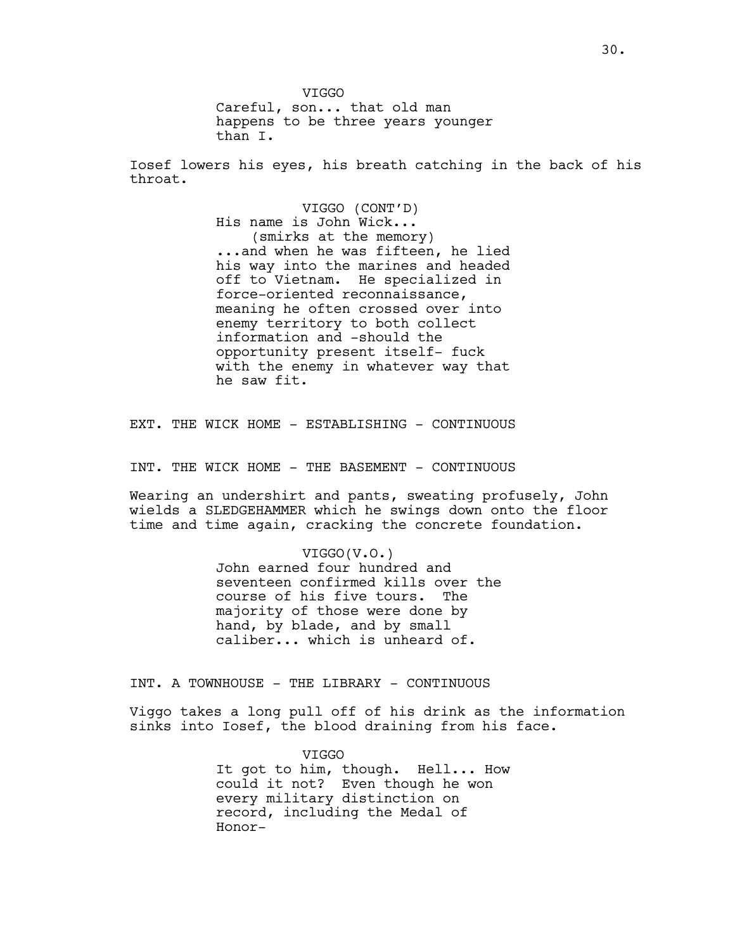VIGGO Careful, son... that old man happens to be three years younger than I.

Iosef lowers his eyes, his breath catching in the back of his throat.

> VIGGO (CONT'D) His name is John Wick... (smirks at the memory) ...and when he was fifteen, he lied his way into the marines and headed off to Vietnam. He specialized in force-oriented reconnaissance, meaning he often crossed over into enemy territory to both collect information and -should the opportunity present itself- fuck with the enemy in whatever way that he saw fit.

EXT. THE WICK HOME - ESTABLISHING - CONTINUOUS

INT. THE WICK HOME - THE BASEMENT - CONTINUOUS

Wearing an undershirt and pants, sweating profusely, John wields a SLEDGEHAMMER which he swings down onto the floor time and time again, cracking the concrete foundation.

## VIGGO(V.O.)

John earned four hundred and seventeen confirmed kills over the course of his five tours. The majority of those were done by hand, by blade, and by small caliber... which is unheard of.

INT. A TOWNHOUSE - THE LIBRARY - CONTINUOUS

Viggo takes a long pull off of his drink as the information sinks into Iosef, the blood draining from his face.

> VIGGO It got to him, though. Hell... How could it not? Even though he won every military distinction on record, including the Medal of Honor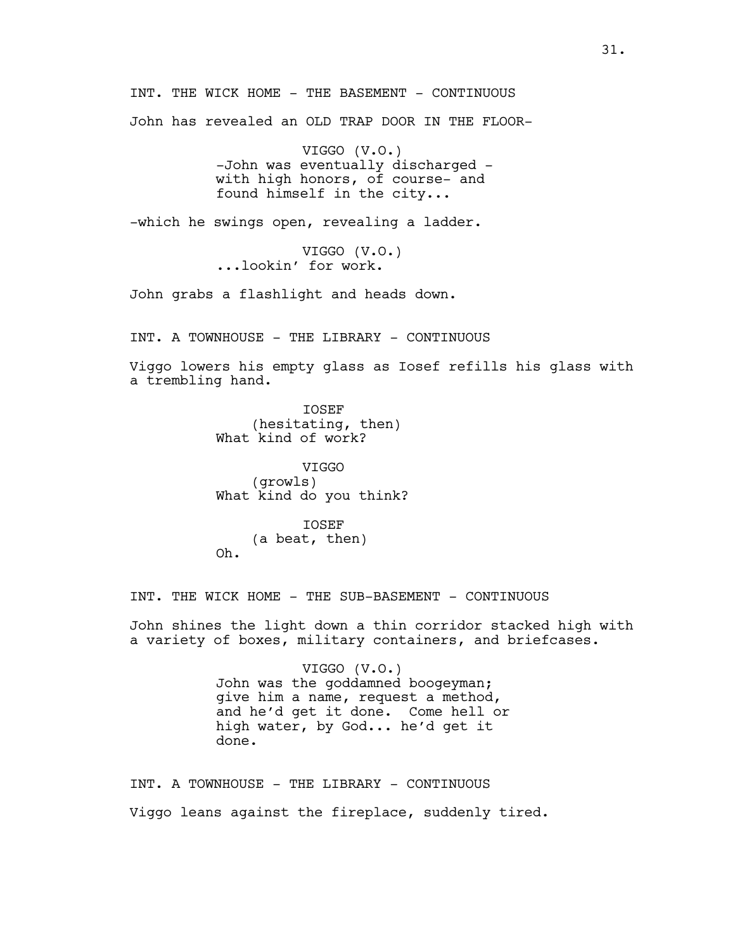INT. THE WICK HOME - THE BASEMENT - CONTINUOUS John has revealed an OLD TRAP DOOR IN THE FLOOR-

> VIGGO (V.O.) -John was eventually discharged with high honors, of course- and found himself in the city...

-which he swings open, revealing a ladder.

VIGGO (V.O.) ...lookin' for work.

John grabs a flashlight and heads down.

INT. A TOWNHOUSE - THE LIBRARY - CONTINUOUS

Viggo lowers his empty glass as Iosef refills his glass with a trembling hand.

> IOSEF (hesitating, then) What kind of work?

VIGGO (growls) What kind do you think?

IOSEF (a beat, then) Oh.

INT. THE WICK HOME - THE SUB-BASEMENT - CONTINUOUS

John shines the light down a thin corridor stacked high with a variety of boxes, military containers, and briefcases.

> VIGGO (V.O.) John was the goddamned boogeyman; give him a name, request a method, and he'd get it done. Come hell or high water, by God... he'd get it done.

INT. A TOWNHOUSE - THE LIBRARY - CONTINUOUS Viggo leans against the fireplace, suddenly tired.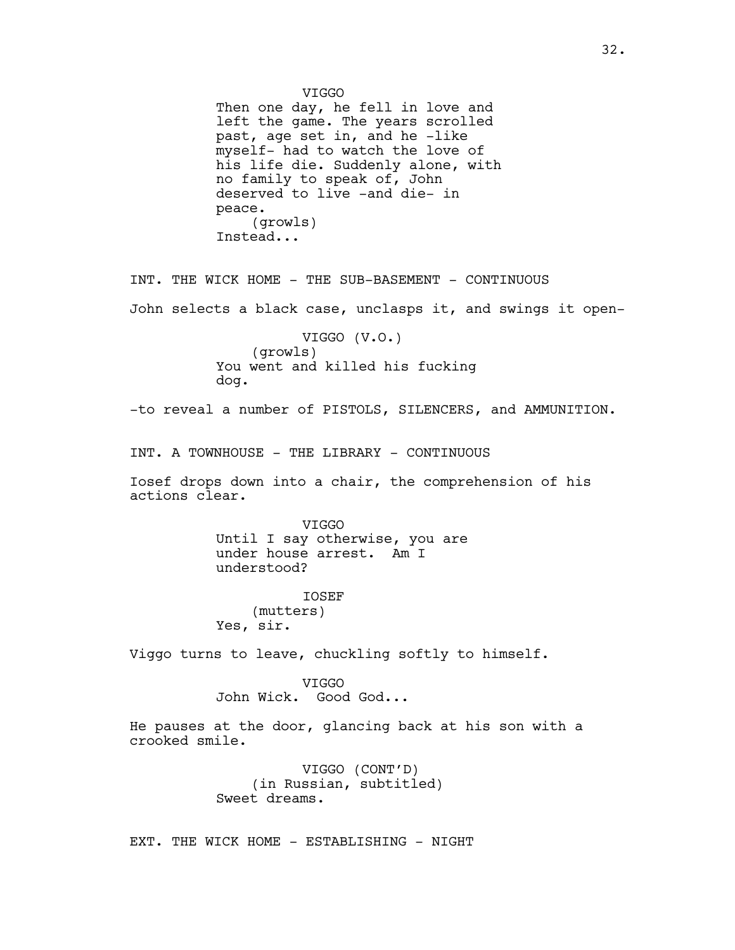VIGGO Then one day, he fell in love and left the game. The years scrolled past, age set in, and he -like myself- had to watch the love of his life die. Suddenly alone, with no family to speak of, John deserved to live -and die- in peace. (growls) Instead... INT. THE WICK HOME - THE SUB-BASEMENT - CONTINUOUS John selects a black case, unclasps it, and swings it open-VIGGO (V.O.) (growls) You went and killed his fucking dog. -to reveal a number of PISTOLS, SILENCERS, and AMMUNITION. INT. A TOWNHOUSE - THE LIBRARY - CONTINUOUS Iosef drops down into a chair, the comprehension of his actions clear. VIGGO Until I say otherwise, you are under house arrest. Am I understood? **TOSEF** (mutters) Yes, sir. Viggo turns to leave, chuckling softly to himself. VIGGO John Wick. Good God... He pauses at the door, glancing back at his son with a crooked smile. VIGGO (CONT'D) (in Russian, subtitled) Sweet dreams. EXT. THE WICK HOME - ESTABLISHING - NIGHT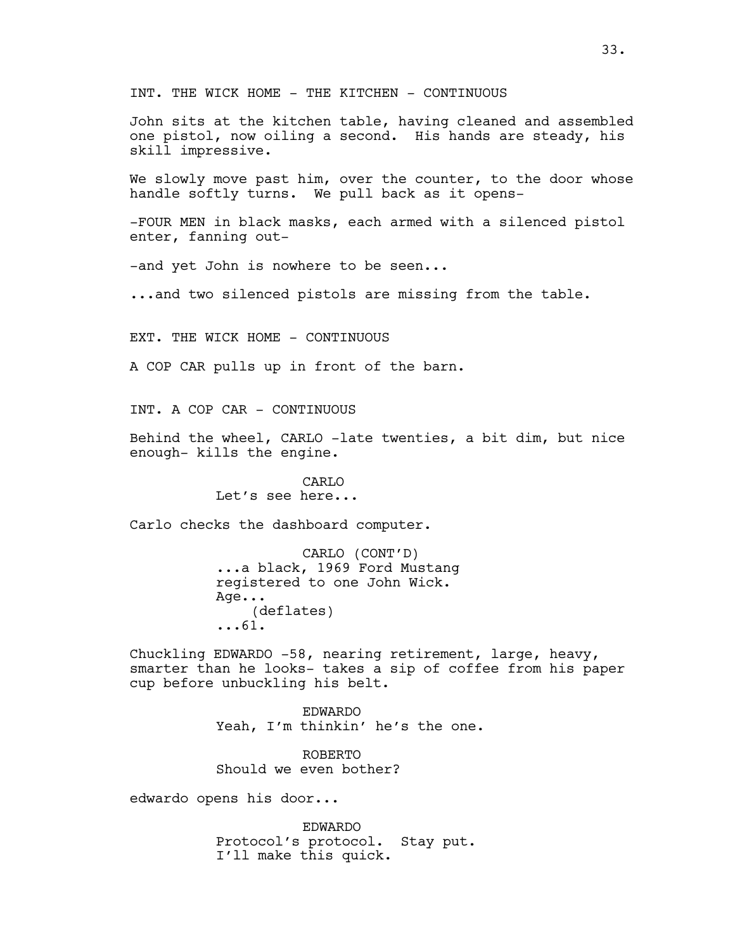INT. THE WICK HOME - THE KITCHEN - CONTINUOUS

John sits at the kitchen table, having cleaned and assembled one pistol, now oiling a second. His hands are steady, his skill impressive.

We slowly move past him, over the counter, to the door whose handle softly turns. We pull back as it opens-

-FOUR MEN in black masks, each armed with a silenced pistol enter, fanning out-

-and yet John is nowhere to be seen...

...and two silenced pistols are missing from the table.

EXT. THE WICK HOME - CONTINUOUS

A COP CAR pulls up in front of the barn.

INT. A COP CAR - CONTINUOUS

Behind the wheel, CARLO -late twenties, a bit dim, but nice enough- kills the engine.

> CARLO Let's see here...

Carlo checks the dashboard computer.

CARLO (CONT'D) ...a black, 1969 Ford Mustang registered to one John Wick. Age... (deflates) ...61.

Chuckling EDWARDO -58, nearing retirement, large, heavy, smarter than he looks- takes a sip of coffee from his paper cup before unbuckling his belt.

> EDWARDO Yeah, I'm thinkin' he's the one.

ROBERTO Should we even bother?

edwardo opens his door...

EDWARDO Protocol's protocol. Stay put. I'll make this quick.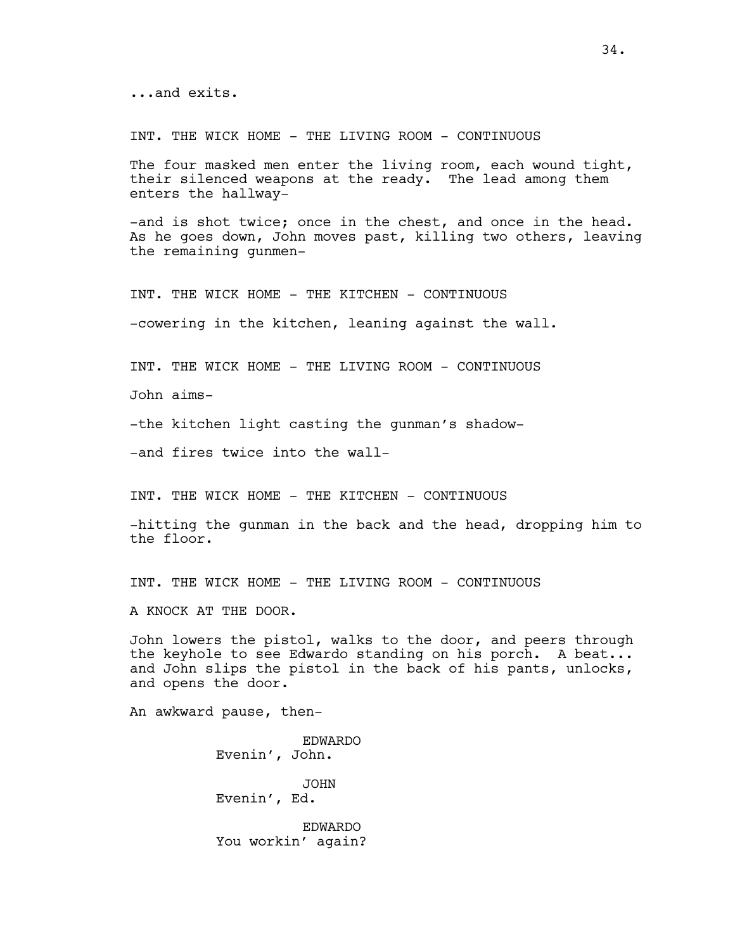INT. THE WICK HOME - THE LIVING ROOM - CONTINUOUS

The four masked men enter the living room, each wound tight, their silenced weapons at the ready. The lead among them enters the hallway-

-and is shot twice; once in the chest, and once in the head. As he goes down, John moves past, killing two others, leaving the remaining gunmen-

INT. THE WICK HOME - THE KITCHEN - CONTINUOUS -cowering in the kitchen, leaning against the wall.

INT. THE WICK HOME - THE LIVING ROOM - CONTINUOUS

John aims-

-the kitchen light casting the gunman's shadow-

-and fires twice into the wall-

INT. THE WICK HOME - THE KITCHEN - CONTINUOUS

-hitting the gunman in the back and the head, dropping him to the floor.

INT. THE WICK HOME - THE LIVING ROOM - CONTINUOUS

A KNOCK AT THE DOOR.

John lowers the pistol, walks to the door, and peers through the keyhole to see Edwardo standing on his porch. A beat... and John slips the pistol in the back of his pants, unlocks, and opens the door.

An awkward pause, then-

EDWARDO Evenin', John. JOHN Evenin', Ed.

EDWARDO You workin' again?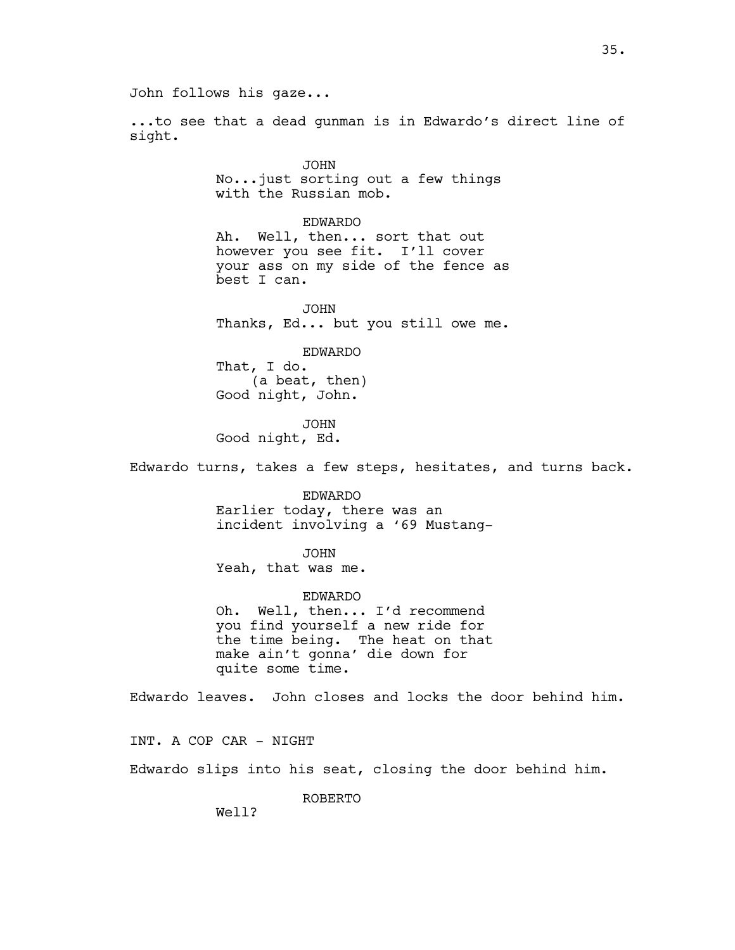John follows his gaze...

...to see that a dead gunman is in Edwardo's direct line of sight.

> JOHN No...just sorting out a few things with the Russian mob.

EDWARDO Ah. Well, then... sort that out however you see fit. I'll cover your ass on my side of the fence as best I can.

JOHN Thanks, Ed... but you still owe me.

EDWARDO That, I do. (a beat, then) Good night, John.

JOHN Good night, Ed.

Edwardo turns, takes a few steps, hesitates, and turns back.

EDWARDO Earlier today, there was an incident involving a '69 Mustang-

JOHN Yeah, that was me.

EDWARDO Oh. Well, then... I'd recommend you find yourself a new ride for the time being. The heat on that make ain't gonna' die down for quite some time.

Edwardo leaves. John closes and locks the door behind him.

INT. A COP CAR - NIGHT

Edwardo slips into his seat, closing the door behind him.

ROBERTO

Well?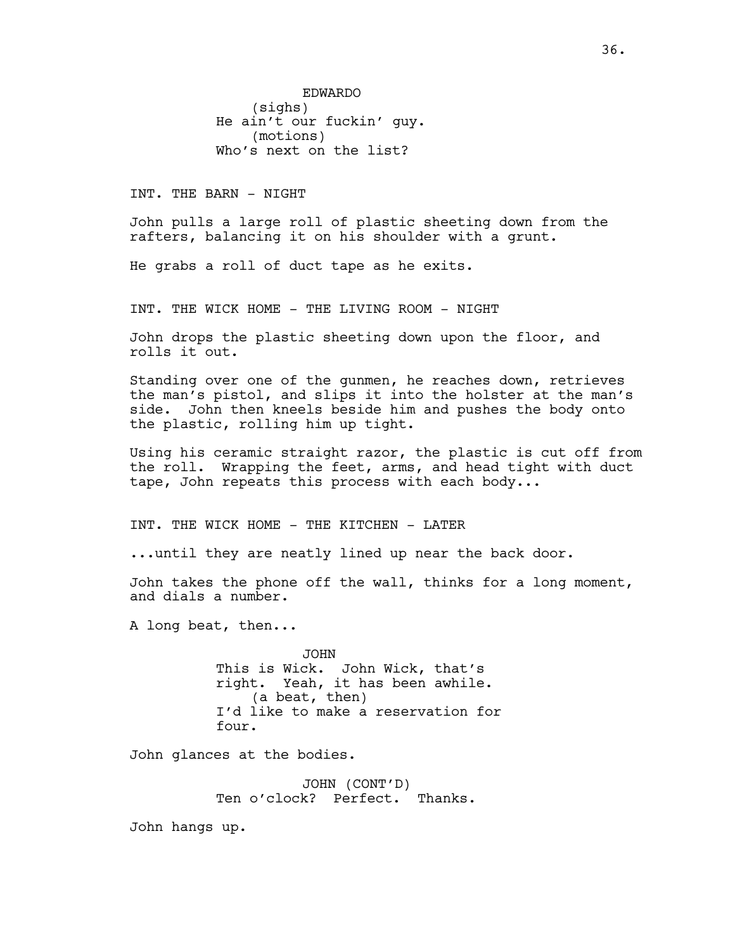EDWARDO (sighs) He ain't our fuckin' guy. (motions) Who's next on the list?

INT. THE BARN - NIGHT

John pulls a large roll of plastic sheeting down from the rafters, balancing it on his shoulder with a grunt.

He grabs a roll of duct tape as he exits.

INT. THE WICK HOME - THE LIVING ROOM - NIGHT

John drops the plastic sheeting down upon the floor, and rolls it out.

Standing over one of the gunmen, he reaches down, retrieves the man's pistol, and slips it into the holster at the man's side. John then kneels beside him and pushes the body onto the plastic, rolling him up tight.

Using his ceramic straight razor, the plastic is cut off from the roll. Wrapping the feet, arms, and head tight with duct tape, John repeats this process with each body...

INT. THE WICK HOME - THE KITCHEN - LATER

...until they are neatly lined up near the back door.

John takes the phone off the wall, thinks for a long moment, and dials a number.

A long beat, then...

JOHN This is Wick. John Wick, that's right. Yeah, it has been awhile. (a beat, then) I'd like to make a reservation for four.

John glances at the bodies.

JOHN (CONT'D) Ten o'clock? Perfect. Thanks.

John hangs up.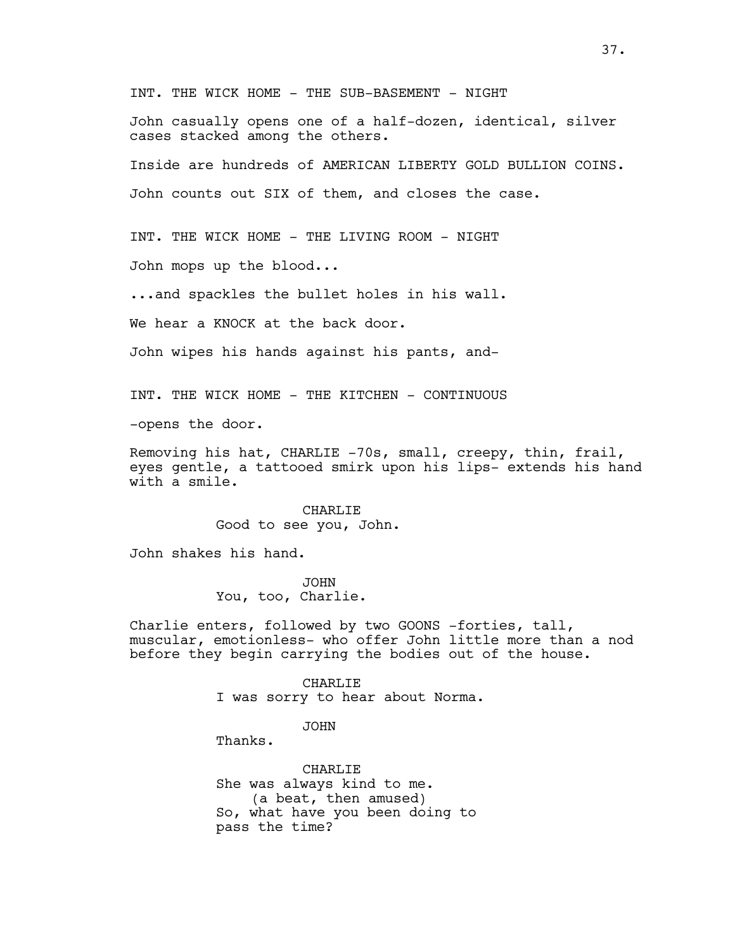INT. THE WICK HOME - THE SUB-BASEMENT - NIGHT

John casually opens one of a half-dozen, identical, silver cases stacked among the others.

Inside are hundreds of AMERICAN LIBERTY GOLD BULLION COINS. John counts out SIX of them, and closes the case.

INT. THE WICK HOME - THE LIVING ROOM - NIGHT

John mops up the blood...

...and spackles the bullet holes in his wall.

We hear a KNOCK at the back door.

John wipes his hands against his pants, and-

INT. THE WICK HOME - THE KITCHEN - CONTINUOUS

-opens the door.

Removing his hat, CHARLIE -70s, small, creepy, thin, frail, eyes gentle, a tattooed smirk upon his lips- extends his hand with a smile.

> CHARLIE Good to see you, John.

John shakes his hand.

JOHN You, too, Charlie.

Charlie enters, followed by two GOONS -forties, tall, muscular, emotionless- who offer John little more than a nod before they begin carrying the bodies out of the house.

> CHARLIE I was sorry to hear about Norma.

> > JOHN

Thanks.

CHARLIE She was always kind to me. (a beat, then amused) So, what have you been doing to pass the time?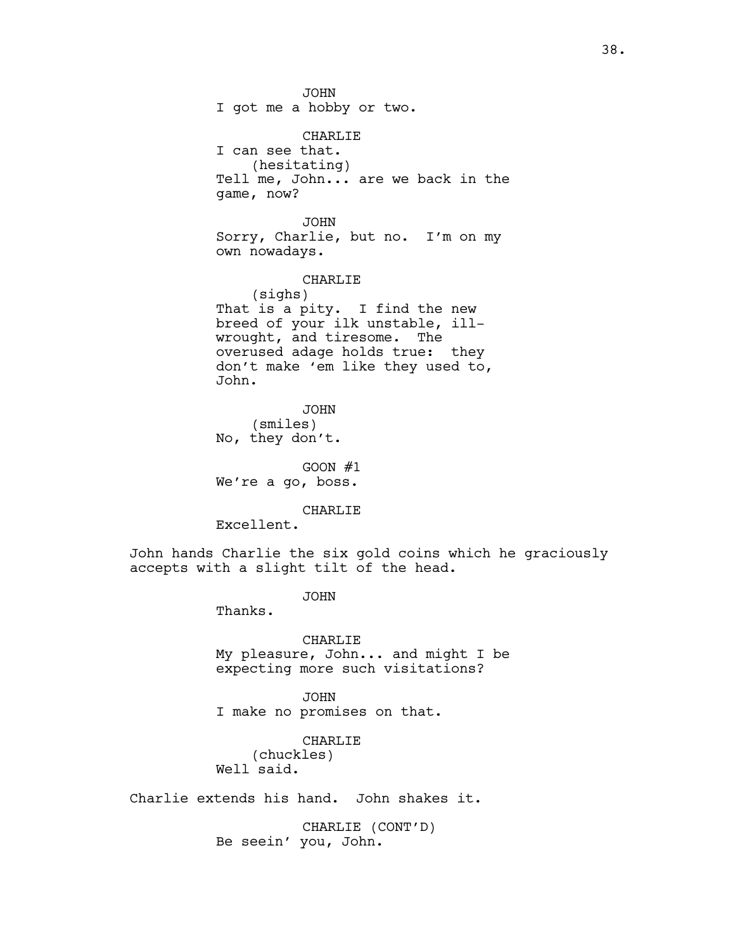JOHN I got me a hobby or two. CHARLIE I can see that. (hesitating) Tell me, John... are we back in the game, now? JOHN Sorry, Charlie, but no. I'm on my own nowadays. CHARLIE (sighs) That is a pity. I find the new breed of your ilk unstable, illwrought, and tiresome. The overused adage holds true: they don't make 'em like they used to, John. JOHN (smiles) No, they don't. GOON  $#1$ 

We're a go, boss.

CHARLIE

Excellent.

John hands Charlie the six gold coins which he graciously accepts with a slight tilt of the head.

JOHN

Thanks.

CHARLIE My pleasure, John... and might I be expecting more such visitations?

JOHN I make no promises on that.

CHARLIE (chuckles) Well said.

Charlie extends his hand. John shakes it.

CHARLIE (CONT'D) Be seein' you, John.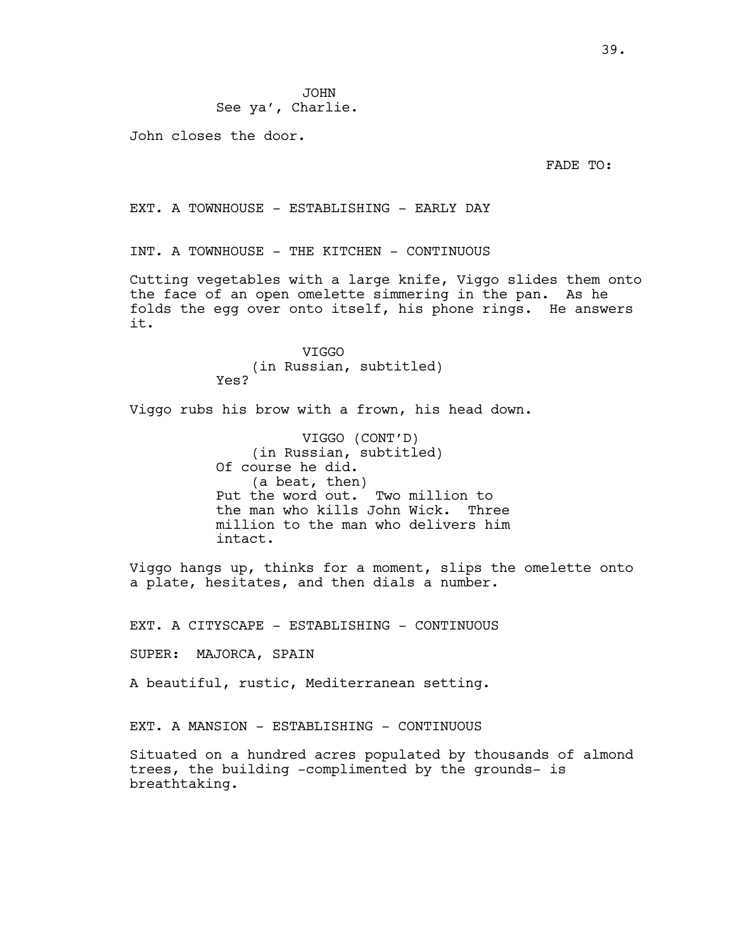See ya', Charlie.

John closes the door.

FADE TO:

EXT. A TOWNHOUSE - ESTABLISHING - EARLY DAY

INT. A TOWNHOUSE - THE KITCHEN - CONTINUOUS

Cutting vegetables with a large knife, Viggo slides them onto the face of an open omelette simmering in the pan. As he folds the egg over onto itself, his phone rings. He answers it.

> VIGGO (in Russian, subtitled) Yes?

Viggo rubs his brow with a frown, his head down.

VIGGO (CONT'D) (in Russian, subtitled) Of course he did. (a beat, then) Put the word out. Two million to the man who kills John Wick. Three million to the man who delivers him intact.

Viggo hangs up, thinks for a moment, slips the omelette onto a plate, hesitates, and then dials a number.

EXT. A CITYSCAPE - ESTABLISHING - CONTINUOUS

SUPER: MAJORCA, SPAIN

A beautiful, rustic, Mediterranean setting.

EXT. A MANSION - ESTABLISHING - CONTINUOUS

Situated on a hundred acres populated by thousands of almond trees, the building -complimented by the grounds- is breathtaking.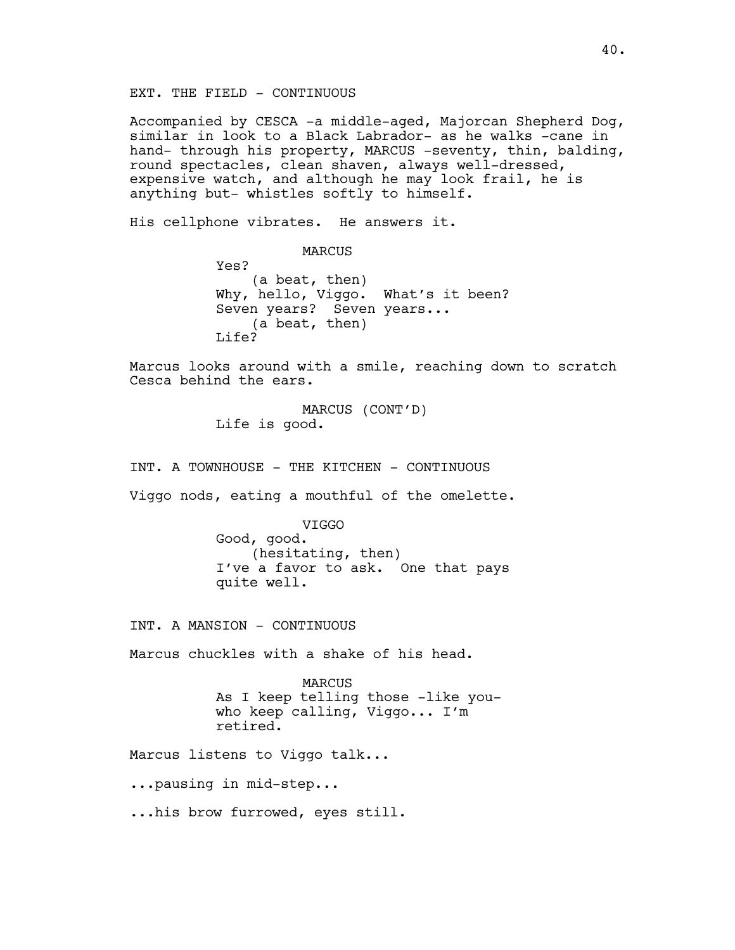Accompanied by CESCA -a middle-aged, Majorcan Shepherd Dog, similar in look to a Black Labrador- as he walks -cane in hand- through his property, MARCUS -seventy, thin, balding, round spectacles, clean shaven, always well-dressed, expensive watch, and although he may look frail, he is anything but- whistles softly to himself.

His cellphone vibrates. He answers it.

MARCUS Yes? (a beat, then) Why, hello, Viggo. What's it been? Seven years? Seven years... (a beat, then) Life?

Marcus looks around with a smile, reaching down to scratch Cesca behind the ears.

> MARCUS (CONT'D) Life is good.

INT. A TOWNHOUSE - THE KITCHEN - CONTINUOUS

Viggo nods, eating a mouthful of the omelette.

VIGGO Good, good. (hesitating, then) I've a favor to ask. One that pays quite well.

INT. A MANSION - CONTINUOUS

Marcus chuckles with a shake of his head.

MARCUS As I keep telling those -like youwho keep calling, Viggo... I'm retired.

Marcus listens to Viggo talk...

...pausing in mid-step...

...his brow furrowed, eyes still.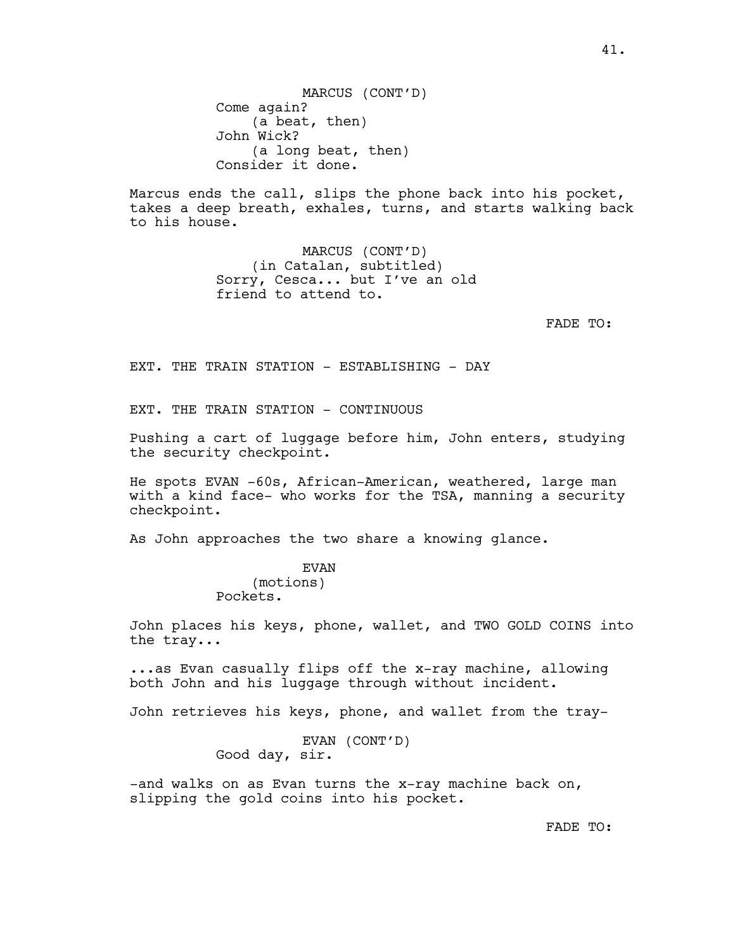MARCUS (CONT'D) Come again? (a beat, then) John Wick? (a long beat, then) Consider it done.

Marcus ends the call, slips the phone back into his pocket, takes a deep breath, exhales, turns, and starts walking back to his house.

> MARCUS (CONT'D) (in Catalan, subtitled) Sorry, Cesca... but I've an old friend to attend to.

> > FADE TO:

EXT. THE TRAIN STATION - ESTABLISHING - DAY

EXT. THE TRAIN STATION - CONTINUOUS

Pushing a cart of luggage before him, John enters, studying the security checkpoint.

He spots EVAN -60s, African-American, weathered, large man with a kind face- who works for the TSA, manning a security checkpoint.

As John approaches the two share a knowing glance.

EVAN (motions) Pockets.

John places his keys, phone, wallet, and TWO GOLD COINS into the tray...

...as Evan casually flips off the x-ray machine, allowing both John and his luggage through without incident.

John retrieves his keys, phone, and wallet from the tray-

EVAN (CONT'D) Good day, sir.

-and walks on as Evan turns the x-ray machine back on, slipping the gold coins into his pocket.

FADE TO: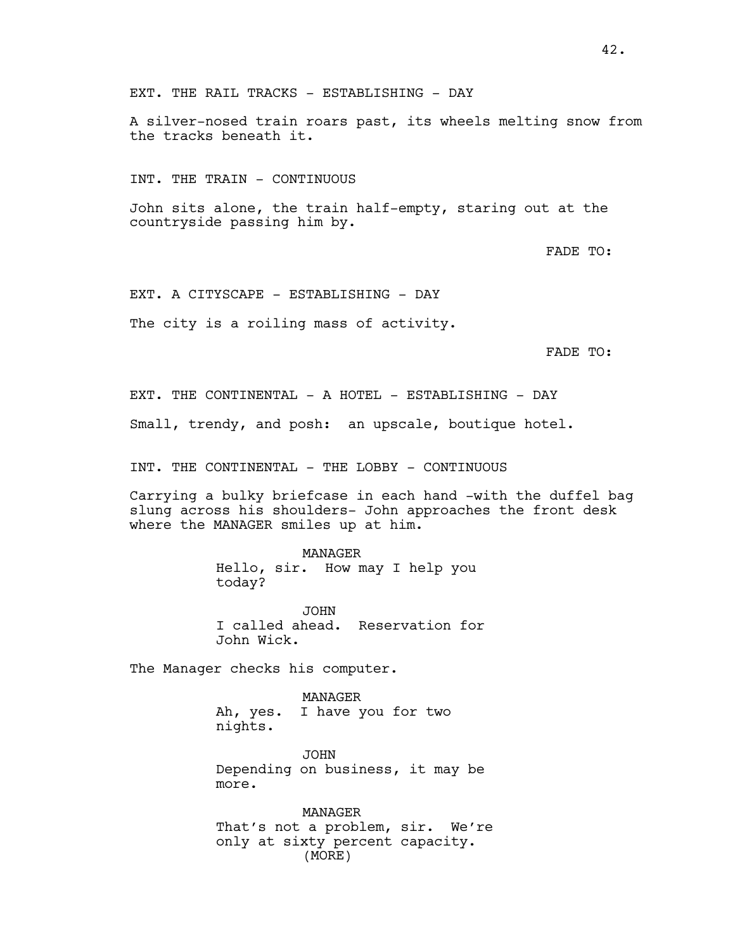EXT. THE RAIL TRACKS - ESTABLISHING - DAY

A silver-nosed train roars past, its wheels melting snow from the tracks beneath it.

INT. THE TRAIN - CONTINUOUS

John sits alone, the train half-empty, staring out at the countryside passing him by.

FADE TO:

EXT. A CITYSCAPE - ESTABLISHING - DAY The city is a roiling mass of activity.

FADE TO:

EXT. THE CONTINENTAL - A HOTEL - ESTABLISHING - DAY

Small, trendy, and posh: an upscale, boutique hotel.

INT. THE CONTINENTAL - THE LOBBY - CONTINUOUS

Carrying a bulky briefcase in each hand -with the duffel bag slung across his shoulders- John approaches the front desk where the MANAGER smiles up at him.

> MANAGER Hello, sir. How may I help you today?

JOHN I called ahead. Reservation for John Wick.

The Manager checks his computer.

MANAGER Ah, yes. I have you for two nights.

JOHN Depending on business, it may be more.

MANAGER That's not a problem, sir. We're only at sixty percent capacity. (MORE)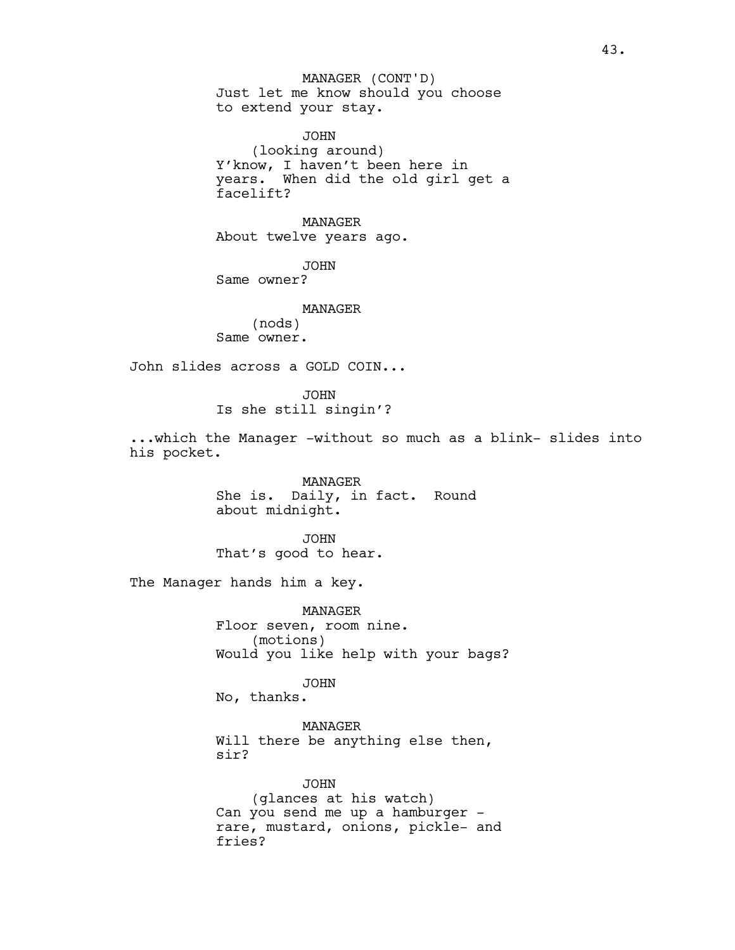Just let me know should you choose to extend your stay. MANAGER (CONT'D)

JOHN (looking around) Y'know, I haven't been here in years. When did the old girl get a facelift?

MANAGER About twelve years ago.

JOHN Same owner?

> MANAGER (nods)

Same owner.

John slides across a GOLD COIN...

JOHN Is she still singin'?

...which the Manager -without so much as a blink- slides into his pocket.

> MANAGER She is. Daily, in fact. Round about midnight.

JOHN That's good to hear.

The Manager hands him a key.

MANAGER Floor seven, room nine. (motions) Would you like help with your bags?

JOHN

No, thanks.

MANAGER Will there be anything else then, sir?

JOHN (glances at his watch) Can you send me up a hamburger rare, mustard, onions, pickle- and fries?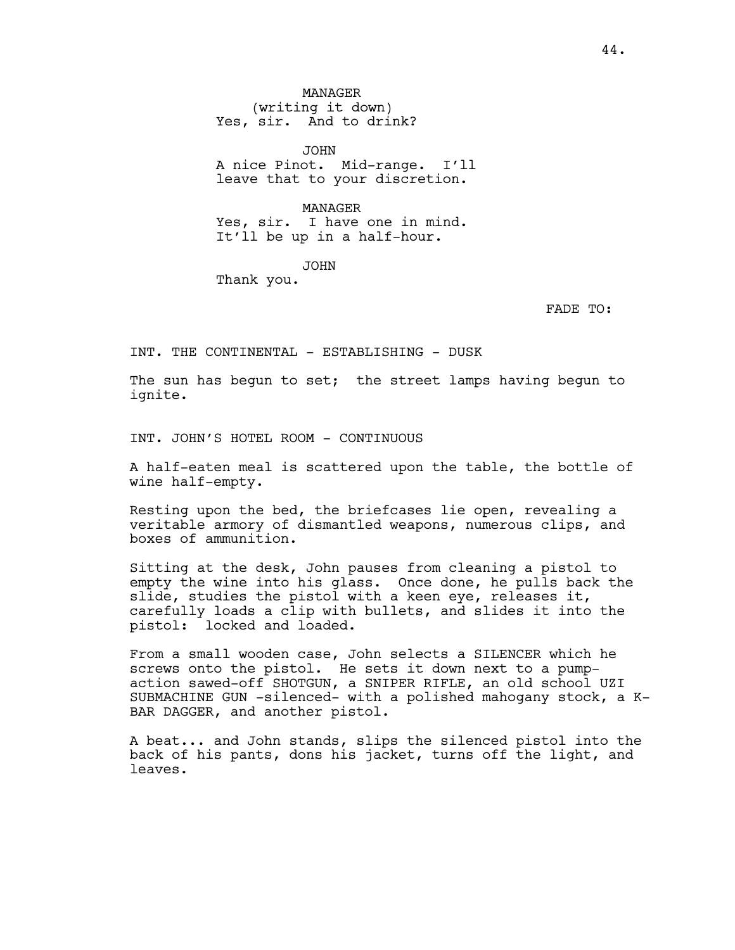MANAGER (writing it down) Yes, sir. And to drink?

JOHN A nice Pinot. Mid-range. I'll leave that to your discretion.

MANAGER Yes, sir. I have one in mind. It'll be up in a half-hour.

JOHN

Thank you.

FADE TO:

INT. THE CONTINENTAL - ESTABLISHING - DUSK

The sun has begun to set; the street lamps having begun to ignite.

INT. JOHN'S HOTEL ROOM - CONTINUOUS

A half-eaten meal is scattered upon the table, the bottle of wine half-empty.

Resting upon the bed, the briefcases lie open, revealing a veritable armory of dismantled weapons, numerous clips, and boxes of ammunition.

Sitting at the desk, John pauses from cleaning a pistol to empty the wine into his glass. Once done, he pulls back the slide, studies the pistol with a keen eye, releases it, carefully loads a clip with bullets, and slides it into the pistol: locked and loaded.

From a small wooden case, John selects a SILENCER which he screws onto the pistol. He sets it down next to a pumpaction sawed-off SHOTGUN, a SNIPER RIFLE, an old school UZI SUBMACHINE GUN -silenced- with a polished mahogany stock, a K-BAR DAGGER, and another pistol.

A beat... and John stands, slips the silenced pistol into the back of his pants, dons his jacket, turns off the light, and leaves.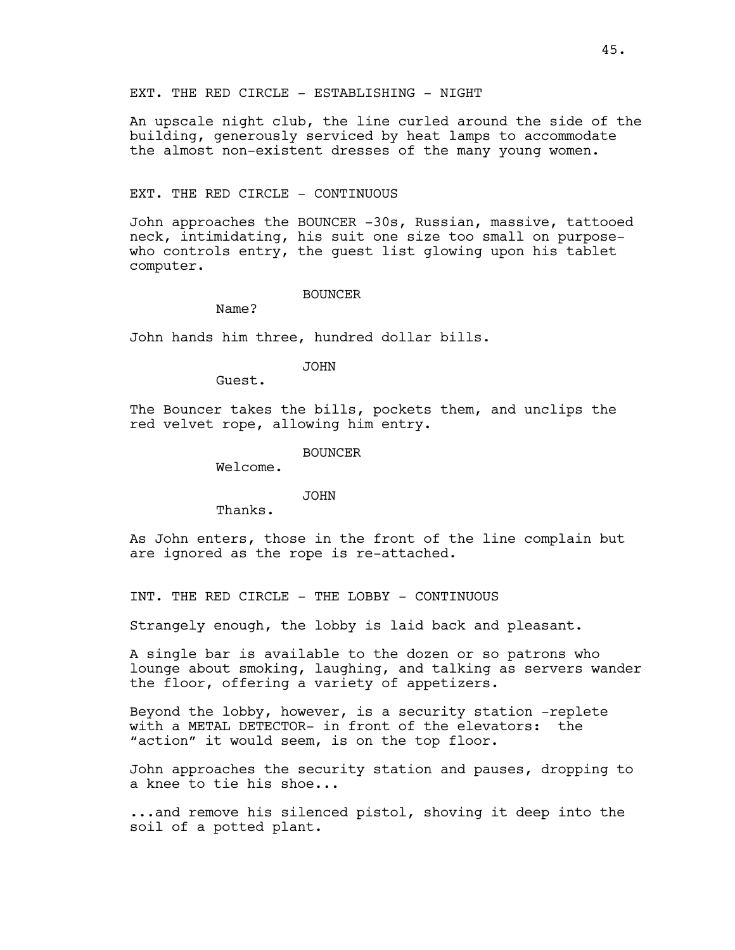An upscale night club, the line curled around the side of the building, generously serviced by heat lamps to accommodate the almost non-existent dresses of the many young women.

#### EXT. THE RED CIRCLE - CONTINUOUS

John approaches the BOUNCER -30s, Russian, massive, tattooed neck, intimidating, his suit one size too small on purposewho controls entry, the guest list glowing upon his tablet computer.

#### BOUNCER

Name?

John hands him three, hundred dollar bills.

## JOHN

Guest.

The Bouncer takes the bills, pockets them, and unclips the red velvet rope, allowing him entry.

#### BOUNCER

Welcome.

#### JOHN

Thanks.

As John enters, those in the front of the line complain but are ignored as the rope is re-attached.

INT. THE RED CIRCLE - THE LOBBY - CONTINUOUS

Strangely enough, the lobby is laid back and pleasant.

A single bar is available to the dozen or so patrons who lounge about smoking, laughing, and talking as servers wander the floor, offering a variety of appetizers.

Beyond the lobby, however, is a security station -replete with a METAL DETECTOR- in front of the elevators: the "action" it would seem, is on the top floor.

John approaches the security station and pauses, dropping to a knee to tie his shoe...

...and remove his silenced pistol, shoving it deep into the soil of a potted plant.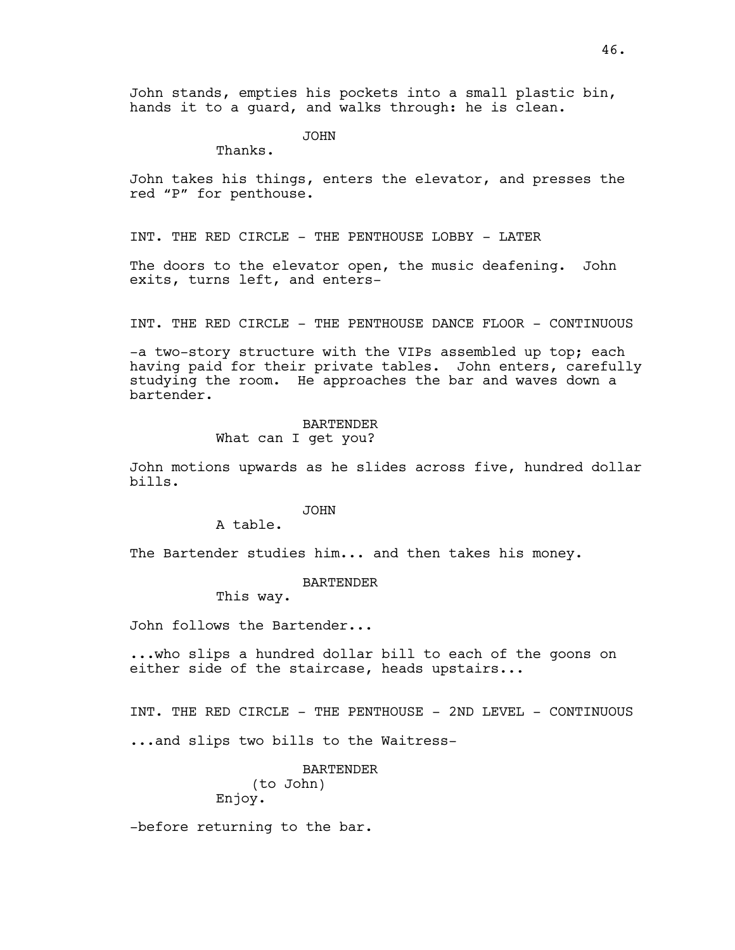John stands, empties his pockets into a small plastic bin, hands it to a guard, and walks through: he is clean.

JOHN

Thanks.

John takes his things, enters the elevator, and presses the red "P" for penthouse.

INT. THE RED CIRCLE - THE PENTHOUSE LOBBY - LATER

The doors to the elevator open, the music deafening. John exits, turns left, and enters-

INT. THE RED CIRCLE - THE PENTHOUSE DANCE FLOOR - CONTINUOUS

-a two-story structure with the VIPs assembled up top; each having paid for their private tables. John enters, carefully studying the room. He approaches the bar and waves down a bartender.

## BARTENDER What can I get you?

John motions upwards as he slides across five, hundred dollar bills.

### JOHN

A table.

The Bartender studies him... and then takes his money.

## BARTENDER

This way.

John follows the Bartender...

...who slips a hundred dollar bill to each of the goons on either side of the staircase, heads upstairs...

INT. THE RED CIRCLE - THE PENTHOUSE - 2ND LEVEL - CONTINUOUS ...and slips two bills to the Waitress-

> BARTENDER (to John) Enjoy.

-before returning to the bar.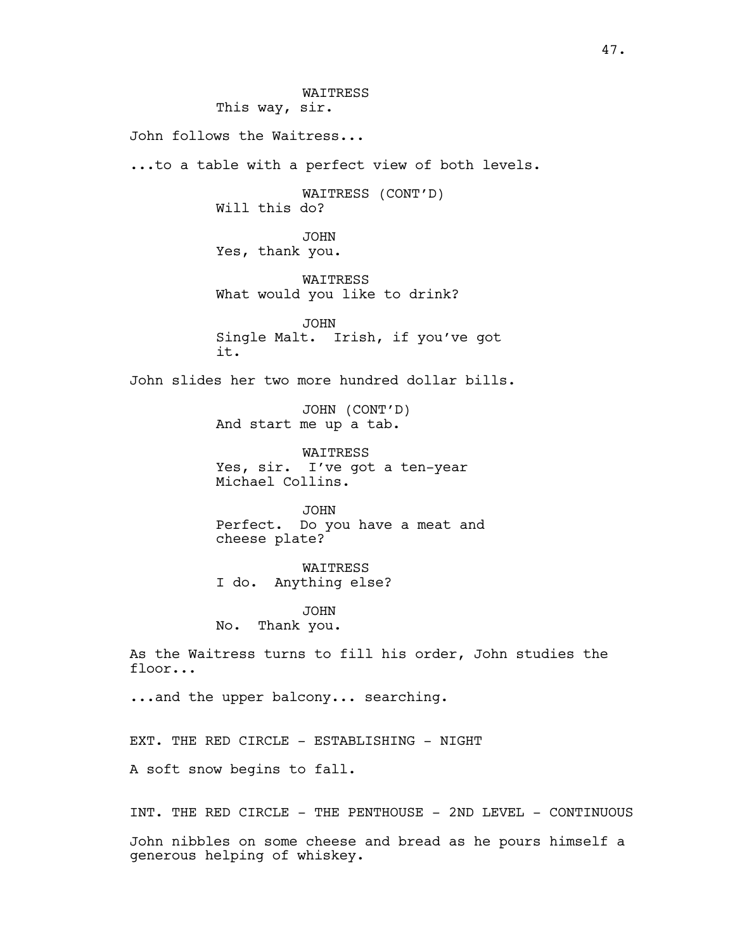WAITRESS This way, sir. John follows the Waitress... ...to a table with a perfect view of both levels. WAITRESS (CONT'D) Will this do? JOHN Yes, thank you. WAITRESS What would you like to drink? JOHN Single Malt. Irish, if you've got it. John slides her two more hundred dollar bills. JOHN (CONT'D) And start me up a tab. WAITRESS Yes, sir. I've got a ten-year Michael Collins. JOHN Perfect. Do you have a meat and cheese plate? WAITRESS I do. Anything else? JOHN No. Thank you. As the Waitress turns to fill his order, John studies the floor... ...and the upper balcony... searching. EXT. THE RED CIRCLE - ESTABLISHING - NIGHT A soft snow begins to fall. INT. THE RED CIRCLE - THE PENTHOUSE - 2ND LEVEL - CONTINUOUS John nibbles on some cheese and bread as he pours himself a

generous helping of whiskey.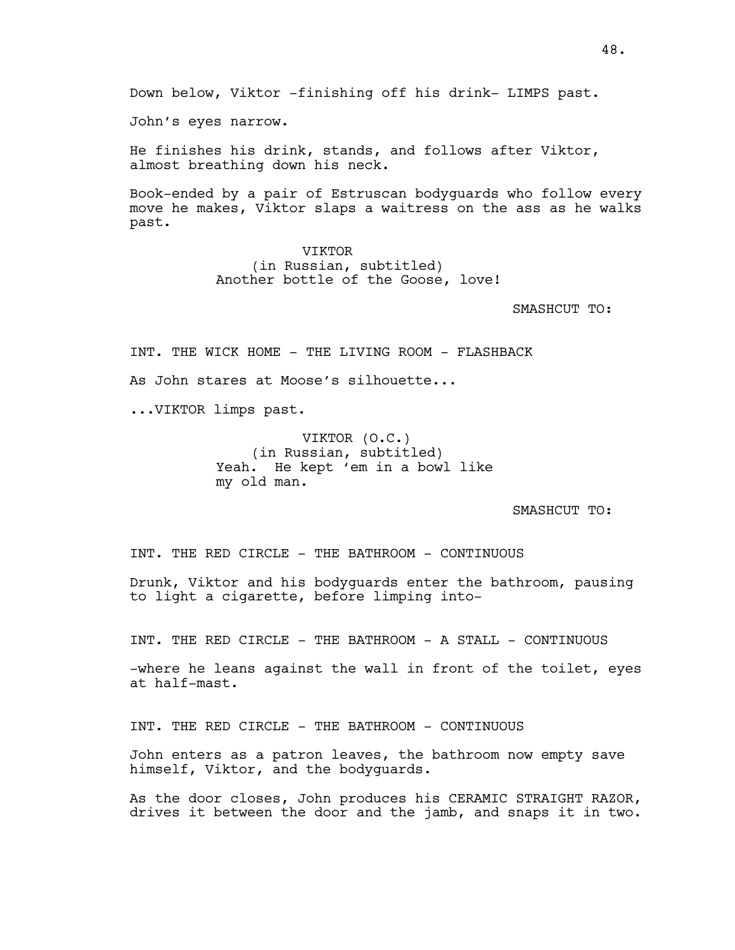Down below, Viktor -finishing off his drink- LIMPS past.

John's eyes narrow.

He finishes his drink, stands, and follows after Viktor, almost breathing down his neck.

Book-ended by a pair of Estruscan bodyguards who follow every move he makes, Viktor slaps a waitress on the ass as he walks past.

> VIKTOR (in Russian, subtitled) Another bottle of the Goose, love!

> > SMASHCUT TO:

INT. THE WICK HOME - THE LIVING ROOM - FLASHBACK

As John stares at Moose's silhouette...

...VIKTOR limps past.

VIKTOR (O.C.) (in Russian, subtitled) Yeah. He kept 'em in a bowl like my old man.

SMASHCUT TO:

INT. THE RED CIRCLE - THE BATHROOM - CONTINUOUS

Drunk, Viktor and his bodyguards enter the bathroom, pausing to light a cigarette, before limping into-

INT. THE RED CIRCLE - THE BATHROOM - A STALL - CONTINUOUS

-where he leans against the wall in front of the toilet, eyes at half-mast.

INT. THE RED CIRCLE - THE BATHROOM - CONTINUOUS

John enters as a patron leaves, the bathroom now empty save himself, Viktor, and the bodyguards.

As the door closes, John produces his CERAMIC STRAIGHT RAZOR, drives it between the door and the jamb, and snaps it in two.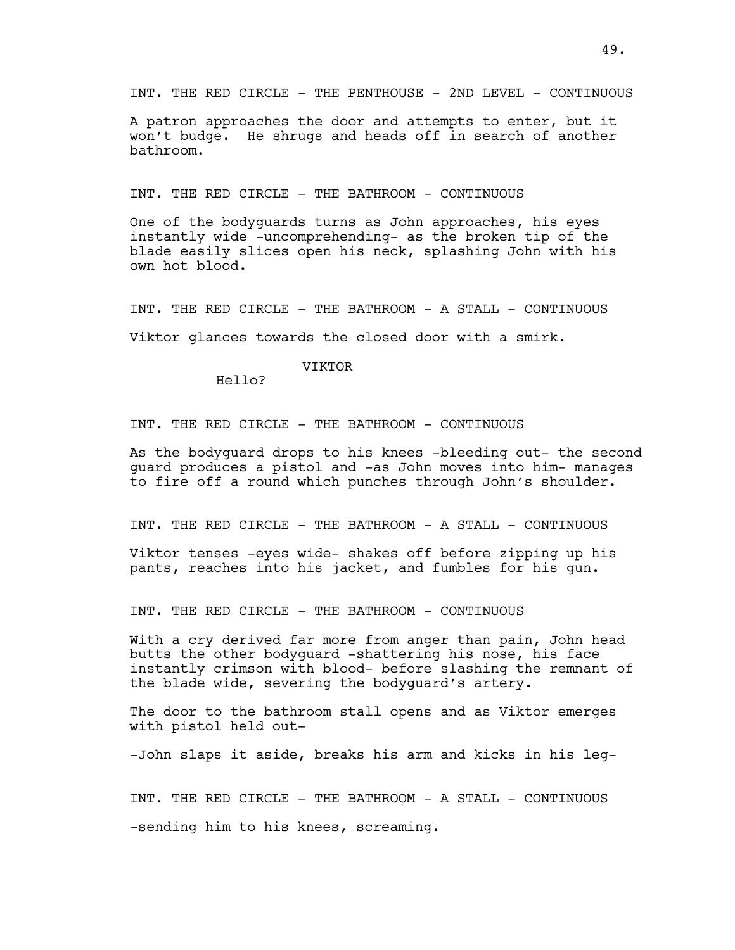A patron approaches the door and attempts to enter, but it won't budge. He shrugs and heads off in search of another bathroom.

INT. THE RED CIRCLE - THE BATHROOM - CONTINUOUS

One of the bodyguards turns as John approaches, his eyes instantly wide -uncomprehending- as the broken tip of the blade easily slices open his neck, splashing John with his own hot blood.

INT. THE RED CIRCLE - THE BATHROOM - A STALL - CONTINUOUS

Viktor glances towards the closed door with a smirk.

## VIKTOR

Hello?

INT. THE RED CIRCLE - THE BATHROOM - CONTINUOUS

As the bodyguard drops to his knees -bleeding out- the second guard produces a pistol and -as John moves into him- manages to fire off a round which punches through John's shoulder.

INT. THE RED CIRCLE - THE BATHROOM - A STALL - CONTINUOUS

Viktor tenses -eyes wide- shakes off before zipping up his pants, reaches into his jacket, and fumbles for his gun.

INT. THE RED CIRCLE - THE BATHROOM - CONTINUOUS

With a cry derived far more from anger than pain, John head butts the other bodyguard -shattering his nose, his face instantly crimson with blood- before slashing the remnant of the blade wide, severing the bodyguard's artery.

The door to the bathroom stall opens and as Viktor emerges with pistol held out-

-John slaps it aside, breaks his arm and kicks in his leg-

INT. THE RED CIRCLE - THE BATHROOM - A STALL - CONTINUOUS -sending him to his knees, screaming.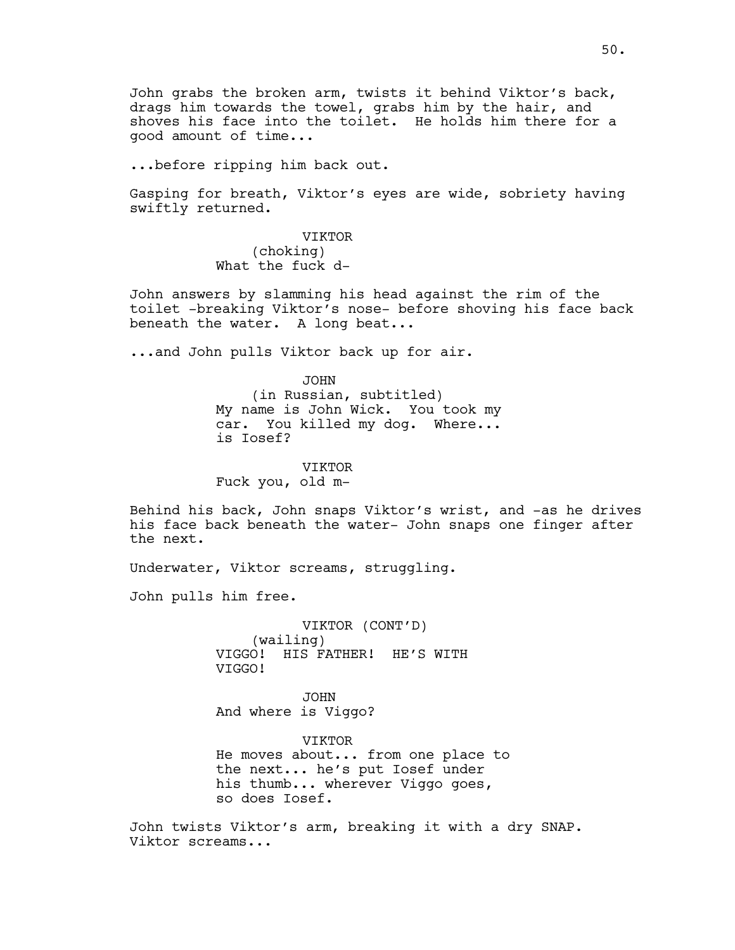John grabs the broken arm, twists it behind Viktor's back, drags him towards the towel, grabs him by the hair, and shoves his face into the toilet. He holds him there for a good amount of time...

...before ripping him back out.

Gasping for breath, Viktor's eyes are wide, sobriety having swiftly returned.

> VIKTOR (choking) What the fuck d-

John answers by slamming his head against the rim of the toilet -breaking Viktor's nose- before shoving his face back beneath the water. A long beat...

...and John pulls Viktor back up for air.

JOHN

(in Russian, subtitled) My name is John Wick. You took my car. You killed my dog. Where... is Iosef?

VIKTOR

Fuck you, old m-

Behind his back, John snaps Viktor's wrist, and -as he drives his face back beneath the water- John snaps one finger after the next.

Underwater, Viktor screams, struggling.

John pulls him free.

VIKTOR (CONT'D) (wailing) VIGGO! HIS FATHER! HE'S WITH VIGGO!

JOHN And where is Viggo?

VIKTOR He moves about... from one place to the next... he's put Iosef under his thumb... wherever Viggo goes, so does Iosef.

John twists Viktor's arm, breaking it with a dry SNAP. Viktor screams...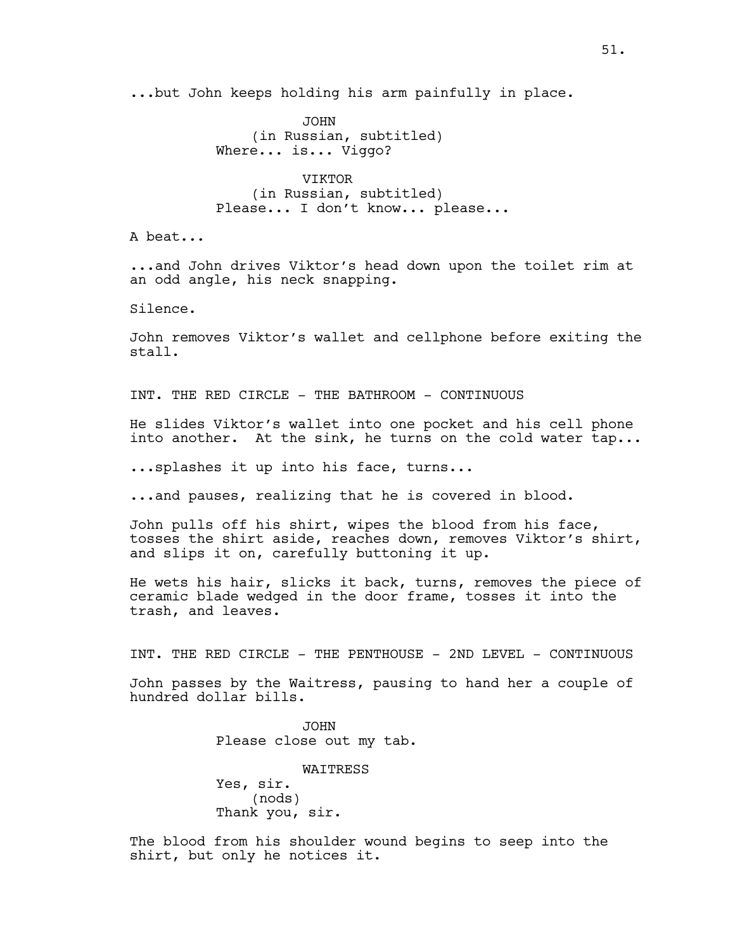...but John keeps holding his arm painfully in place.

JOHN (in Russian, subtitled) Where... is... Viggo?

VIKTOR (in Russian, subtitled) Please... I don't know... please...

A beat...

...and John drives Viktor's head down upon the toilet rim at an odd angle, his neck snapping.

Silence.

John removes Viktor's wallet and cellphone before exiting the stall.

INT. THE RED CIRCLE - THE BATHROOM - CONTINUOUS

He slides Viktor's wallet into one pocket and his cell phone into another. At the sink, he turns on the cold water tap...

...splashes it up into his face, turns...

...and pauses, realizing that he is covered in blood.

John pulls off his shirt, wipes the blood from his face, tosses the shirt aside, reaches down, removes Viktor's shirt, and slips it on, carefully buttoning it up.

He wets his hair, slicks it back, turns, removes the piece of ceramic blade wedged in the door frame, tosses it into the trash, and leaves.

INT. THE RED CIRCLE - THE PENTHOUSE - 2ND LEVEL - CONTINUOUS

John passes by the Waitress, pausing to hand her a couple of hundred dollar bills.

> JOHN Please close out my tab.

WAITRESS Yes, sir. (nods) Thank you, sir.

The blood from his shoulder wound begins to seep into the shirt, but only he notices it.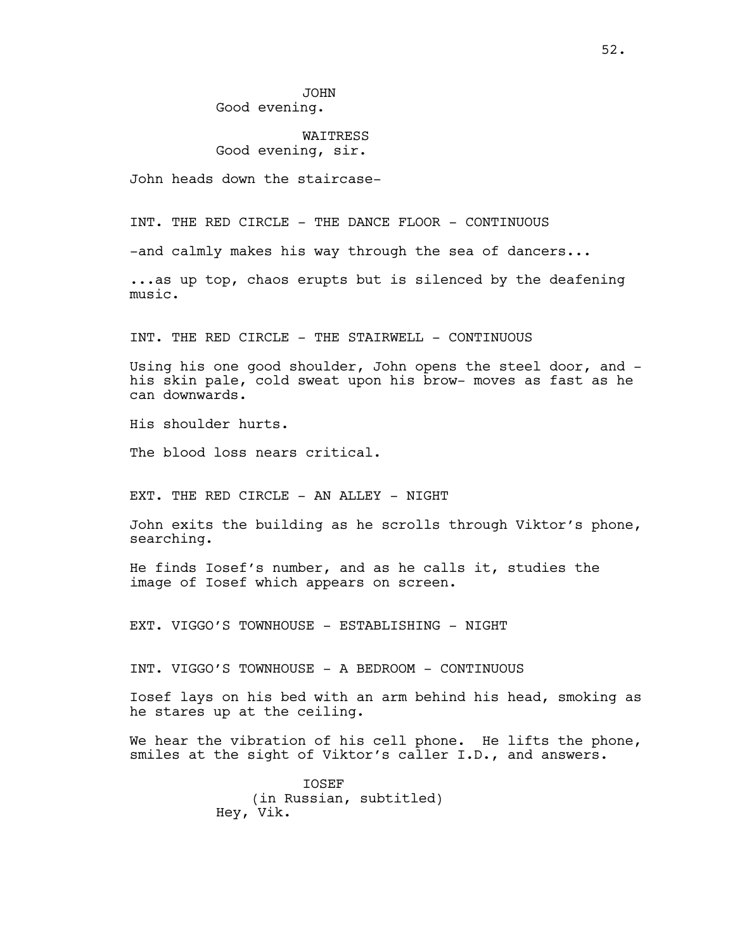# **WATTRESS** Good evening, sir.

John heads down the staircase-

INT. THE RED CIRCLE - THE DANCE FLOOR - CONTINUOUS

-and calmly makes his way through the sea of dancers...

...as up top, chaos erupts but is silenced by the deafening music.

INT. THE RED CIRCLE - THE STAIRWELL - CONTINUOUS

Using his one good shoulder, John opens the steel door, and his skin pale, cold sweat upon his brow- moves as fast as he can downwards.

His shoulder hurts.

The blood loss nears critical.

EXT. THE RED CIRCLE - AN ALLEY - NIGHT

John exits the building as he scrolls through Viktor's phone, searching.

He finds Iosef's number, and as he calls it, studies the image of Iosef which appears on screen.

EXT. VIGGO'S TOWNHOUSE - ESTABLISHING - NIGHT

INT. VIGGO'S TOWNHOUSE - A BEDROOM - CONTINUOUS

Iosef lays on his bed with an arm behind his head, smoking as he stares up at the ceiling.

We hear the vibration of his cell phone. He lifts the phone, smiles at the sight of Viktor's caller I.D., and answers.

> **TOSEF** (in Russian, subtitled) Hey, Vik.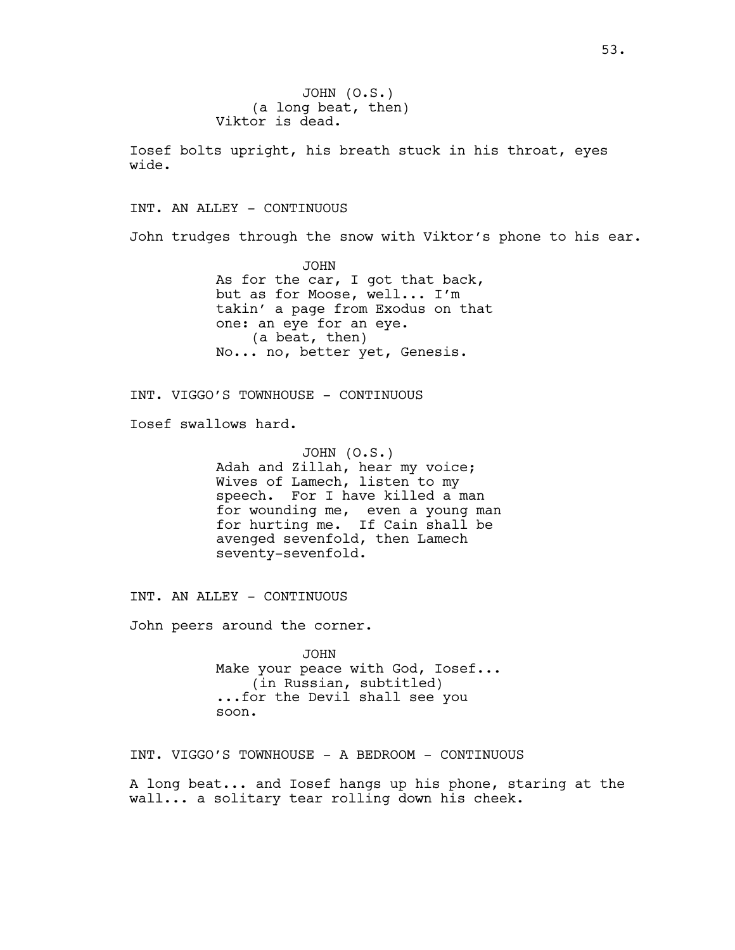JOHN (O.S.) (a long beat, then) Viktor is dead.

Iosef bolts upright, his breath stuck in his throat, eyes wide.

INT. AN ALLEY - CONTINUOUS

John trudges through the snow with Viktor's phone to his ear.

JOHN As for the car, I got that back, but as for Moose, well... I'm takin' a page from Exodus on that one: an eye for an eye. (a beat, then) No... no, better yet, Genesis.

INT. VIGGO'S TOWNHOUSE - CONTINUOUS

Iosef swallows hard.

JOHN (O.S.) Adah and Zillah, hear my voice; Wives of Lamech, listen to my speech. For I have killed a man for wounding me, even a young man for hurting me. If Cain shall be avenged sevenfold, then Lamech seventy-sevenfold.

INT. AN ALLEY - CONTINUOUS

John peers around the corner.

JOHN Make your peace with God, Iosef... (in Russian, subtitled) ...for the Devil shall see you soon.

INT. VIGGO'S TOWNHOUSE - A BEDROOM - CONTINUOUS

A long beat... and Iosef hangs up his phone, staring at the wall... a solitary tear rolling down his cheek.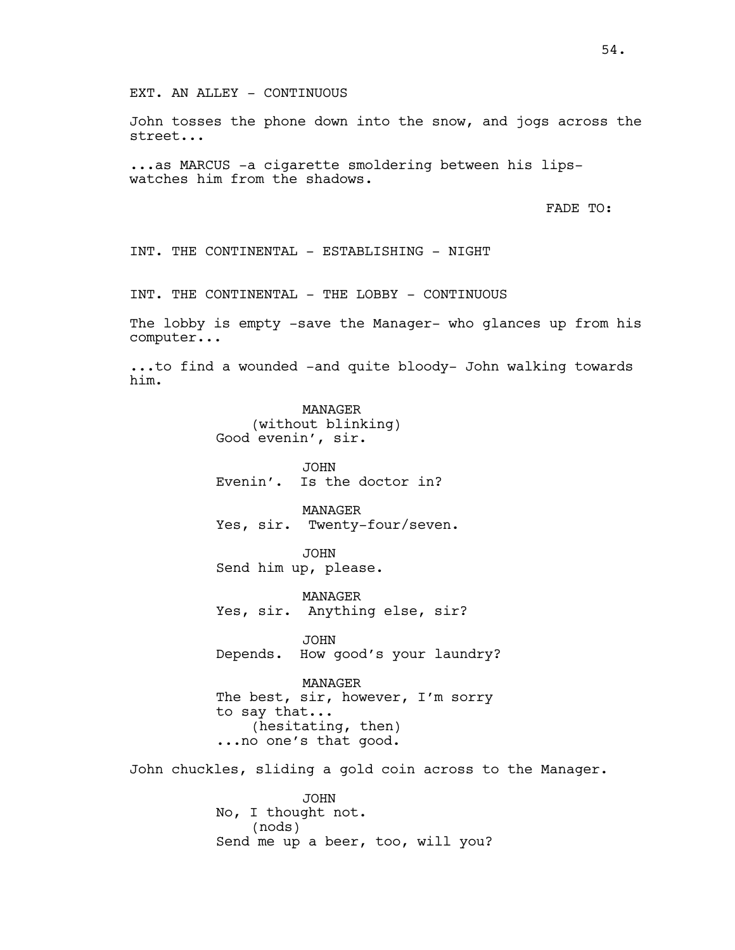John tosses the phone down into the snow, and jogs across the street...

...as MARCUS -a cigarette smoldering between his lipswatches him from the shadows.

FADE TO:

INT. THE CONTINENTAL - ESTABLISHING - NIGHT

INT. THE CONTINENTAL - THE LOBBY - CONTINUOUS

The lobby is empty -save the Manager- who glances up from his computer...

...to find a wounded -and quite bloody- John walking towards him.

> MANAGER (without blinking) Good evenin', sir.

JOHN Evenin'. Is the doctor in?

MANAGER Yes, sir. Twenty-four/seven.

JOHN Send him up, please.

MANAGER Yes, sir. Anything else, sir?

JOHN Depends. How good's your laundry?

MANAGER The best, sir, however, I'm sorry to say that... (hesitating, then) ...no one's that good.

John chuckles, sliding a gold coin across to the Manager.

JOHN No, I thought not. (nods) Send me up a beer, too, will you?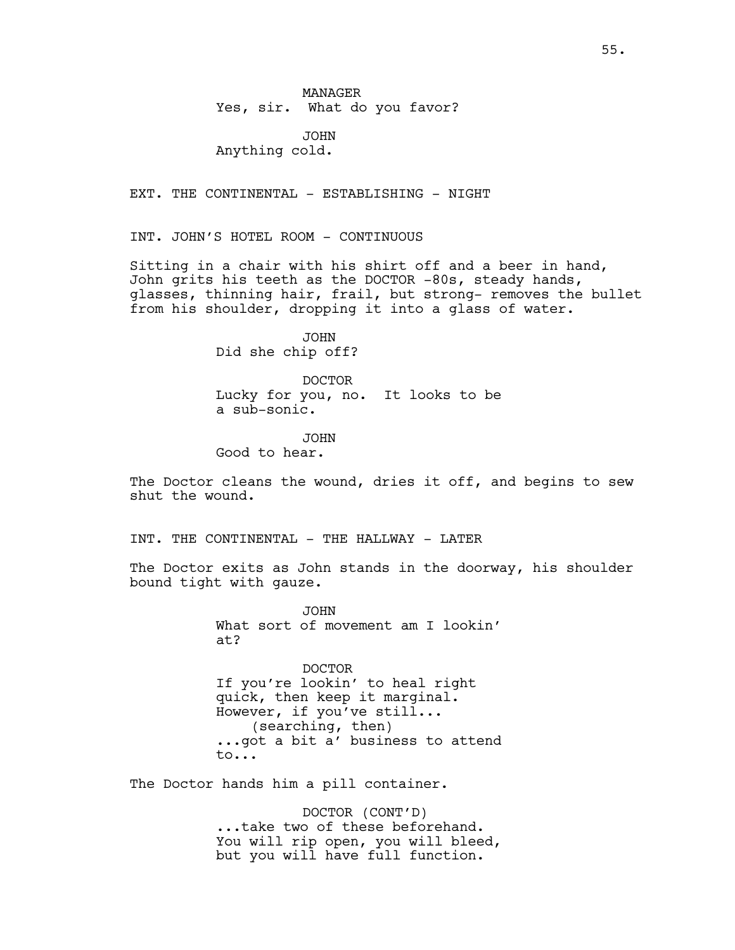MANAGER Yes, sir. What do you favor?

JOHN Anything cold.

EXT. THE CONTINENTAL - ESTABLISHING - NIGHT

INT. JOHN'S HOTEL ROOM - CONTINUOUS

Sitting in a chair with his shirt off and a beer in hand, John grits his teeth as the DOCTOR -80s, steady hands, glasses, thinning hair, frail, but strong- removes the bullet from his shoulder, dropping it into a glass of water.

> JOHN Did she chip off?

DOCTOR Lucky for you, no. It looks to be a sub-sonic.

JOHN Good to hear.

The Doctor cleans the wound, dries it off, and begins to sew shut the wound.

INT. THE CONTINENTAL - THE HALLWAY - LATER

The Doctor exits as John stands in the doorway, his shoulder bound tight with gauze.

> JOHN What sort of movement am I lookin' at?

DOCTOR If you're lookin' to heal right quick, then keep it marginal. However, if you've still... (searching, then) ...got a bit a' business to attend to...

The Doctor hands him a pill container.

DOCTOR (CONT'D) ...take two of these beforehand. You will rip open, you will bleed, but you will have full function.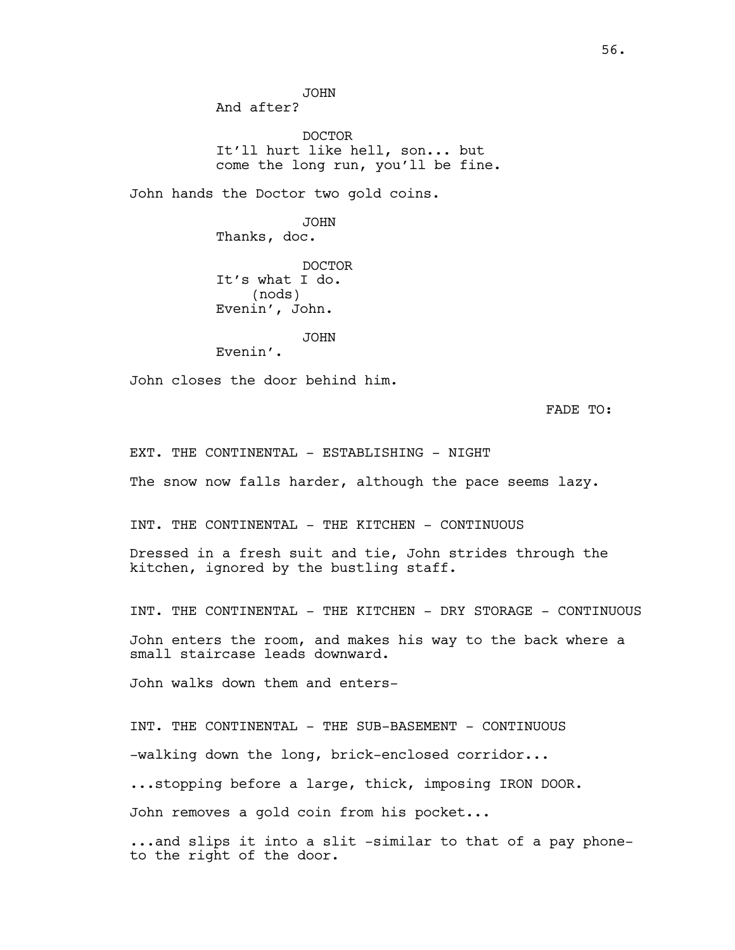JOHN And after?

DOCTOR It'll hurt like hell, son... but come the long run, you'll be fine.

John hands the Doctor two gold coins.

JOHN Thanks, doc. DOCTOR It's what I do. (nods) Evenin', John.

JOHN Evenin'.

John closes the door behind him.

FADE TO:

EXT. THE CONTINENTAL - ESTABLISHING - NIGHT

The snow now falls harder, although the pace seems lazy.

INT. THE CONTINENTAL - THE KITCHEN - CONTINUOUS

Dressed in a fresh suit and tie, John strides through the kitchen, ignored by the bustling staff.

INT. THE CONTINENTAL - THE KITCHEN - DRY STORAGE - CONTINUOUS John enters the room, and makes his way to the back where a small staircase leads downward.

John walks down them and enters-

INT. THE CONTINENTAL - THE SUB-BASEMENT - CONTINUOUS -walking down the long, brick-enclosed corridor... ...stopping before a large, thick, imposing IRON DOOR. John removes a gold coin from his pocket...

...and slips it into a slit -similar to that of a pay phoneto the right of the door.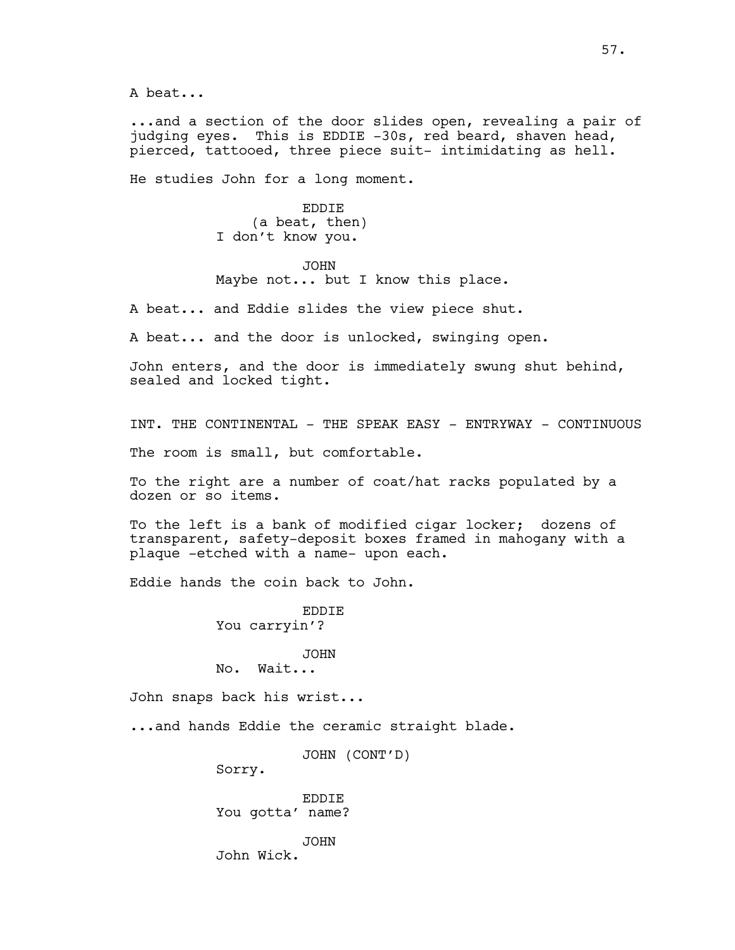A beat...

...and a section of the door slides open, revealing a pair of judging eyes. This is EDDIE -30s, red beard, shaven head, pierced, tattooed, three piece suit- intimidating as hell.

He studies John for a long moment.

EDDIE (a beat, then) I don't know you.

JOHN Maybe not... but I know this place.

A beat... and Eddie slides the view piece shut.

A beat... and the door is unlocked, swinging open.

John enters, and the door is immediately swung shut behind, sealed and locked tight.

INT. THE CONTINENTAL - THE SPEAK EASY - ENTRYWAY - CONTINUOUS

The room is small, but comfortable.

To the right are a number of coat/hat racks populated by a dozen or so items.

To the left is a bank of modified cigar locker; dozens of transparent, safety-deposit boxes framed in mahogany with a plaque -etched with a name- upon each.

Eddie hands the coin back to John.

EDDIE You carryin'?

## JOHN

No. Wait...

John snaps back his wrist...

...and hands Eddie the ceramic straight blade.

JOHN (CONT'D)

Sorry.

EDDIE You gotta' name?

JOHN John Wick.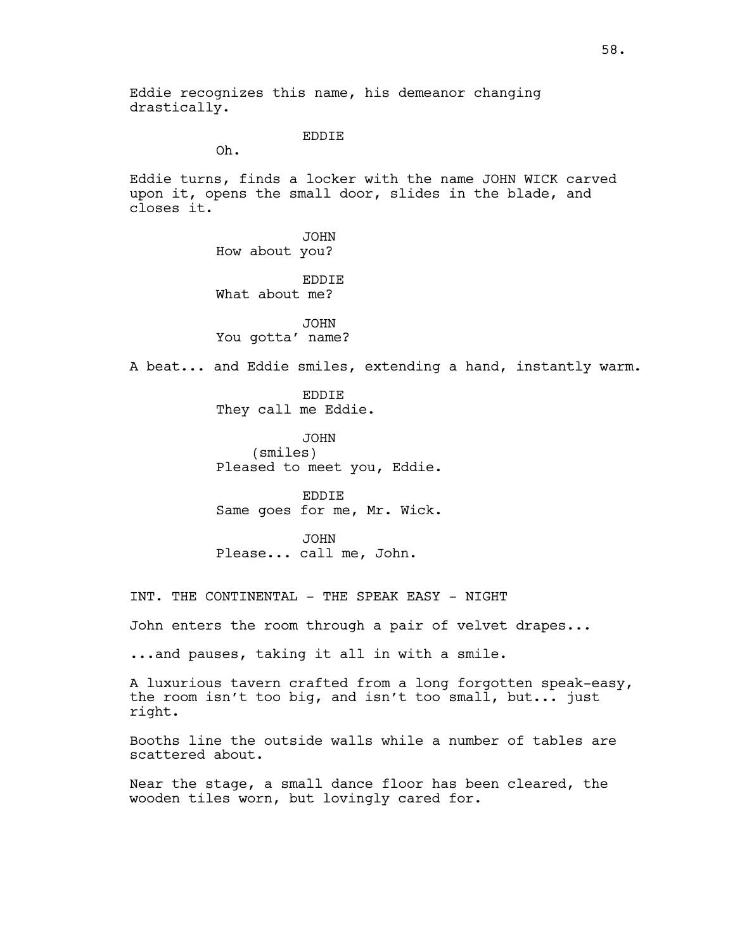Eddie recognizes this name, his demeanor changing drastically.

## EDDIE

Oh.

Eddie turns, finds a locker with the name JOHN WICK carved upon it, opens the small door, slides in the blade, and closes it.

> JOHN How about you? EDDIE What about me?

JOHN You gotta' name?

A beat... and Eddie smiles, extending a hand, instantly warm.

EDDIE They call me Eddie.

JOHN (smiles) Pleased to meet you, Eddie.

EDDIE Same goes for me, Mr. Wick.

JOHN Please... call me, John.

INT. THE CONTINENTAL - THE SPEAK EASY - NIGHT

John enters the room through a pair of velvet drapes...

...and pauses, taking it all in with a smile.

A luxurious tavern crafted from a long forgotten speak-easy, the room isn't too big, and isn't too small, but... just right.

Booths line the outside walls while a number of tables are scattered about.

Near the stage, a small dance floor has been cleared, the wooden tiles worn, but lovingly cared for.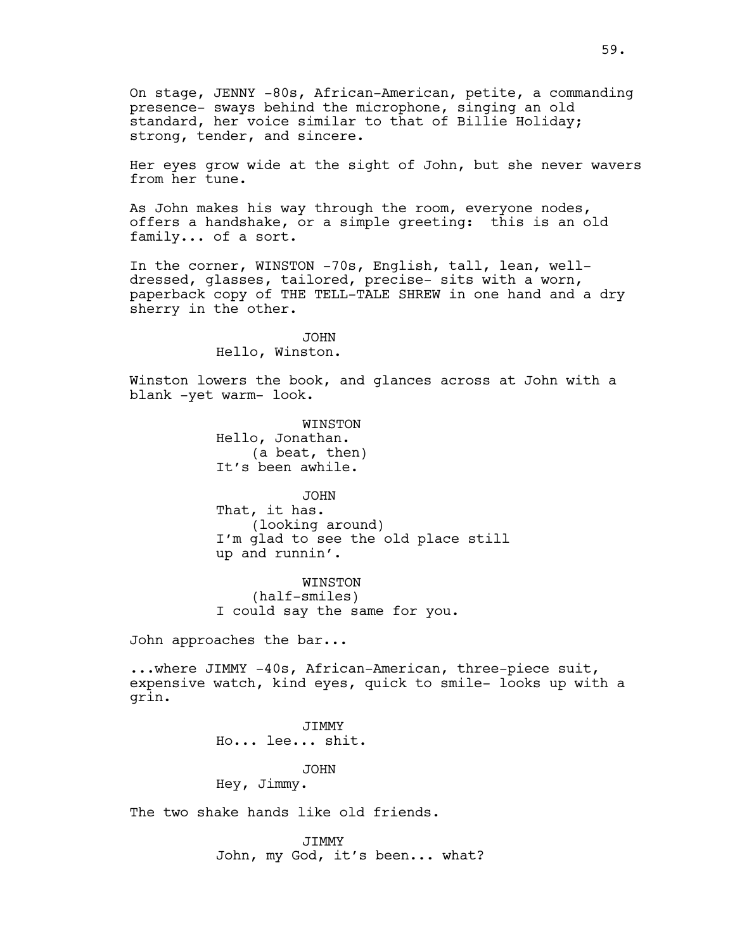On stage, JENNY -80s, African-American, petite, a commanding presence- sways behind the microphone, singing an old standard, her voice similar to that of Billie Holiday; strong, tender, and sincere.

Her eyes grow wide at the sight of John, but she never wavers from her tune.

As John makes his way through the room, everyone nodes, offers a handshake, or a simple greeting: this is an old family... of a sort.

In the corner, WINSTON -70s, English, tall, lean, welldressed, glasses, tailored, precise- sits with a worn, paperback copy of THE TELL-TALE SHREW in one hand and a dry sherry in the other.

> JOHN Hello, Winston.

Winston lowers the book, and glances across at John with a blank -yet warm- look.

> WINSTON Hello, Jonathan. (a beat, then) It's been awhile.

JOHN That, it has. (looking around) I'm glad to see the old place still up and runnin'.

WINSTON (half-smiles) I could say the same for you.

John approaches the bar...

...where JIMMY -40s, African-American, three-piece suit, expensive watch, kind eyes, quick to smile- looks up with a grin.

> **JTMMY** Ho... lee... shit.

> > JOHN

Hey, Jimmy.

The two shake hands like old friends.

JIMMY John, my God, it's been... what?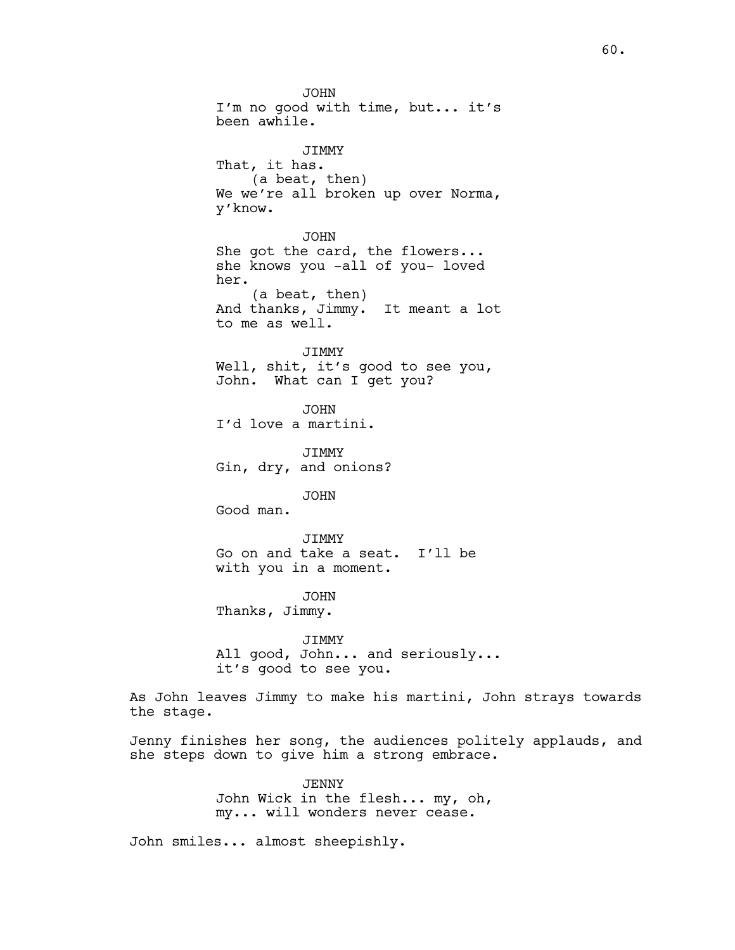JOHN I'm no good with time, but... it's been awhile. JIMMY That, it has. (a beat, then) We we're all broken up over Norma, y'know. JOHN She got the card, the flowers... she knows you -all of you- loved her. (a beat, then) And thanks, Jimmy. It meant a lot to me as well. JIMMY Well, shit, it's good to see you, John. What can I get you? JOHN I'd love a martini. JIMMY Gin, dry, and onions? JOHN Good man. JIMMY Go on and take a seat. I'll be with you in a moment. JOHN Thanks, Jimmy. JIMMY All good, John... and seriously... it's good to see you. As John leaves Jimmy to make his martini, John strays towards the stage. Jenny finishes her song, the audiences politely applauds, and she steps down to give him a strong embrace. JENNY

John Wick in the flesh... my, oh, my... will wonders never cease.

John smiles... almost sheepishly.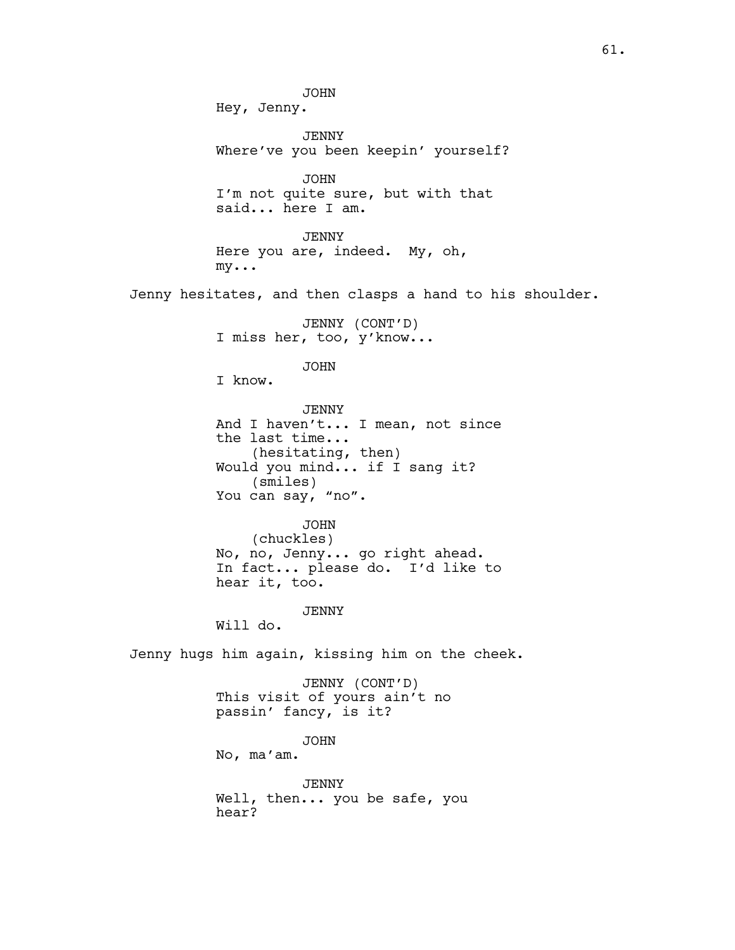JOHN Hey, Jenny. JENNY Where've you been keepin' yourself? JOHN I'm not quite sure, but with that said... here I am. JENNY Here you are, indeed. My, oh, my... Jenny hesitates, and then clasps a hand to his shoulder. JENNY (CONT'D) I miss her, too, y'know... JOHN I know. JENNY And I haven't... I mean, not since the last time... (hesitating, then) Would you mind... if I sang it? (smiles) You can say, "no". JOHN (chuckles) No, no, Jenny... go right ahead. In fact... please do. I'd like to hear it, too. JENNY Will do. Jenny hugs him again, kissing him on the cheek. JENNY (CONT'D) This visit of yours ain't no passin' fancy, is it? JOHN No, ma'am. JENNY Well, then... you be safe, you hear?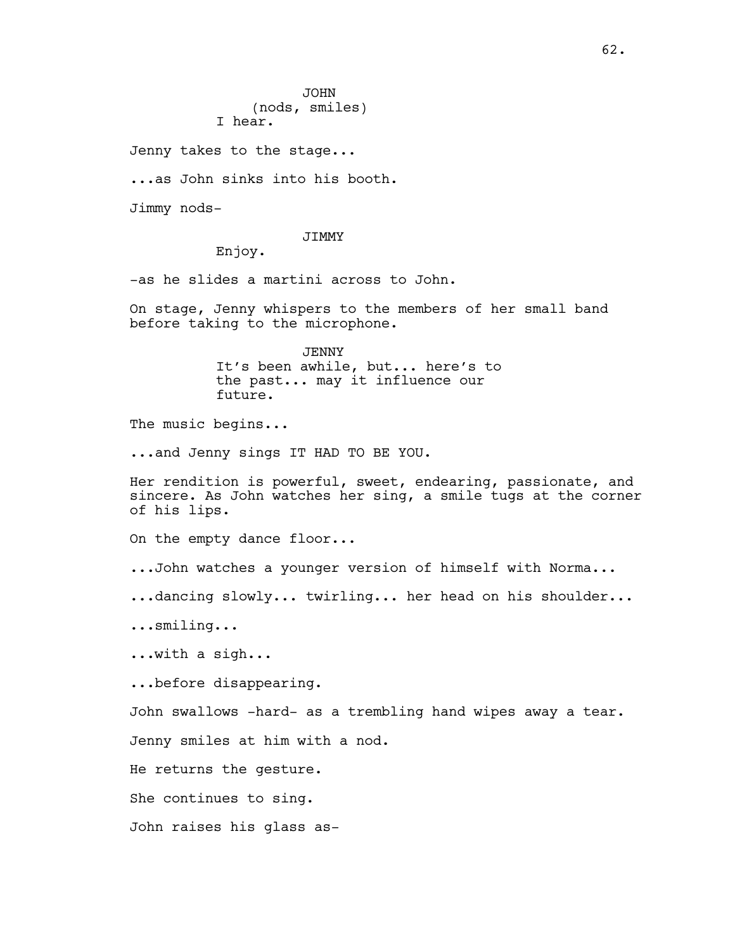Jenny takes to the stage...

...as John sinks into his booth.

Jimmy nods-

## JIMMY

Enjoy.

-as he slides a martini across to John.

On stage, Jenny whispers to the members of her small band before taking to the microphone.

> JENNY It's been awhile, but... here's to the past... may it influence our future.

The music begins...

...and Jenny sings IT HAD TO BE YOU.

Her rendition is powerful, sweet, endearing, passionate, and sincere. As John watches her sing, a smile tugs at the corner of his lips.

On the empty dance floor...

...John watches a younger version of himself with Norma...

...dancing slowly... twirling... her head on his shoulder...

...smiling...

...with a sigh...

...before disappearing.

John swallows -hard- as a trembling hand wipes away a tear.

Jenny smiles at him with a nod.

He returns the gesture.

She continues to sing.

John raises his glass as-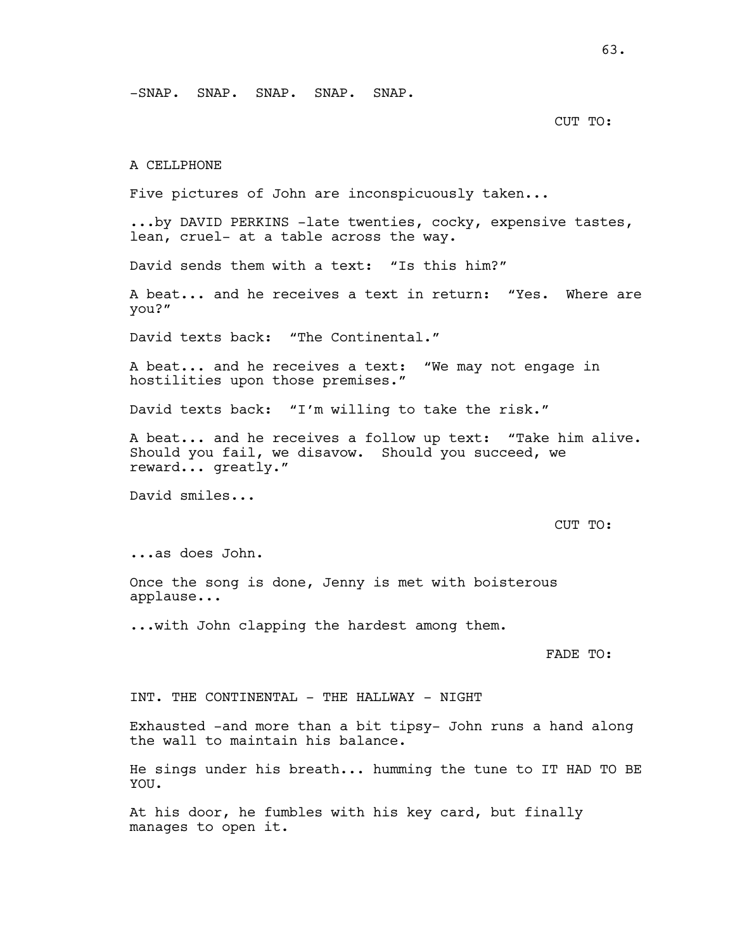-SNAP. SNAP. SNAP. SNAP. SNAP.

### CUT TO:

### A CELLPHONE

Five pictures of John are inconspicuously taken...

...by DAVID PERKINS -late twenties, cocky, expensive tastes, lean, cruel- at a table across the way.

David sends them with a text: "Is this him?"

A beat... and he receives a text in return: "Yes. Where are you?"

David texts back: "The Continental."

A beat... and he receives a text: "We may not engage in hostilities upon those premises."

David texts back: "I'm willing to take the risk."

A beat... and he receives a follow up text: "Take him alive. Should you fail, we disavow. Should you succeed, we reward... greatly."

David smiles...

#### CUT TO:

...as does John.

Once the song is done, Jenny is met with boisterous applause...

...with John clapping the hardest among them.

FADE TO:

INT. THE CONTINENTAL - THE HALLWAY - NIGHT

Exhausted -and more than a bit tipsy- John runs a hand along the wall to maintain his balance.

He sings under his breath... humming the tune to IT HAD TO BE YOU.

At his door, he fumbles with his key card, but finally manages to open it.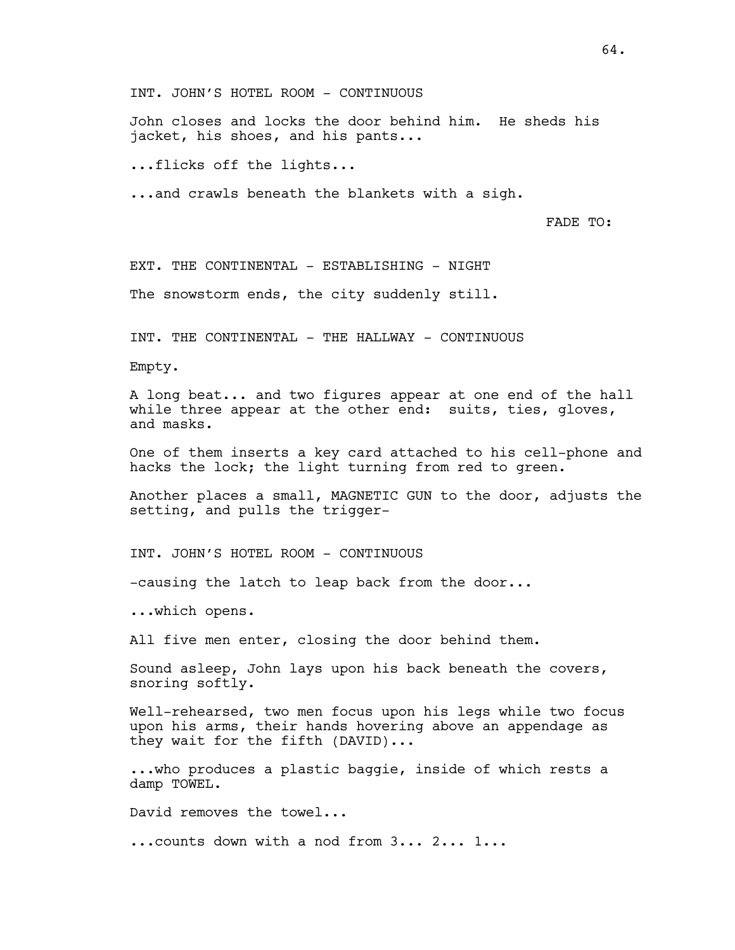INT. JOHN'S HOTEL ROOM - CONTINUOUS

John closes and locks the door behind him. He sheds his jacket, his shoes, and his pants...

...flicks off the lights...

...and crawls beneath the blankets with a sigh.

FADE TO:

EXT. THE CONTINENTAL - ESTABLISHING - NIGHT

The snowstorm ends, the city suddenly still.

INT. THE CONTINENTAL - THE HALLWAY - CONTINUOUS

Empty.

A long beat... and two figures appear at one end of the hall while three appear at the other end: suits, ties, gloves, and masks.

One of them inserts a key card attached to his cell-phone and hacks the lock; the light turning from red to green.

Another places a small, MAGNETIC GUN to the door, adjusts the setting, and pulls the trigger-

INT. JOHN'S HOTEL ROOM - CONTINUOUS

-causing the latch to leap back from the door...

...which opens.

All five men enter, closing the door behind them.

Sound asleep, John lays upon his back beneath the covers, snoring softly.

Well-rehearsed, two men focus upon his legs while two focus upon his arms, their hands hovering above an appendage as they wait for the fifth (DAVID)...

...who produces a plastic baggie, inside of which rests a damp TOWEL.

David removes the towel...

...counts down with a nod from 3... 2... 1...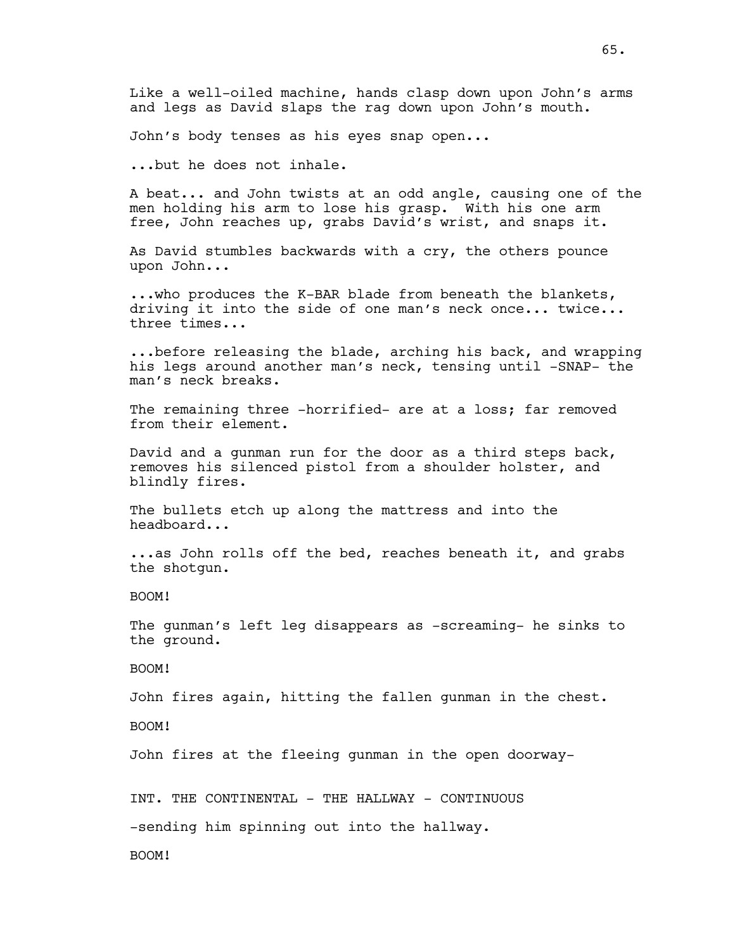John's body tenses as his eyes snap open...

...but he does not inhale.

A beat... and John twists at an odd angle, causing one of the men holding his arm to lose his grasp. With his one arm free, John reaches up, grabs David's wrist, and snaps it.

As David stumbles backwards with a cry, the others pounce upon John...

...who produces the K-BAR blade from beneath the blankets, driving it into the side of one man's neck once... twice... three times...

...before releasing the blade, arching his back, and wrapping his legs around another man's neck, tensing until -SNAP- the man's neck breaks.

The remaining three -horrified- are at a loss; far removed from their element.

David and a gunman run for the door as a third steps back, removes his silenced pistol from a shoulder holster, and blindly fires.

The bullets etch up along the mattress and into the headboard...

...as John rolls off the bed, reaches beneath it, and grabs the shotgun.

BOOM!

The gunman's left leg disappears as -screaming- he sinks to the ground.

BOOM!

John fires again, hitting the fallen gunman in the chest.

BOOM!

John fires at the fleeing gunman in the open doorway-

INT. THE CONTINENTAL - THE HALLWAY - CONTINUOUS

-sending him spinning out into the hallway.

BOOM!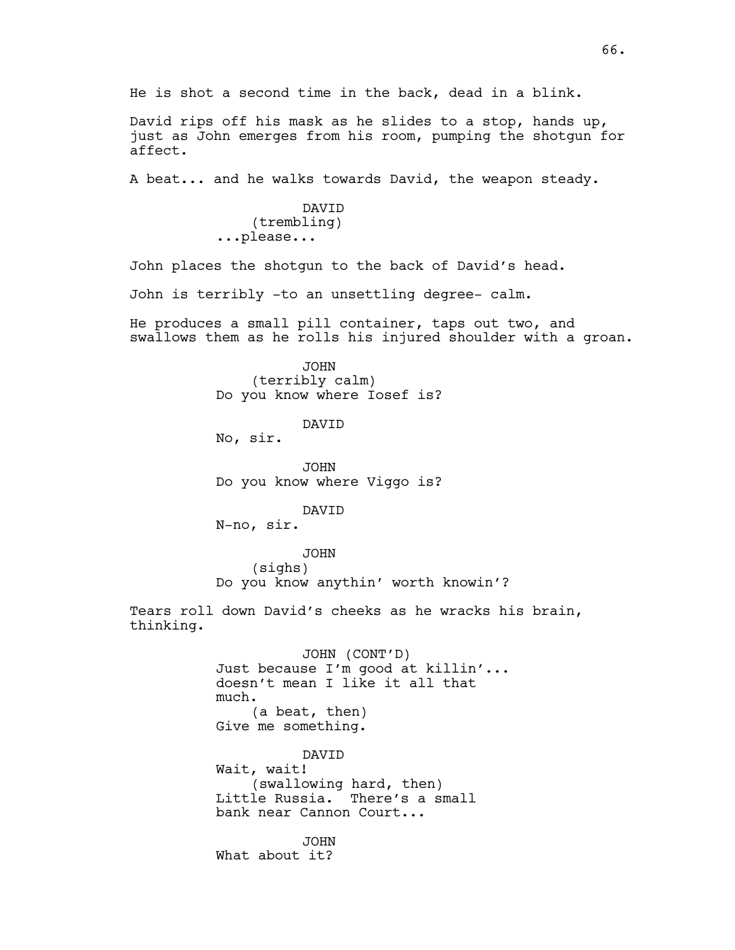He is shot a second time in the back, dead in a blink.

David rips off his mask as he slides to a stop, hands up, just as John emerges from his room, pumping the shotgun for affect.

A beat... and he walks towards David, the weapon steady.

DAVID (trembling) ...please...

John places the shotgun to the back of David's head.

John is terribly -to an unsettling degree- calm.

He produces a small pill container, taps out two, and swallows them as he rolls his injured shoulder with a groan.

> JOHN (terribly calm) Do you know where Iosef is?

> > DAVID

No, sir.

JOHN Do you know where Viggo is?

DAVID

N-no, sir.

JOHN (sighs) Do you know anythin' worth knowin'?

Tears roll down David's cheeks as he wracks his brain, thinking.

> JOHN (CONT'D) Just because I'm good at killin'... doesn't mean I like it all that much. (a beat, then) Give me something. DAVID Wait, wait!

(swallowing hard, then) Little Russia. There's a small bank near Cannon Court...

JOHN What about it?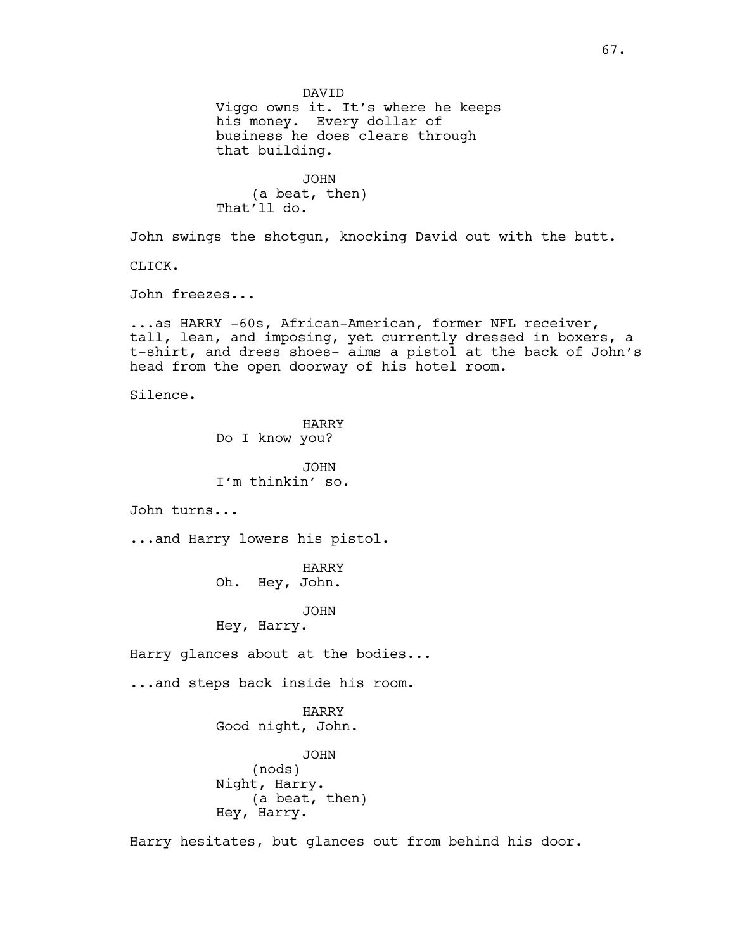DAVID Viggo owns it. It's where he keeps his money. Every dollar of business he does clears through that building. JOHN (a beat, then) That'll do. John swings the shotgun, knocking David out with the butt. CLICK. John freezes... ...as HARRY -60s, African-American, former NFL receiver, tall, lean, and imposing, yet currently dressed in boxers, a t-shirt, and dress shoes- aims a pistol at the back of John's head from the open doorway of his hotel room. Silence. HARRY Do I know you? JOHN I'm thinkin' so. John turns... ...and Harry lowers his pistol. HARRY Oh. Hey, John. JOHN Hey, Harry. Harry glances about at the bodies... ...and steps back inside his room. HARRY Good night, John. JOHN (nods) Night, Harry. (a beat, then) Hey, Harry. Harry hesitates, but glances out from behind his door.

67.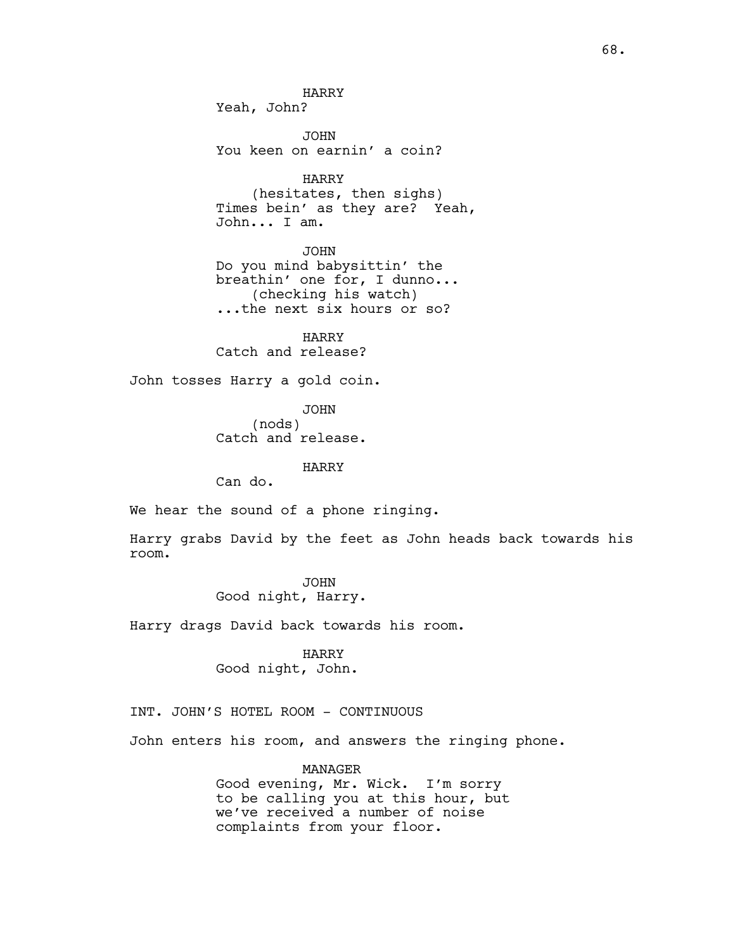HARRY Yeah, John?

JOHN You keen on earnin' a coin?

HARRY (hesitates, then sighs) Times bein' as they are? Yeah, John... I am.

JOHN Do you mind babysittin' the breathin' one for, I dunno... (checking his watch) ...the next six hours or so?

HARRY Catch and release?

John tosses Harry a gold coin.

JOHN (nods) Catch and release.

### HARRY

Can do.

We hear the sound of a phone ringing.

Harry grabs David by the feet as John heads back towards his room.

> JOHN Good night, Harry.

Harry drags David back towards his room.

HARRY Good night, John.

# INT. JOHN'S HOTEL ROOM - CONTINUOUS

John enters his room, and answers the ringing phone.

MANAGER

Good evening, Mr. Wick. I'm sorry to be calling you at this hour, but we've received a number of noise complaints from your floor.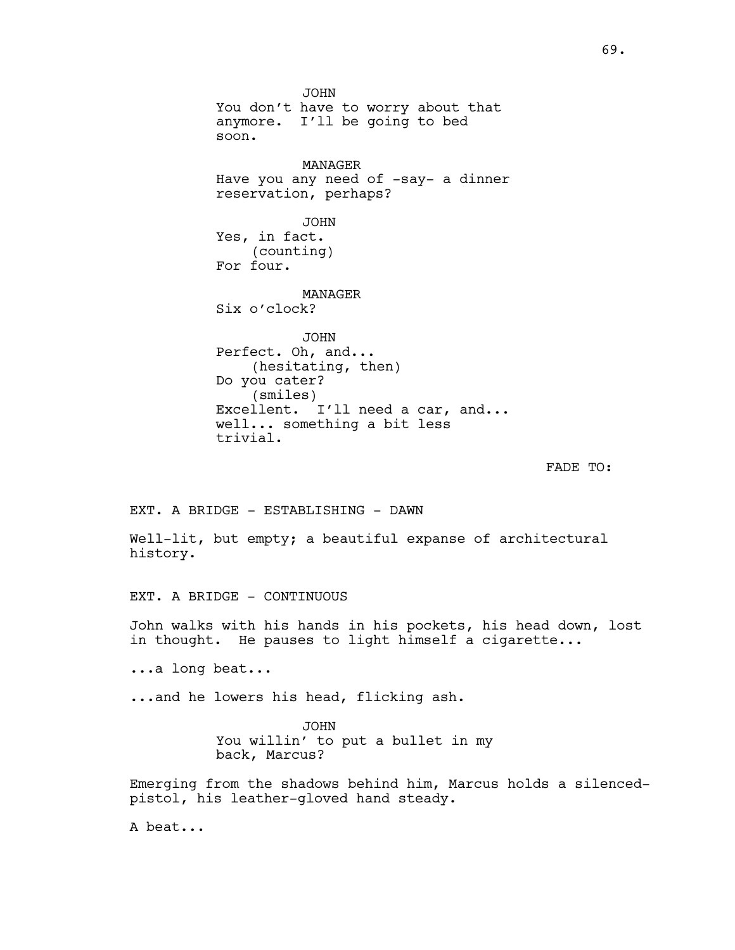JOHN You don't have to worry about that anymore. I'll be going to bed soon. MANAGER Have you any need of -say- a dinner reservation, perhaps? JOHN Yes, in fact. (counting) For four. MANAGER Six o'clock? JOHN Perfect. Oh, and... (hesitating, then) Do you cater? (smiles) Excellent. I'll need a car, and... well... something a bit less trivial.

FADE TO:

EXT. A BRIDGE - ESTABLISHING - DAWN

Well-lit, but empty; a beautiful expanse of architectural history.

EXT. A BRIDGE - CONTINUOUS

John walks with his hands in his pockets, his head down, lost in thought. He pauses to light himself a cigarette...

...a long beat...

...and he lowers his head, flicking ash.

JOHN You willin' to put a bullet in my back, Marcus?

Emerging from the shadows behind him, Marcus holds a silencedpistol, his leather-gloved hand steady.

A beat...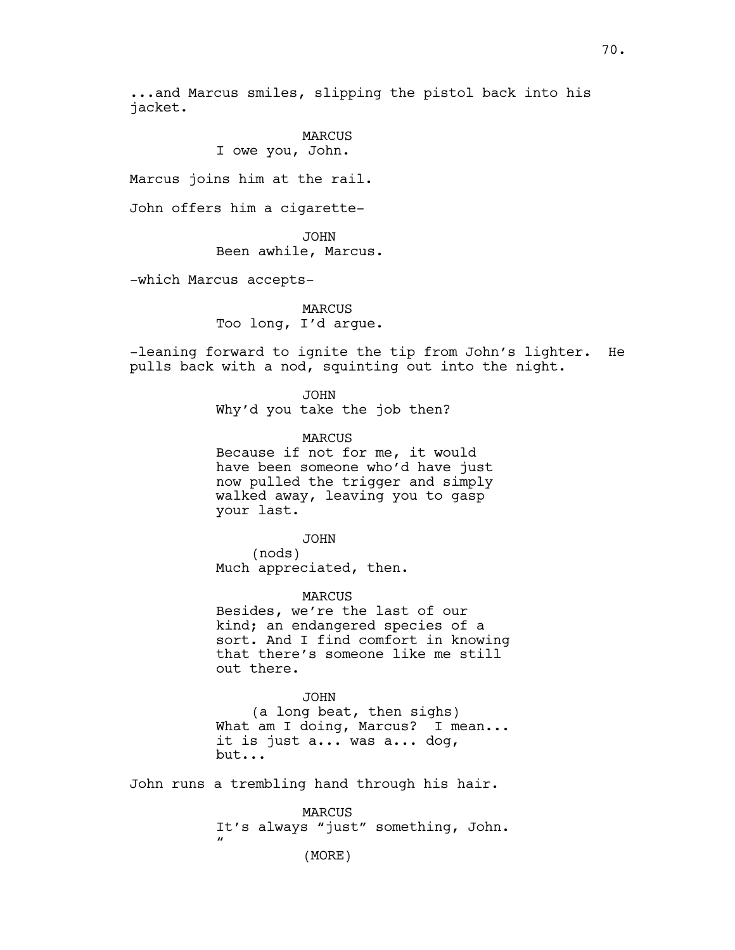...and Marcus smiles, slipping the pistol back into his jacket.

> MARCUS I owe you, John.

Marcus joins him at the rail.

John offers him a cigarette-

JOHN Been awhile, Marcus.

-which Marcus accepts-

MARCUS Too long, I'd argue.

-leaning forward to ignite the tip from John's lighter. He pulls back with a nod, squinting out into the night.

> JOHN Why'd you take the job then?

MARCUS Because if not for me, it would have been someone who'd have just now pulled the trigger and simply walked away, leaving you to gasp your last.

JOHN (nods) Much appreciated, then.

MARCUS Besides, we're the last of our kind; an endangered species of a sort. And I find comfort in knowing that there's someone like me still out there.

JOHN (a long beat, then sighs) What am I doing, Marcus? I mean... it is just a... was a... dog, but...

John runs a trembling hand through his hair.

MARCUS It's always "just" something, John.  $\mathbf{u}$ 

(MORE)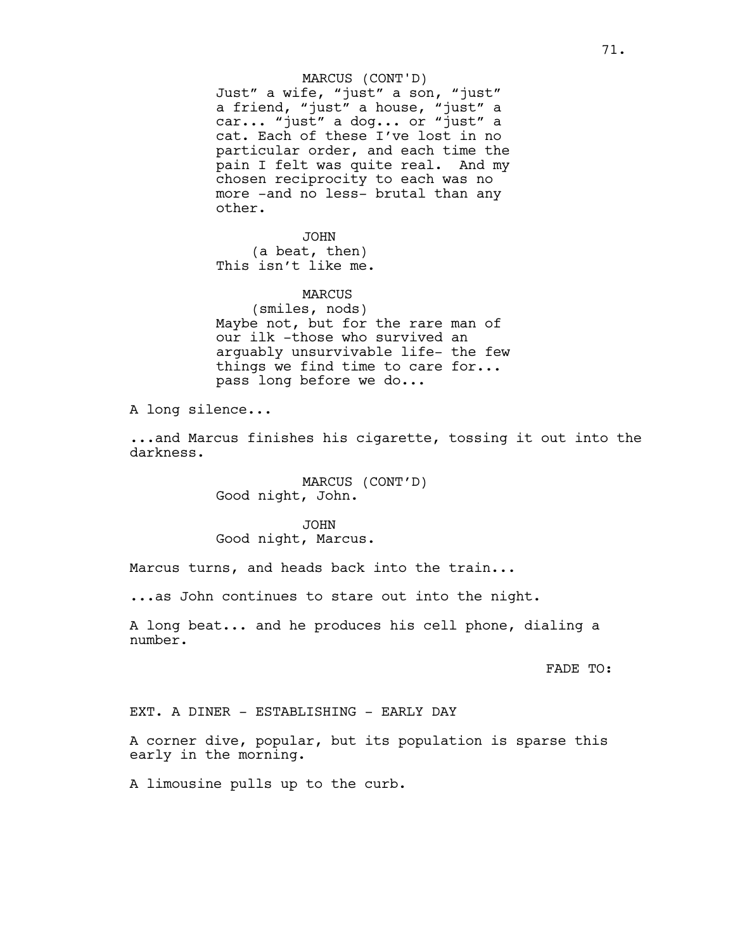### MARCUS (CONT'D)

Just" a wife, "just" a son, "just" a friend, "just" a house, "just" a car... "just" a dog... or "just" a cat. Each of these I've lost in no particular order, and each time the pain I felt was quite real. And my chosen reciprocity to each was no more -and no less- brutal than any other.

JOHN (a beat, then) This isn't like me.

#### MARCUS

(smiles, nods) Maybe not, but for the rare man of our ilk -those who survived an arguably unsurvivable life- the few things we find time to care for... pass long before we do...

A long silence...

...and Marcus finishes his cigarette, tossing it out into the darkness.

> MARCUS (CONT'D) Good night, John.

JOHN Good night, Marcus.

Marcus turns, and heads back into the train...

...as John continues to stare out into the night.

A long beat... and he produces his cell phone, dialing a number.

FADE TO:

EXT. A DINER - ESTABLISHING - EARLY DAY

A corner dive, popular, but its population is sparse this early in the morning.

A limousine pulls up to the curb.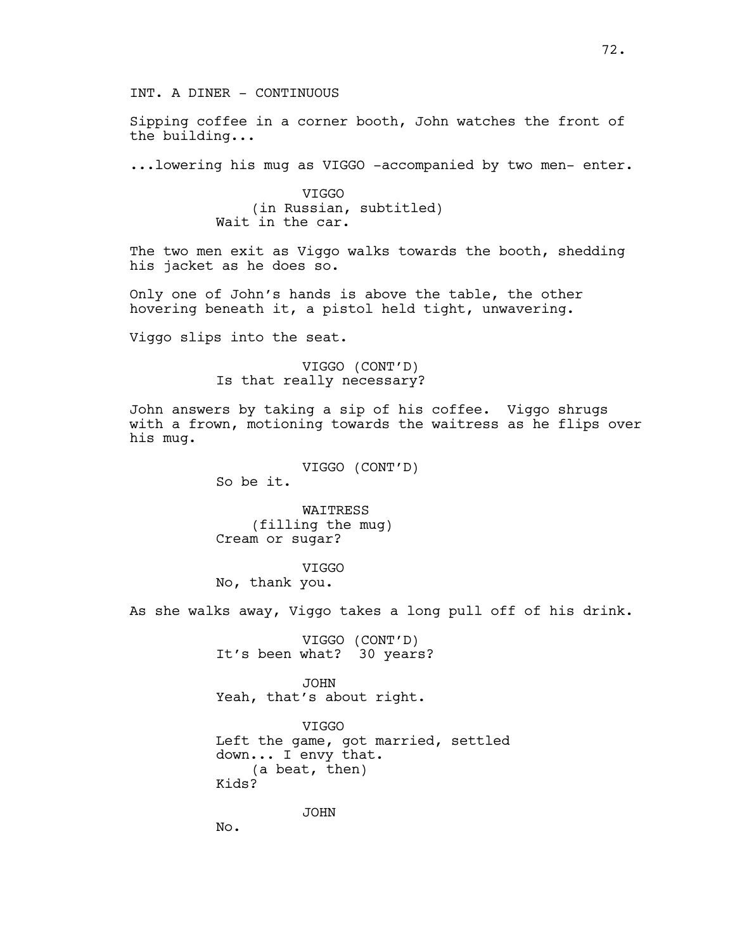INT. A DINER - CONTINUOUS

Sipping coffee in a corner booth, John watches the front of the building...

...lowering his mug as VIGGO -accompanied by two men- enter.

VIGGO (in Russian, subtitled) Wait in the car.

The two men exit as Viggo walks towards the booth, shedding his jacket as he does so.

Only one of John's hands is above the table, the other hovering beneath it, a pistol held tight, unwavering.

Viggo slips into the seat.

VIGGO (CONT'D) Is that really necessary?

John answers by taking a sip of his coffee. Viggo shrugs with a frown, motioning towards the waitress as he flips over his mug.

> VIGGO (CONT'D) So be it.

**WATTRESS** (filling the mug) Cream or sugar?

VIGGO No, thank you.

As she walks away, Viggo takes a long pull off of his drink.

VIGGO (CONT'D) It's been what? 30 years?

JOHN Yeah, that's about right.

VIGGO Left the game, got married, settled down... I envy that. (a beat, then) Kids?

JOHN

No.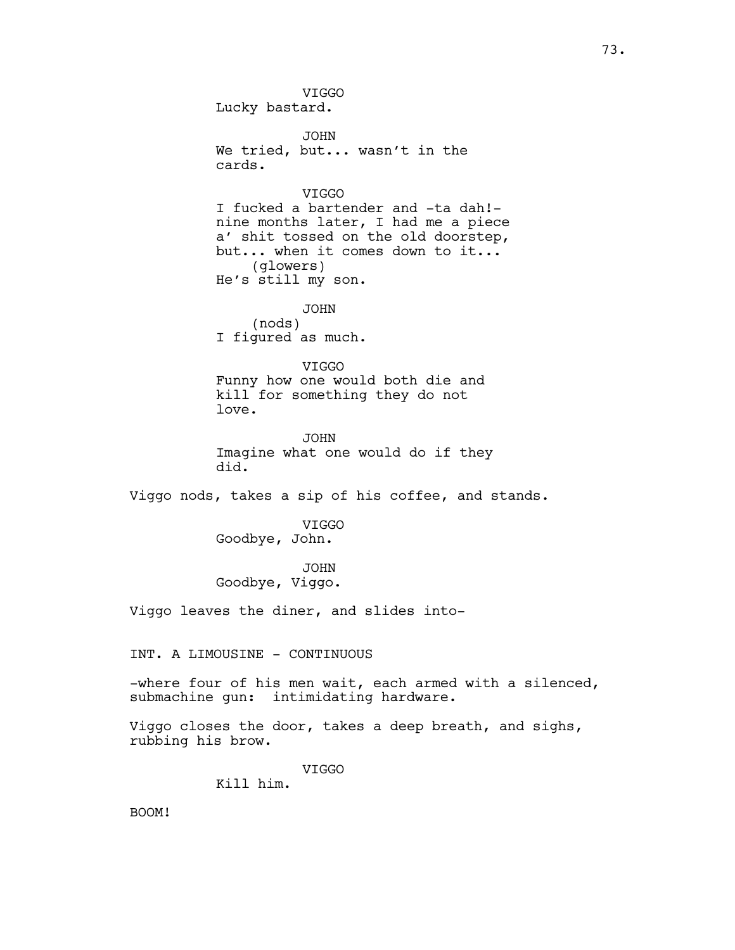VIGGO Lucky bastard. JOHN We tried, but... wasn't in the cards. VIGGO I fucked a bartender and -ta dah! nine months later, I had me a piece a' shit tossed on the old doorstep, but... when it comes down to it... (glowers) He's still my son. JOHN (nods) I figured as much. VIGGO Funny how one would both die and kill for something they do not love. JOHN Imagine what one would do if they did. Viggo nods, takes a sip of his coffee, and stands. VIGGO Goodbye, John. JOHN Goodbye, Viggo. Viggo leaves the diner, and slides into-INT. A LIMOUSINE - CONTINUOUS -where four of his men wait, each armed with a silenced, submachine gun: intimidating hardware. Viggo closes the door, takes a deep breath, and sighs, rubbing his brow. VIGGO Kill him. BOOM!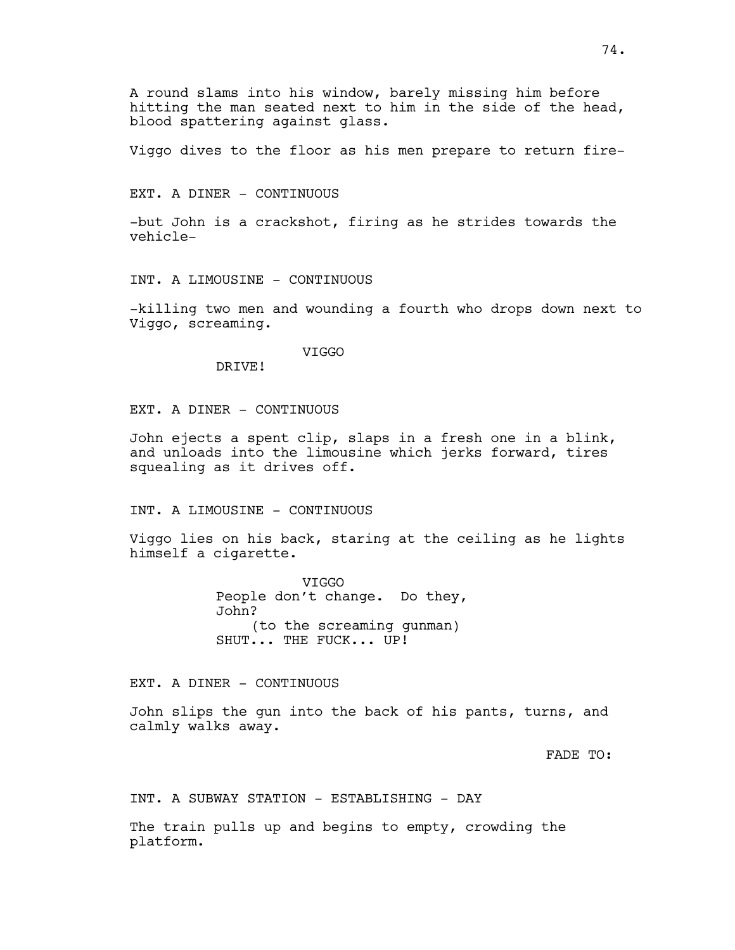A round slams into his window, barely missing him before hitting the man seated next to him in the side of the head, blood spattering against glass.

Viggo dives to the floor as his men prepare to return fire-

EXT. A DINER - CONTINUOUS

-but John is a crackshot, firing as he strides towards the vehicle-

INT. A LIMOUSINE - CONTINUOUS

-killing two men and wounding a fourth who drops down next to Viggo, screaming.

VIGGO

DRIVE!

EXT. A DINER - CONTINUOUS

John ejects a spent clip, slaps in a fresh one in a blink, and unloads into the limousine which jerks forward, tires squealing as it drives off.

INT. A LIMOUSINE - CONTINUOUS

Viggo lies on his back, staring at the ceiling as he lights himself a cigarette.

> VIGGO People don't change. Do they, John? (to the screaming gunman) SHUT... THE FUCK... UP!

EXT. A DINER - CONTINUOUS

John slips the gun into the back of his pants, turns, and calmly walks away.

FADE TO:

INT. A SUBWAY STATION - ESTABLISHING - DAY

The train pulls up and begins to empty, crowding the platform.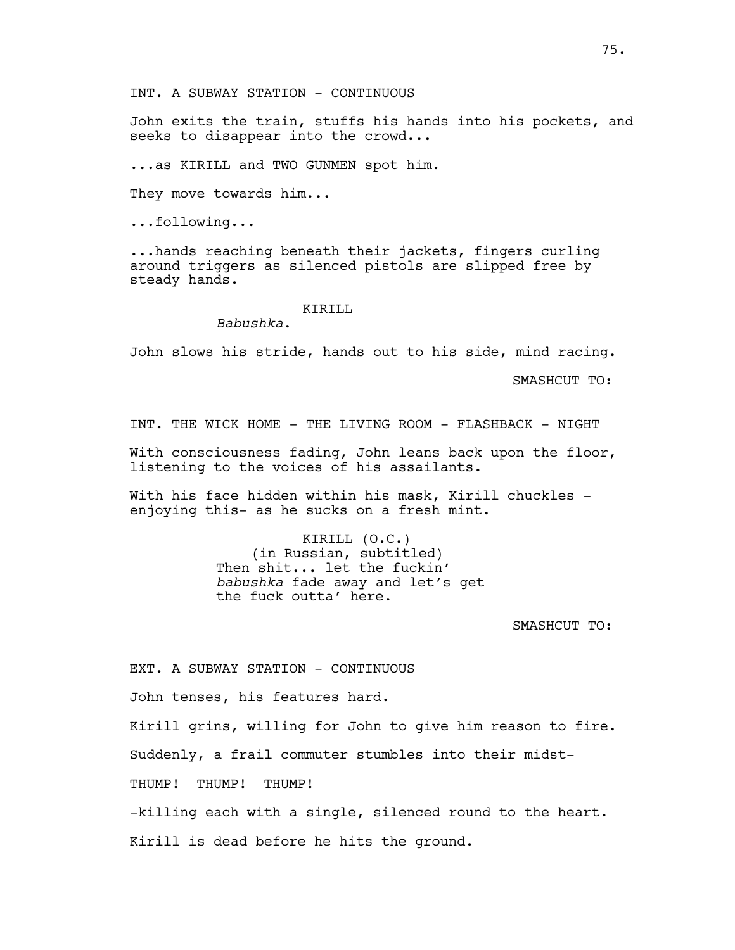John exits the train, stuffs his hands into his pockets, and seeks to disappear into the crowd...

...as KIRILL and TWO GUNMEN spot him.

They move towards him...

...following...

...hands reaching beneath their jackets, fingers curling around triggers as silenced pistols are slipped free by steady hands.

#### KTRTLL

*Babushka*.

John slows his stride, hands out to his side, mind racing.

SMASHCUT TO:

INT. THE WICK HOME - THE LIVING ROOM - FLASHBACK - NIGHT

With consciousness fading, John leans back upon the floor, listening to the voices of his assailants.

With his face hidden within his mask, Kirill chuckles enjoying this- as he sucks on a fresh mint.

> KIRILL (O.C.) (in Russian, subtitled) Then shit... let the fuckin' *babushka* fade away and let's get the fuck outta' here.

> > SMASHCUT TO:

EXT. A SUBWAY STATION - CONTINUOUS

John tenses, his features hard.

Kirill grins, willing for John to give him reason to fire.

Suddenly, a frail commuter stumbles into their midst-

THUMP! THUMP!

-killing each with a single, silenced round to the heart.

Kirill is dead before he hits the ground.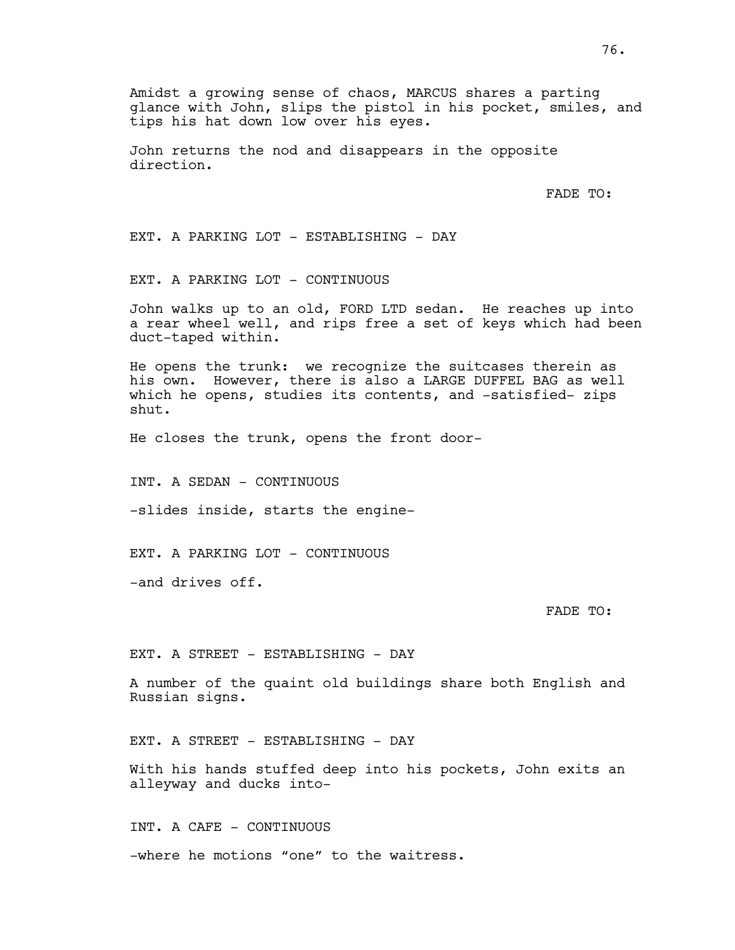Amidst a growing sense of chaos, MARCUS shares a parting glance with John, slips the pistol in his pocket, smiles, and tips his hat down low over his eyes.

John returns the nod and disappears in the opposite direction.

FADE TO:

EXT. A PARKING LOT - ESTABLISHING - DAY

EXT. A PARKING LOT - CONTINUOUS

John walks up to an old, FORD LTD sedan. He reaches up into a rear wheel well, and rips free a set of keys which had been duct-taped within.

He opens the trunk: we recognize the suitcases therein as his own. However, there is also a LARGE DUFFEL BAG as well which he opens, studies its contents, and -satisfied- zips shut.

He closes the trunk, opens the front door-

INT. A SEDAN - CONTINUOUS

-slides inside, starts the engine-

EXT. A PARKING LOT - CONTINUOUS

-and drives off.

FADE TO:

EXT. A STREET - ESTABLISHING - DAY

A number of the quaint old buildings share both English and Russian signs.

EXT. A STREET - ESTABLISHING - DAY

With his hands stuffed deep into his pockets, John exits an alleyway and ducks into-

INT. A CAFE - CONTINUOUS -where he motions "one" to the waitress.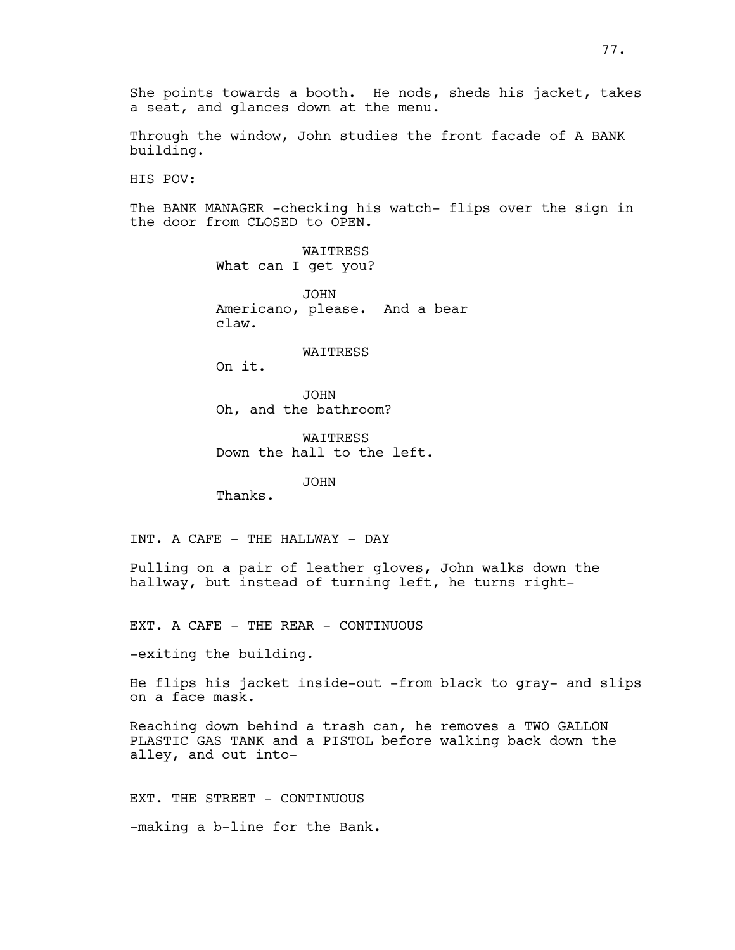Through the window, John studies the front facade of A BANK building.

HIS POV:

The BANK MANAGER -checking his watch- flips over the sign in the door from CLOSED to OPEN.

> WAITRESS What can I get you?

JOHN Americano, please. And a bear claw.

#### WAITRESS

On it.

JOHN Oh, and the bathroom?

WAITRESS Down the hall to the left.

JOHN

Thanks.

INT. A CAFE - THE HALLWAY - DAY

Pulling on a pair of leather gloves, John walks down the hallway, but instead of turning left, he turns right-

EXT. A CAFE - THE REAR - CONTINUOUS

-exiting the building.

He flips his jacket inside-out -from black to gray- and slips on a face mask.

Reaching down behind a trash can, he removes a TWO GALLON PLASTIC GAS TANK and a PISTOL before walking back down the alley, and out into-

EXT. THE STREET - CONTINUOUS -making a b-line for the Bank.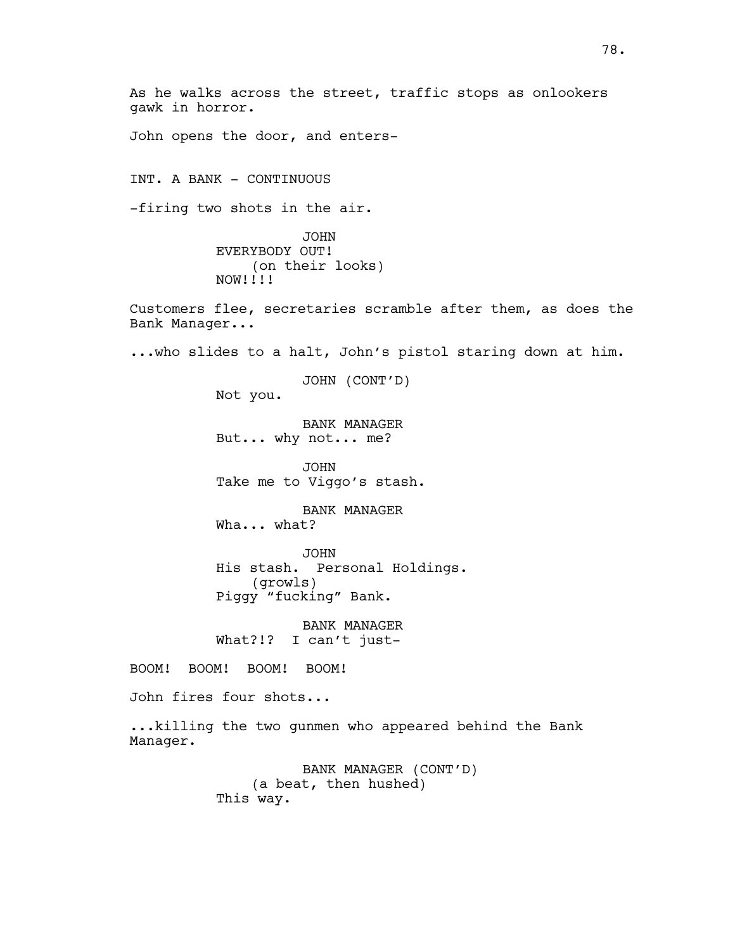As he walks across the street, traffic stops as onlookers gawk in horror. John opens the door, and enters-INT. A BANK - CONTINUOUS -firing two shots in the air. JOHN EVERYBODY OUT! (on their looks) NOW!!!! Customers flee, secretaries scramble after them, as does the Bank Manager... ...who slides to a halt, John's pistol staring down at him. JOHN (CONT'D) Not you. BANK MANAGER But... why not... me? JOHN Take me to Viggo's stash. BANK MANAGER Wha... what? JOHN His stash. Personal Holdings. (growls) Piggy "fucking" Bank. BANK MANAGER What?!? I can't just-BOOM! BOOM! BOOM! BOOM! John fires four shots... ...killing the two gunmen who appeared behind the Bank Manager. BANK MANAGER (CONT'D) (a beat, then hushed) This way.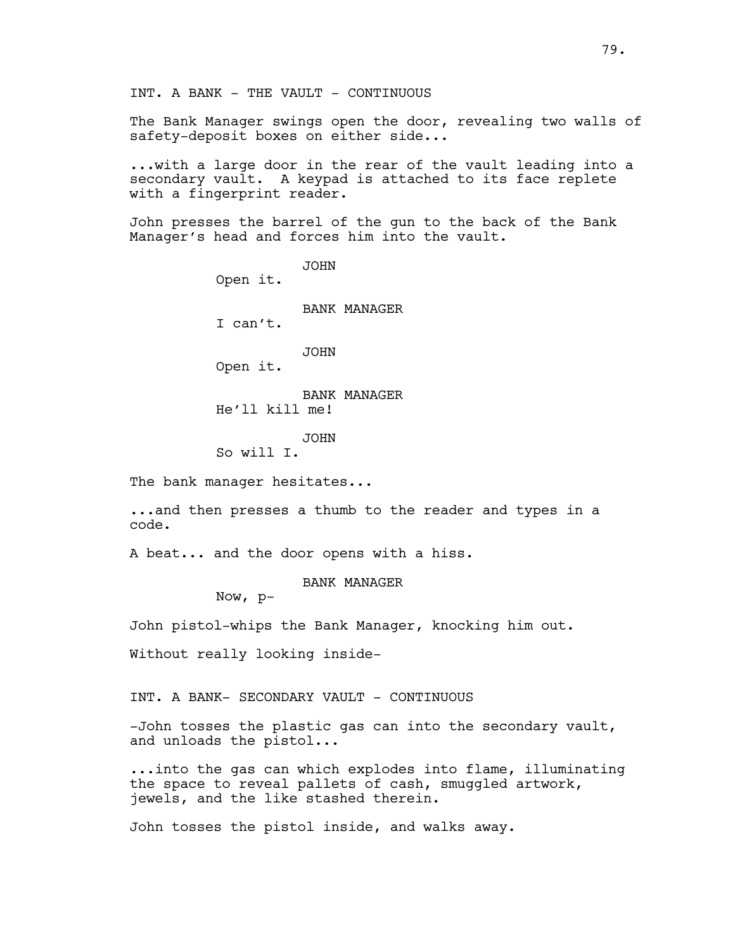The Bank Manager swings open the door, revealing two walls of safety-deposit boxes on either side...

...with a large door in the rear of the vault leading into a secondary vault. A keypad is attached to its face replete with a fingerprint reader.

John presses the barrel of the gun to the back of the Bank Manager's head and forces him into the vault.

> JOHN Open it. BANK MANAGER I can't. JOHN Open it. BANK MANAGER He'll kill me! JOHN

So will I.

The bank manager hesitates...

...and then presses a thumb to the reader and types in a code.

A beat... and the door opens with a hiss.

BANK MANAGER

Now, p-

John pistol-whips the Bank Manager, knocking him out.

Without really looking inside-

INT. A BANK- SECONDARY VAULT - CONTINUOUS

-John tosses the plastic gas can into the secondary vault, and unloads the pistol...

...into the gas can which explodes into flame, illuminating the space to reveal pallets of cash, smuggled artwork, jewels, and the like stashed therein.

John tosses the pistol inside, and walks away.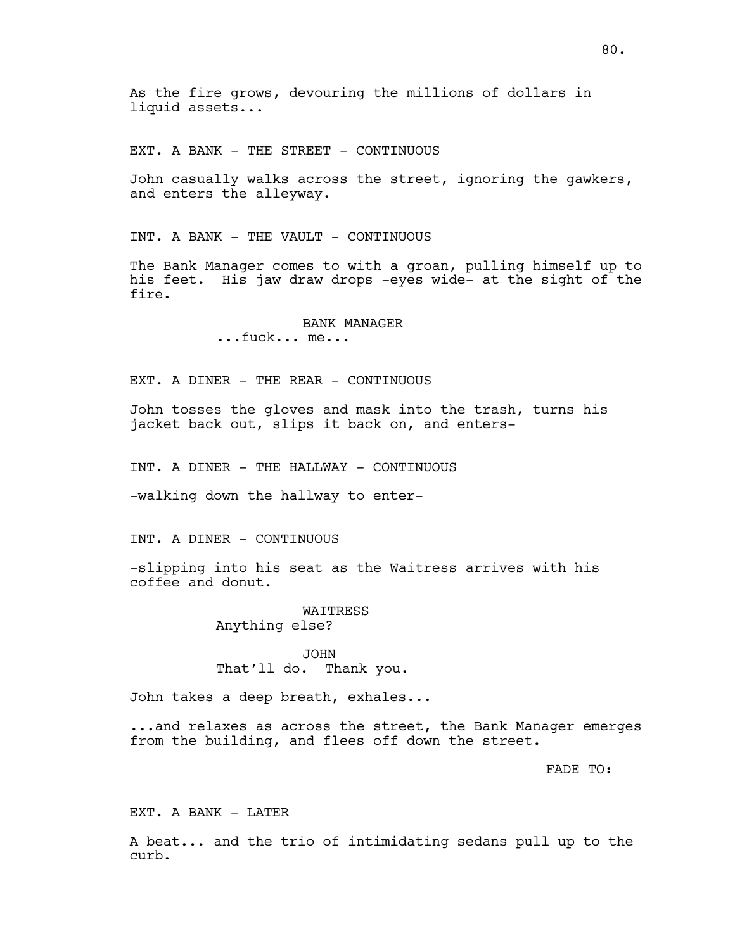EXT. A BANK - THE STREET - CONTINUOUS

John casually walks across the street, ignoring the gawkers, and enters the alleyway.

INT. A BANK - THE VAULT - CONTINUOUS

The Bank Manager comes to with a groan, pulling himself up to his feet. His jaw draw drops -eyes wide- at the sight of the fire.

> BANK MANAGER ...fuck... me...

EXT. A DINER - THE REAR - CONTINUOUS

John tosses the gloves and mask into the trash, turns his jacket back out, slips it back on, and enters-

INT. A DINER - THE HALLWAY - CONTINUOUS

-walking down the hallway to enter-

INT. A DINER - CONTINUOUS

-slipping into his seat as the Waitress arrives with his coffee and donut.

> WAITRESS Anything else?

JOHN That'll do. Thank you.

John takes a deep breath, exhales...

...and relaxes as across the street, the Bank Manager emerges from the building, and flees off down the street.

FADE TO:

EXT. A BANK - LATER

A beat... and the trio of intimidating sedans pull up to the curb.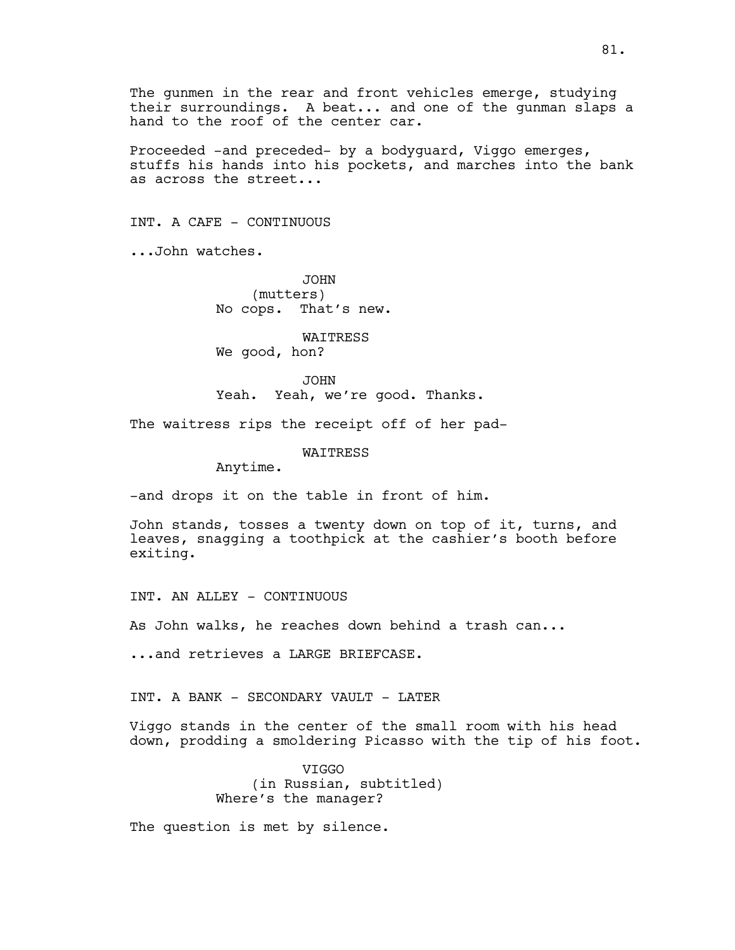The gunmen in the rear and front vehicles emerge, studying their surroundings. A beat... and one of the gunman slaps a hand to the roof of the center car.

Proceeded -and preceded- by a bodyguard, Viggo emerges, stuffs his hands into his pockets, and marches into the bank as across the street...

INT. A CAFE - CONTINUOUS

...John watches.

JOHN (mutters) No cops. That's new.

WAITRESS We good, hon?

JOHN Yeah. Yeah, we're good. Thanks.

The waitress rips the receipt off of her pad-

WAITRESS

Anytime.

-and drops it on the table in front of him.

John stands, tosses a twenty down on top of it, turns, and leaves, snagging a toothpick at the cashier's booth before exiting.

INT. AN ALLEY - CONTINUOUS

As John walks, he reaches down behind a trash can...

...and retrieves a LARGE BRIEFCASE.

INT. A BANK - SECONDARY VAULT - LATER

Viggo stands in the center of the small room with his head down, prodding a smoldering Picasso with the tip of his foot.

> VIGGO (in Russian, subtitled) Where's the manager?

The question is met by silence.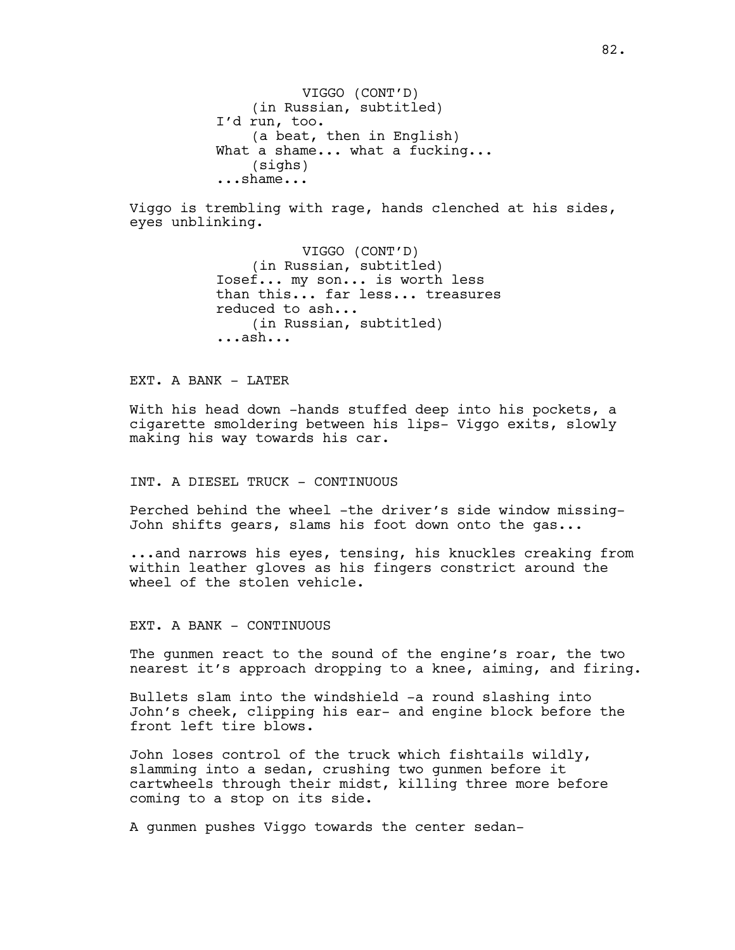VIGGO (CONT'D) (in Russian, subtitled) I'd run, too. (a beat, then in English) What a shame... what a fucking... (sighs) ...shame...

Viggo is trembling with rage, hands clenched at his sides, eyes unblinking.

> VIGGO (CONT'D) (in Russian, subtitled) Iosef... my son... is worth less than this... far less... treasures reduced to ash... (in Russian, subtitled) ...ash...

EXT. A BANK - LATER

With his head down -hands stuffed deep into his pockets, a cigarette smoldering between his lips- Viggo exits, slowly making his way towards his car.

INT. A DIESEL TRUCK - CONTINUOUS

Perched behind the wheel -the driver's side window missing-John shifts gears, slams his foot down onto the gas...

...and narrows his eyes, tensing, his knuckles creaking from within leather gloves as his fingers constrict around the wheel of the stolen vehicle.

EXT. A BANK - CONTINUOUS

The gunmen react to the sound of the engine's roar, the two nearest it's approach dropping to a knee, aiming, and firing.

Bullets slam into the windshield -a round slashing into John's cheek, clipping his ear- and engine block before the front left tire blows.

John loses control of the truck which fishtails wildly, slamming into a sedan, crushing two gunmen before it cartwheels through their midst, killing three more before coming to a stop on its side.

A gunmen pushes Viggo towards the center sedan-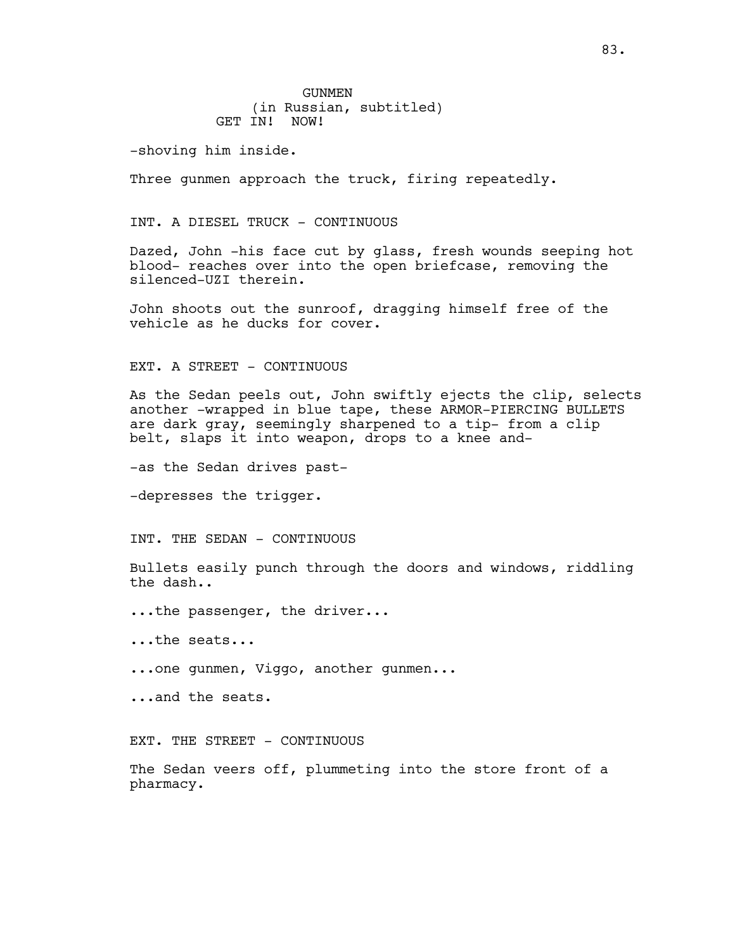**GUNMEN** (in Russian, subtitled) GET IN! NOW!

-shoving him inside.

Three gunmen approach the truck, firing repeatedly.

#### INT. A DIESEL TRUCK - CONTINUOUS

Dazed, John -his face cut by glass, fresh wounds seeping hot blood- reaches over into the open briefcase, removing the silenced-UZI therein.

John shoots out the sunroof, dragging himself free of the vehicle as he ducks for cover.

#### EXT. A STREET - CONTINUOUS

As the Sedan peels out, John swiftly ejects the clip, selects another -wrapped in blue tape, these ARMOR-PIERCING BULLETS are dark gray, seemingly sharpened to a tip- from a clip belt, slaps it into weapon, drops to a knee and-

-as the Sedan drives past-

-depresses the trigger.

INT. THE SEDAN - CONTINUOUS

Bullets easily punch through the doors and windows, riddling the dash..

...the passenger, the driver...

...the seats...

...one gunmen, Viggo, another gunmen...

...and the seats.

EXT. THE STREET - CONTINUOUS

The Sedan veers off, plummeting into the store front of a pharmacy.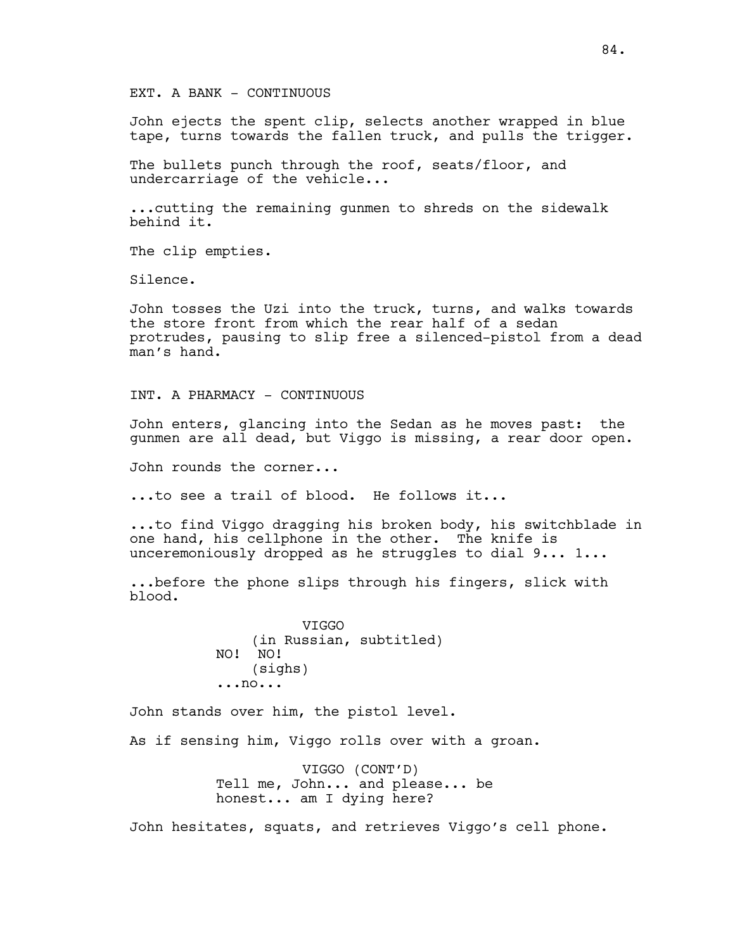EXT. A BANK - CONTINUOUS

John ejects the spent clip, selects another wrapped in blue tape, turns towards the fallen truck, and pulls the trigger.

The bullets punch through the roof, seats/floor, and undercarriage of the vehicle...

...cutting the remaining gunmen to shreds on the sidewalk behind it.

The clip empties.

Silence.

John tosses the Uzi into the truck, turns, and walks towards the store front from which the rear half of a sedan protrudes, pausing to slip free a silenced-pistol from a dead man's hand.

INT. A PHARMACY - CONTINUOUS

John enters, glancing into the Sedan as he moves past: the gunmen are all dead, but Viggo is missing, a rear door open.

John rounds the corner...

...to see a trail of blood. He follows it...

...to find Viggo dragging his broken body, his switchblade in one hand, his cellphone in the other. The knife is unceremoniously dropped as he struggles to dial 9... 1...

...before the phone slips through his fingers, slick with blood.

> VIGGO (in Russian, subtitled) NO! NO! (sighs) ...no...

John stands over him, the pistol level.

As if sensing him, Viggo rolls over with a groan.

VIGGO (CONT'D) Tell me, John... and please... be honest... am I dying here?

John hesitates, squats, and retrieves Viggo's cell phone.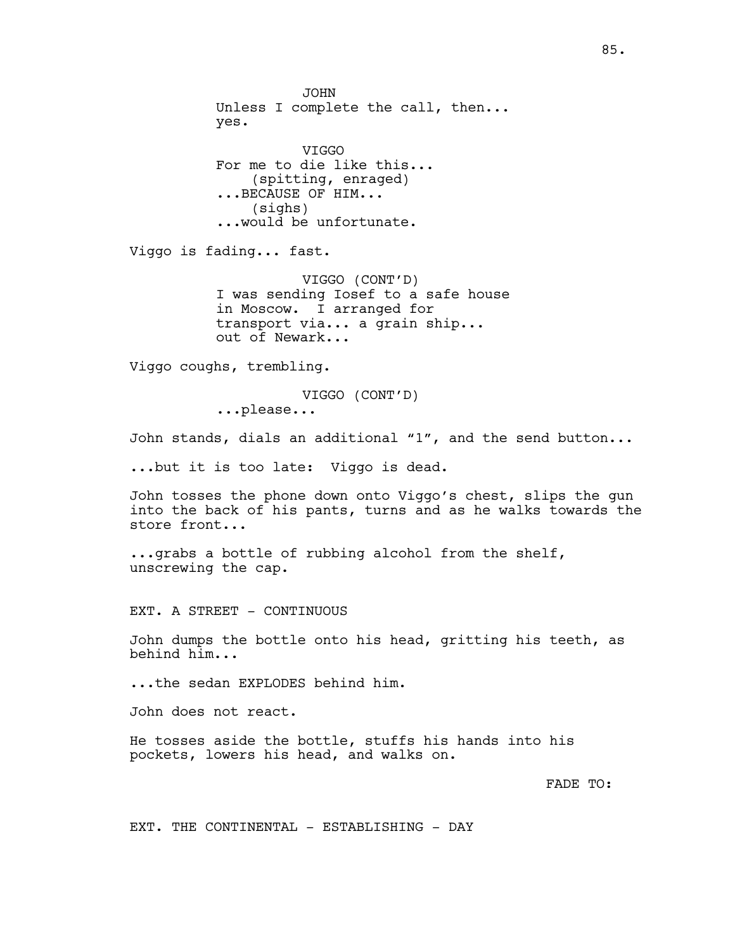JOHN Unless I complete the call, then... yes. VIGGO For me to die like this... (spitting, enraged) ...BECAUSE OF HIM... (sighs) ...would be unfortunate. Viggo is fading... fast. VIGGO (CONT'D) I was sending Iosef to a safe house in Moscow. I arranged for transport via... a grain ship... out of Newark... Viggo coughs, trembling. VIGGO (CONT'D) ...please... John stands, dials an additional "1", and the send button... ...but it is too late: Viggo is dead. John tosses the phone down onto Viggo's chest, slips the gun into the back of his pants, turns and as he walks towards the store front... ...grabs a bottle of rubbing alcohol from the shelf, unscrewing the cap. EXT. A STREET - CONTINUOUS John dumps the bottle onto his head, gritting his teeth, as behind him... ...the sedan EXPLODES behind him. John does not react. He tosses aside the bottle, stuffs his hands into his pockets, lowers his head, and walks on. FADE TO:

EXT. THE CONTINENTAL - ESTABLISHING - DAY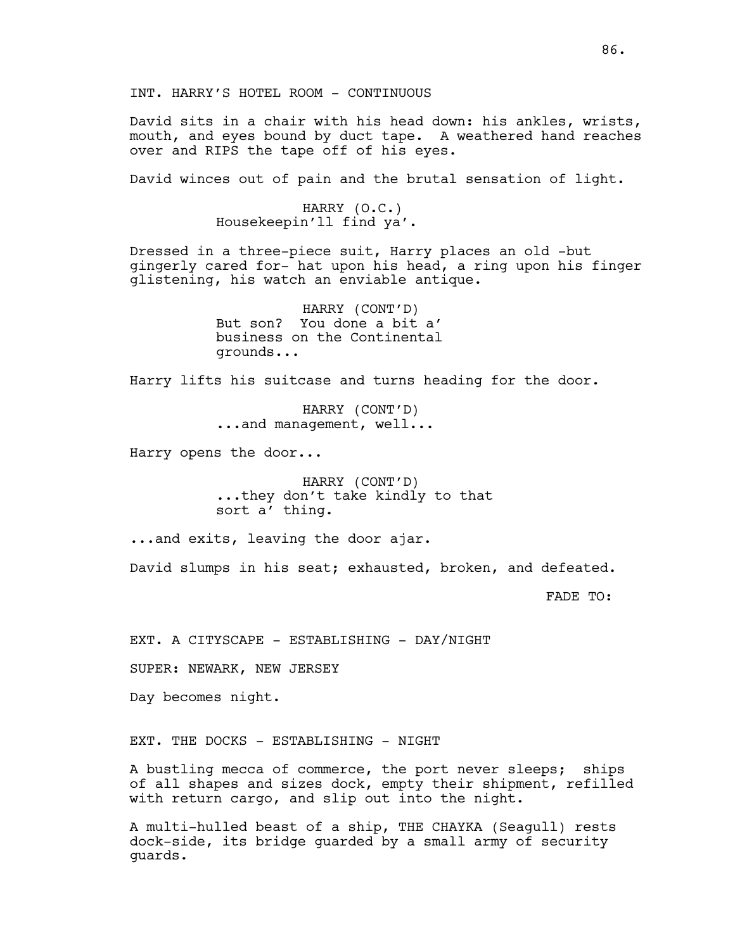INT. HARRY'S HOTEL ROOM - CONTINUOUS

David sits in a chair with his head down: his ankles, wrists, mouth, and eyes bound by duct tape. A weathered hand reaches over and RIPS the tape off of his eyes.

David winces out of pain and the brutal sensation of light.

HARRY (O.C.) Housekeepin'll find ya'.

Dressed in a three-piece suit, Harry places an old -but gingerly cared for- hat upon his head, a ring upon his finger glistening, his watch an enviable antique.

> HARRY (CONT'D) But son? You done a bit a' business on the Continental grounds...

Harry lifts his suitcase and turns heading for the door.

HARRY (CONT'D) ...and management, well...

Harry opens the door...

HARRY (CONT'D) ...they don't take kindly to that sort a' thing.

...and exits, leaving the door ajar.

David slumps in his seat; exhausted, broken, and defeated.

FADE TO:

EXT. A CITYSCAPE - ESTABLISHING - DAY/NIGHT

SUPER: NEWARK, NEW JERSEY

Day becomes night.

EXT. THE DOCKS - ESTABLISHING - NIGHT

A bustling mecca of commerce, the port never sleeps; ships of all shapes and sizes dock, empty their shipment, refilled with return cargo, and slip out into the night.

A multi-hulled beast of a ship, THE CHAYKA (Seagull) rests dock-side, its bridge guarded by a small army of security guards.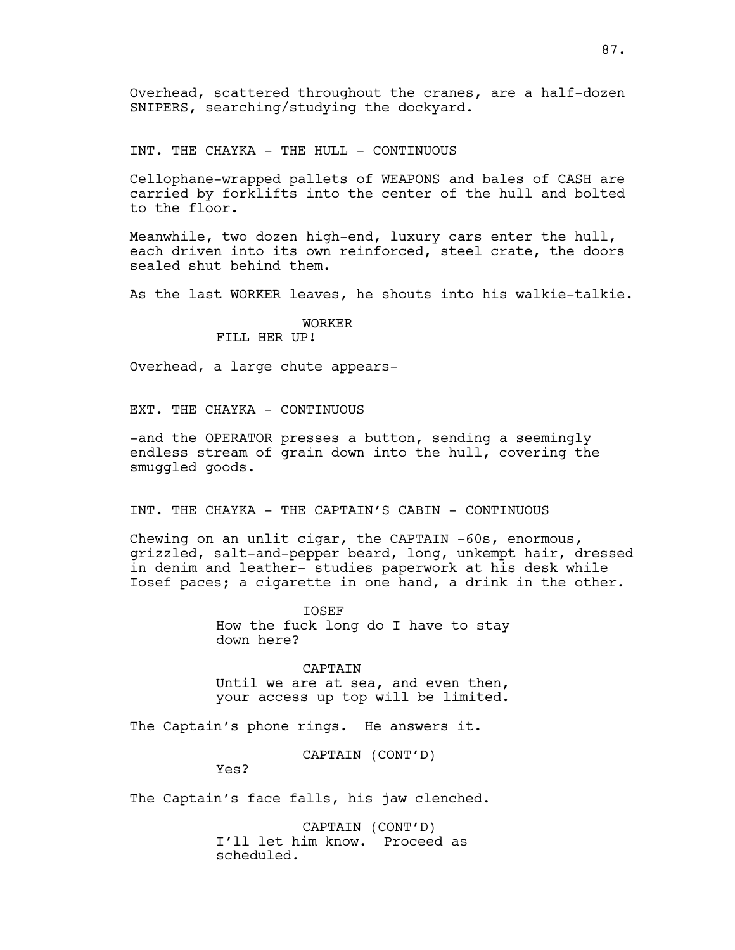Overhead, scattered throughout the cranes, are a half-dozen SNIPERS, searching/studying the dockyard.

INT. THE CHAYKA - THE HULL - CONTINUOUS

Cellophane-wrapped pallets of WEAPONS and bales of CASH are carried by forklifts into the center of the hull and bolted to the floor.

Meanwhile, two dozen high-end, luxury cars enter the hull, each driven into its own reinforced, steel crate, the doors sealed shut behind them.

As the last WORKER leaves, he shouts into his walkie-talkie.

# WORKER

FILL HER UP!

Overhead, a large chute appears-

EXT. THE CHAYKA - CONTINUOUS

-and the OPERATOR presses a button, sending a seemingly endless stream of grain down into the hull, covering the smuggled goods.

INT. THE CHAYKA - THE CAPTAIN'S CABIN - CONTINUOUS

Chewing on an unlit cigar, the CAPTAIN -60s, enormous, grizzled, salt-and-pepper beard, long, unkempt hair, dressed in denim and leather- studies paperwork at his desk while Iosef paces; a cigarette in one hand, a drink in the other.

> IOSEF How the fuck long do I have to stay down here?

> CAPTAIN Until we are at sea, and even then, your access up top will be limited.

The Captain's phone rings. He answers it.

CAPTAIN (CONT'D)

Yes?

The Captain's face falls, his jaw clenched.

CAPTAIN (CONT'D) I'll let him know. Proceed as scheduled.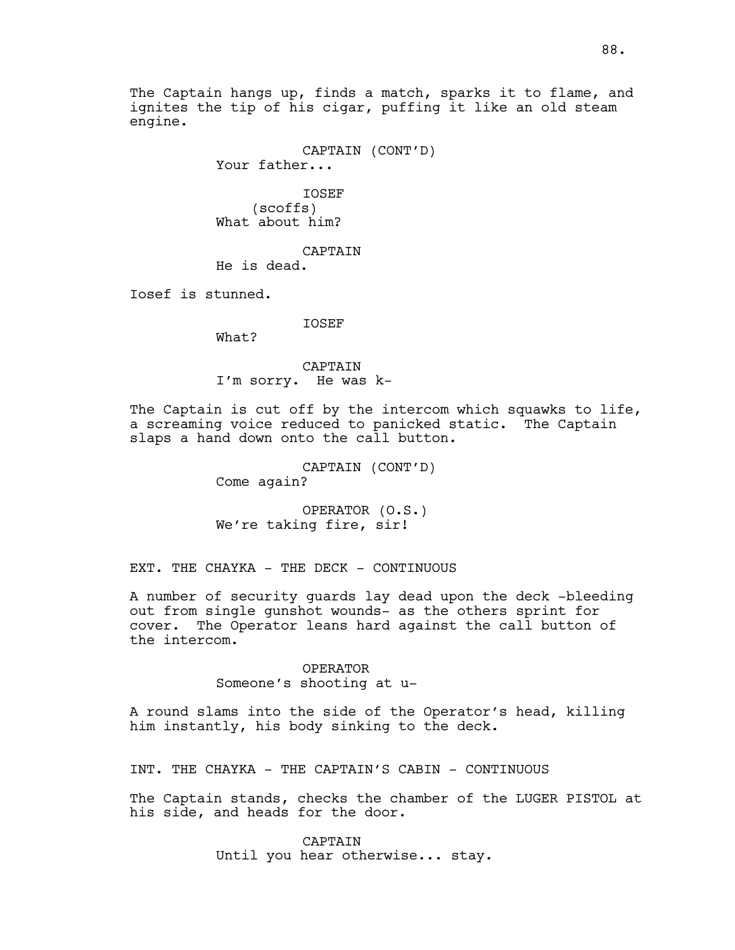The Captain hangs up, finds a match, sparks it to flame, and ignites the tip of his cigar, puffing it like an old steam engine.

CAPTAIN (CONT'D)

Your father...

IOSEF (scoffs) What about him?

CAPTAIN

He is dead.

Iosef is stunned.

IOSEF

What?

CAPTAIN I'm sorry. He was k-

The Captain is cut off by the intercom which squawks to life, a screaming voice reduced to panicked static. The Captain slaps a hand down onto the call button.

> CAPTAIN (CONT'D) Come again?

OPERATOR (O.S.) We're taking fire, sir!

EXT. THE CHAYKA - THE DECK - CONTINUOUS

A number of security guards lay dead upon the deck -bleeding out from single gunshot wounds- as the others sprint for cover. The Operator leans hard against the call button of the intercom.

> OPERATOR Someone's shooting at u-

A round slams into the side of the Operator's head, killing him instantly, his body sinking to the deck.

INT. THE CHAYKA - THE CAPTAIN'S CABIN - CONTINUOUS

The Captain stands, checks the chamber of the LUGER PISTOL at his side, and heads for the door.

> CAPTAIN Until you hear otherwise... stay.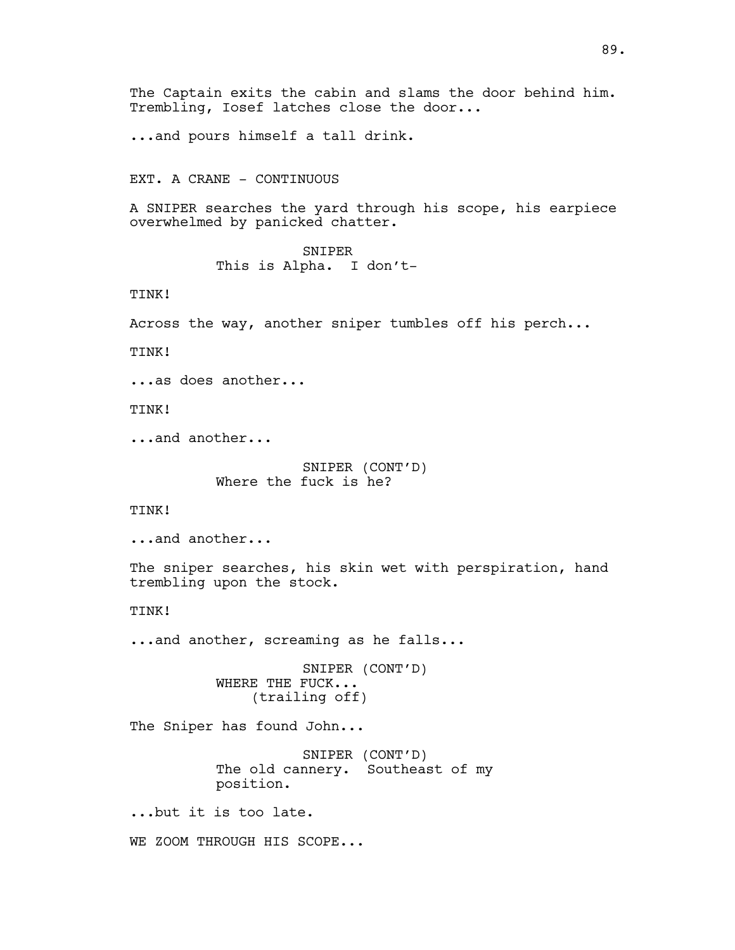The Captain exits the cabin and slams the door behind him. Trembling, Iosef latches close the door...

...and pours himself a tall drink.

EXT. A CRANE - CONTINUOUS

A SNIPER searches the yard through his scope, his earpiece overwhelmed by panicked chatter.

> SNIPER This is Alpha. I don't-

TINK!

Across the way, another sniper tumbles off his perch...

TINK!

...as does another...

TINK!

...and another...

SNIPER (CONT'D) Where the fuck is he?

TINK!

...and another...

The sniper searches, his skin wet with perspiration, hand trembling upon the stock.

TINK!

...and another, screaming as he falls...

SNIPER (CONT'D) WHERE THE FUCK... (trailing off)

The Sniper has found John...

SNIPER (CONT'D) The old cannery. Southeast of my position.

...but it is too late.

WE ZOOM THROUGH HIS SCOPE...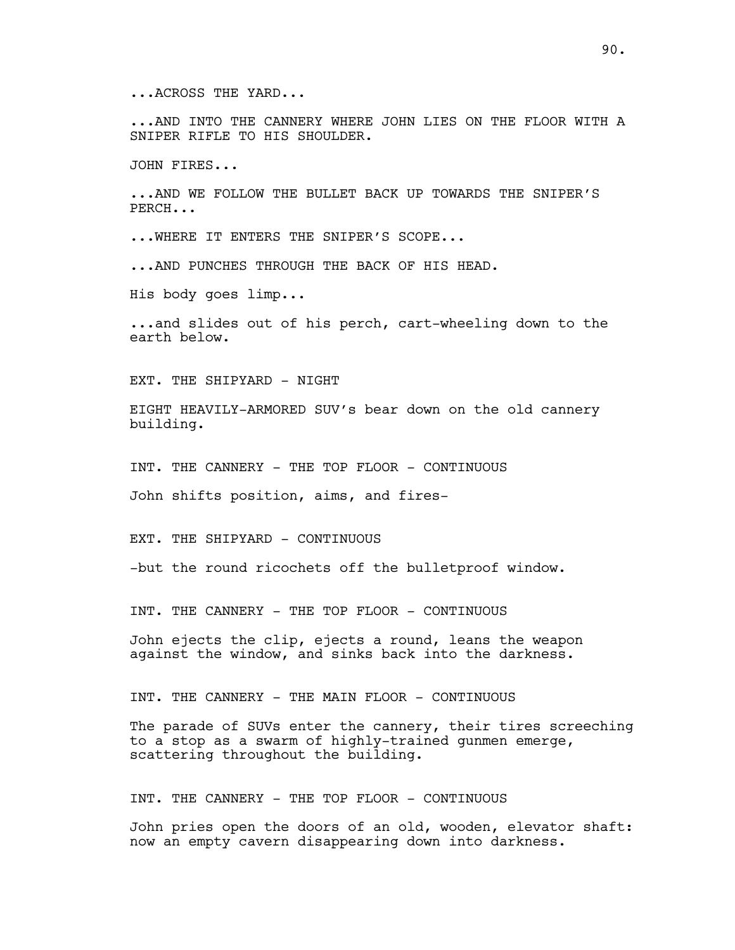...ACROSS THE YARD...

...AND INTO THE CANNERY WHERE JOHN LIES ON THE FLOOR WITH A SNIPER RIFLE TO HIS SHOULDER.

JOHN FIRES...

...AND WE FOLLOW THE BULLET BACK UP TOWARDS THE SNIPER'S PERCH...

...WHERE IT ENTERS THE SNIPER'S SCOPE...

...AND PUNCHES THROUGH THE BACK OF HIS HEAD.

His body goes limp...

...and slides out of his perch, cart-wheeling down to the earth below.

EXT. THE SHIPYARD - NIGHT

EIGHT HEAVILY-ARMORED SUV's bear down on the old cannery building.

INT. THE CANNERY - THE TOP FLOOR - CONTINUOUS

John shifts position, aims, and fires-

EXT. THE SHIPYARD - CONTINUOUS

-but the round ricochets off the bulletproof window.

INT. THE CANNERY - THE TOP FLOOR - CONTINUOUS

John ejects the clip, ejects a round, leans the weapon against the window, and sinks back into the darkness.

INT. THE CANNERY - THE MAIN FLOOR - CONTINUOUS

The parade of SUVs enter the cannery, their tires screeching to a stop as a swarm of highly-trained gunmen emerge, scattering throughout the building.

INT. THE CANNERY - THE TOP FLOOR - CONTINUOUS

John pries open the doors of an old, wooden, elevator shaft: now an empty cavern disappearing down into darkness.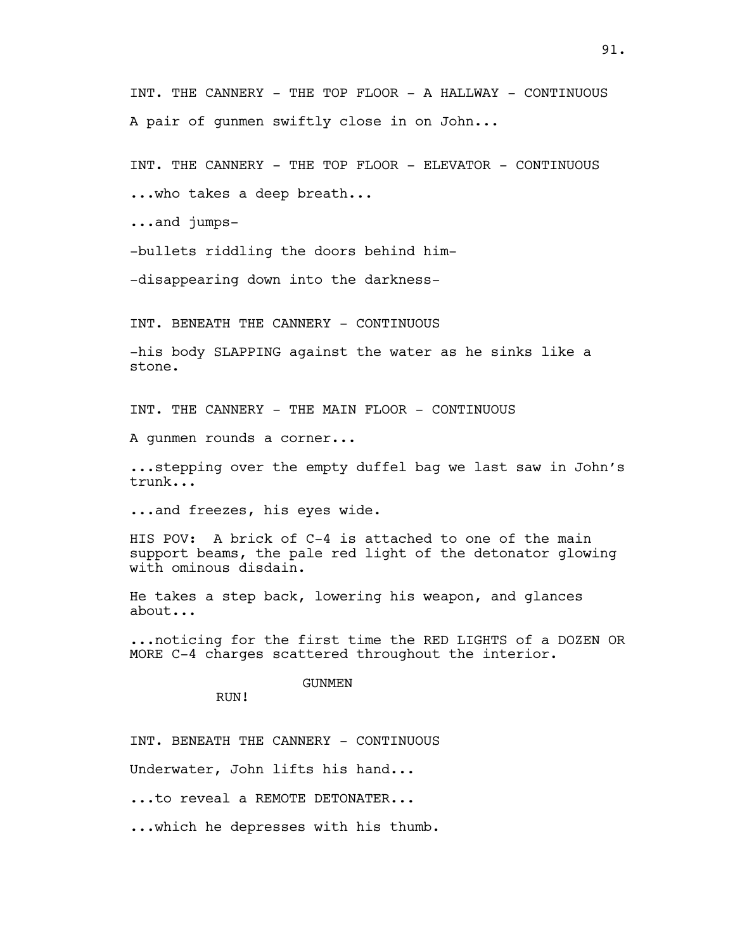INT. THE CANNERY - THE TOP FLOOR - A HALLWAY - CONTINUOUS A pair of gunmen swiftly close in on John...

INT. THE CANNERY - THE TOP FLOOR - ELEVATOR - CONTINUOUS

...who takes a deep breath...

...and jumps-

-bullets riddling the doors behind him-

-disappearing down into the darkness-

INT. BENEATH THE CANNERY - CONTINUOUS

-his body SLAPPING against the water as he sinks like a stone.

INT. THE CANNERY - THE MAIN FLOOR - CONTINUOUS

A gunmen rounds a corner...

...stepping over the empty duffel bag we last saw in John's trunk...

...and freezes, his eyes wide.

HIS POV: A brick of C-4 is attached to one of the main support beams, the pale red light of the detonator glowing with ominous disdain.

He takes a step back, lowering his weapon, and glances about...

...noticing for the first time the RED LIGHTS of a DOZEN OR MORE C-4 charges scattered throughout the interior.

### GUNMEN

RUN!

INT. BENEATH THE CANNERY - CONTINUOUS

Underwater, John lifts his hand...

...to reveal a REMOTE DETONATER...

...which he depresses with his thumb.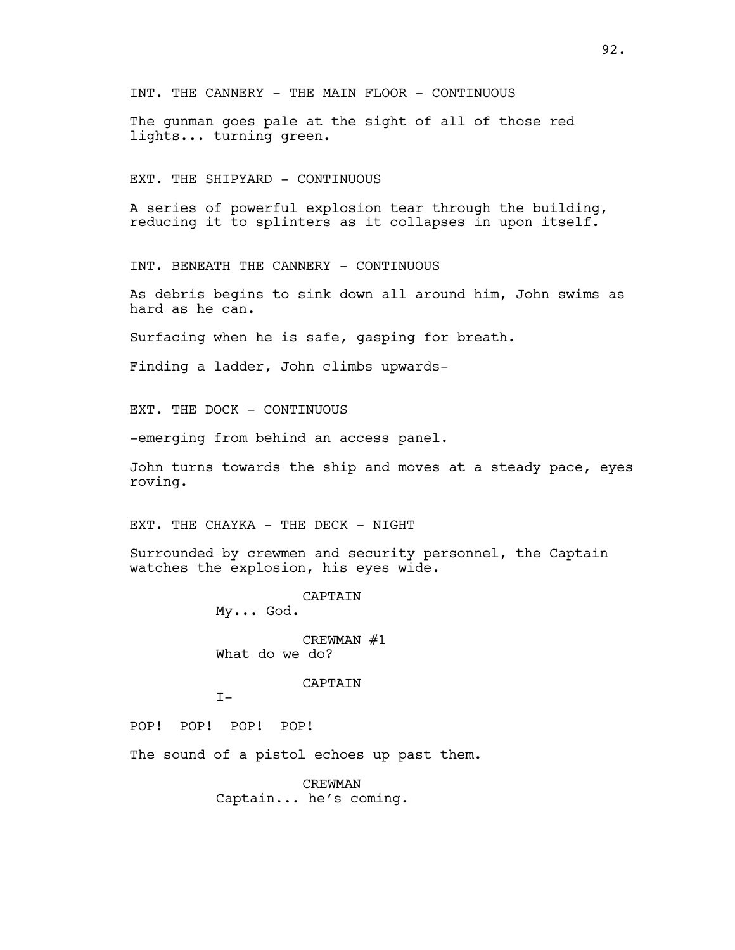INT. THE CANNERY - THE MAIN FLOOR - CONTINUOUS

The gunman goes pale at the sight of all of those red lights... turning green.

EXT. THE SHIPYARD - CONTINUOUS

A series of powerful explosion tear through the building, reducing it to splinters as it collapses in upon itself.

INT. BENEATH THE CANNERY - CONTINUOUS

As debris begins to sink down all around him, John swims as hard as he can.

Surfacing when he is safe, gasping for breath.

Finding a ladder, John climbs upwards-

EXT. THE DOCK - CONTINUOUS

-emerging from behind an access panel.

John turns towards the ship and moves at a steady pace, eyes roving.

EXT. THE CHAYKA - THE DECK - NIGHT

Surrounded by crewmen and security personnel, the Captain watches the explosion, his eyes wide.

> CAPTAIN My... God. CREWMAN #1 What do we do?

> > CAPTAIN

 $T-$ 

POP! POP! POP! POP!

The sound of a pistol echoes up past them.

CREWMAN Captain... he's coming.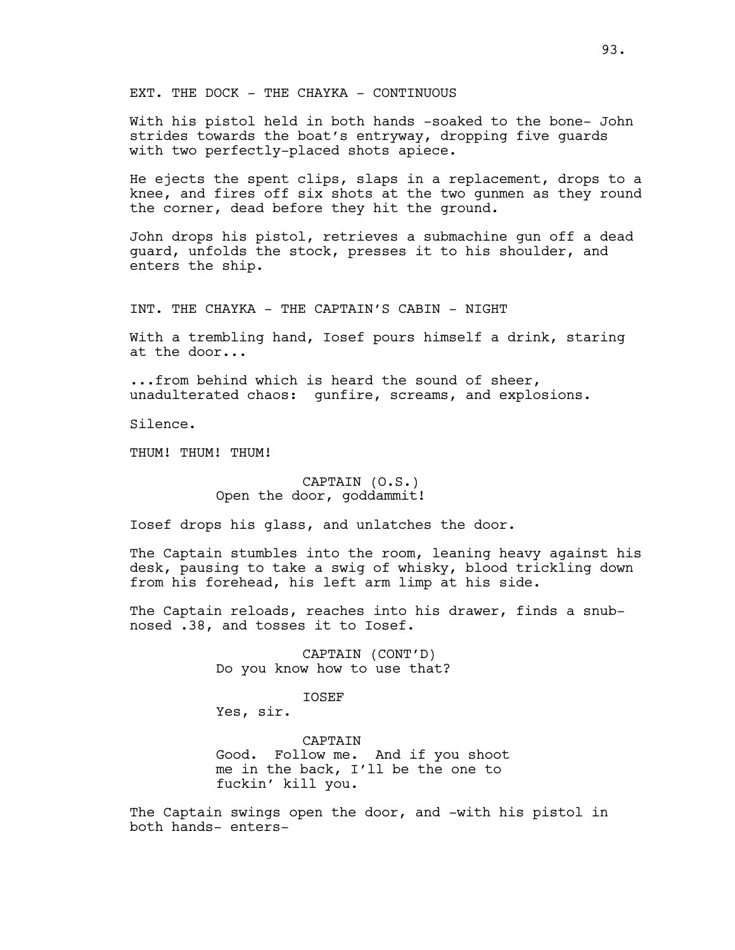EXT. THE DOCK - THE CHAYKA - CONTINUOUS

With his pistol held in both hands -soaked to the bone- John strides towards the boat's entryway, dropping five guards with two perfectly-placed shots apiece.

He ejects the spent clips, slaps in a replacement, drops to a knee, and fires off six shots at the two gunmen as they round the corner, dead before they hit the ground.

John drops his pistol, retrieves a submachine gun off a dead guard, unfolds the stock, presses it to his shoulder, and enters the ship.

INT. THE CHAYKA - THE CAPTAIN'S CABIN - NIGHT

With a trembling hand, Iosef pours himself a drink, staring at the door...

...from behind which is heard the sound of sheer, unadulterated chaos: gunfire, screams, and explosions.

Silence.

THUM! THUM! THUM!

## CAPTAIN (O.S.) Open the door, goddammit!

Iosef drops his glass, and unlatches the door.

The Captain stumbles into the room, leaning heavy against his desk, pausing to take a swig of whisky, blood trickling down from his forehead, his left arm limp at his side.

The Captain reloads, reaches into his drawer, finds a snubnosed .38, and tosses it to Iosef.

> CAPTAIN (CONT'D) Do you know how to use that?

> > IOSEF

Yes, sir.

CAPTAIN Good. Follow me. And if you shoot me in the back, I'll be the one to fuckin' kill you.

The Captain swings open the door, and -with his pistol in both hands- enters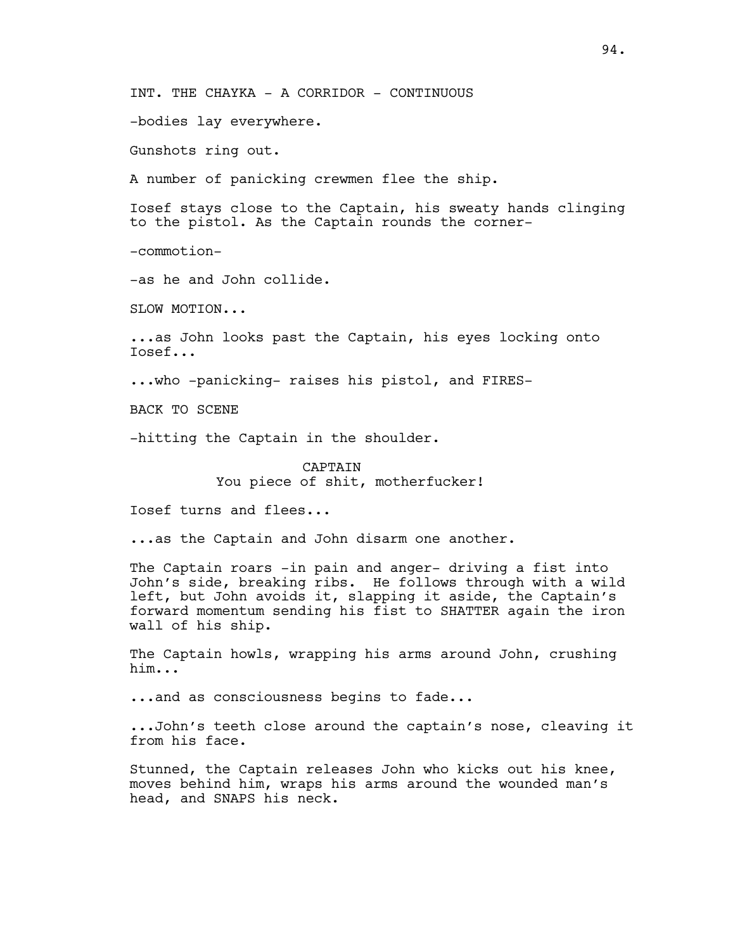INT. THE CHAYKA - A CORRIDOR - CONTINUOUS

-bodies lay everywhere.

Gunshots ring out.

A number of panicking crewmen flee the ship.

Iosef stays close to the Captain, his sweaty hands clinging to the pistol. As the Captain rounds the corner-

-commotion-

-as he and John collide.

SLOW MOTION...

...as John looks past the Captain, his eyes locking onto Iosef...

...who -panicking- raises his pistol, and FIRES-

BACK TO SCENE

-hitting the Captain in the shoulder.

CAPTAIN You piece of shit, motherfucker!

Iosef turns and flees...

...as the Captain and John disarm one another.

The Captain roars -in pain and anger- driving a fist into John's side, breaking ribs. He follows through with a wild left, but John avoids it, slapping it aside, the Captain's forward momentum sending his fist to SHATTER again the iron wall of his ship.

The Captain howls, wrapping his arms around John, crushing him...

...and as consciousness begins to fade...

...John's teeth close around the captain's nose, cleaving it from his face.

Stunned, the Captain releases John who kicks out his knee, moves behind him, wraps his arms around the wounded man's head, and SNAPS his neck.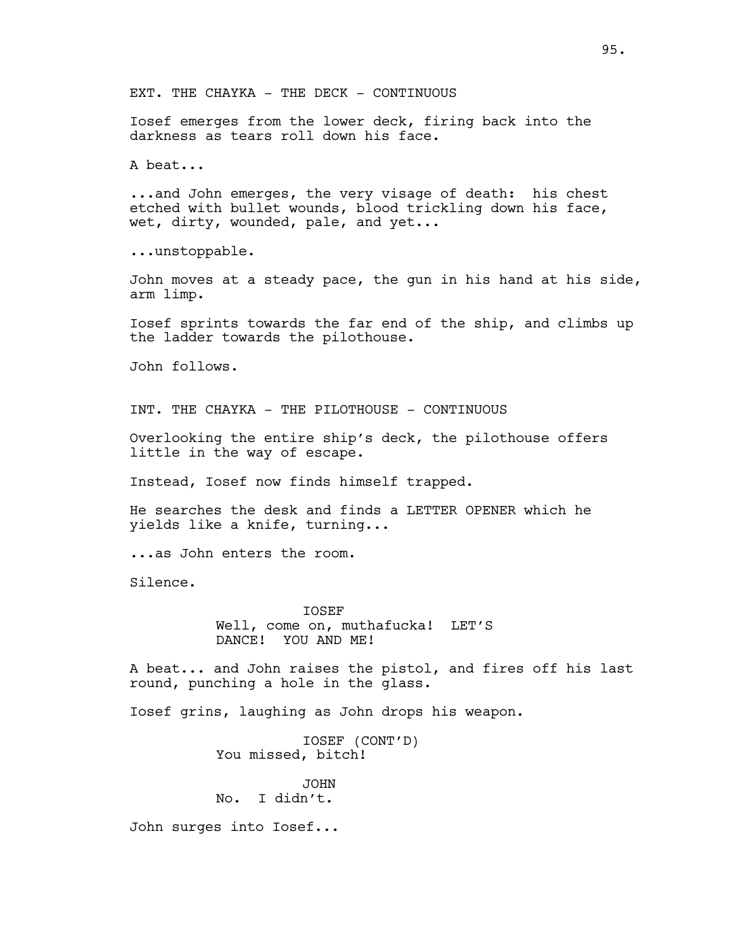EXT. THE CHAYKA - THE DECK - CONTINUOUS

Iosef emerges from the lower deck, firing back into the darkness as tears roll down his face.

A beat...

...and John emerges, the very visage of death: his chest etched with bullet wounds, blood trickling down his face, wet, dirty, wounded, pale, and yet...

...unstoppable.

John moves at a steady pace, the gun in his hand at his side, arm limp.

Iosef sprints towards the far end of the ship, and climbs up the ladder towards the pilothouse.

John follows.

INT. THE CHAYKA - THE PILOTHOUSE - CONTINUOUS

Overlooking the entire ship's deck, the pilothouse offers little in the way of escape.

Instead, Iosef now finds himself trapped.

He searches the desk and finds a LETTER OPENER which he yields like a knife, turning...

...as John enters the room.

Silence.

IOSEF Well, come on, muthafucka! LET'S DANCE! YOU AND ME!

A beat... and John raises the pistol, and fires off his last round, punching a hole in the glass.

Iosef grins, laughing as John drops his weapon.

IOSEF (CONT'D) You missed, bitch!

JOHN No. I didn't.

John surges into Iosef...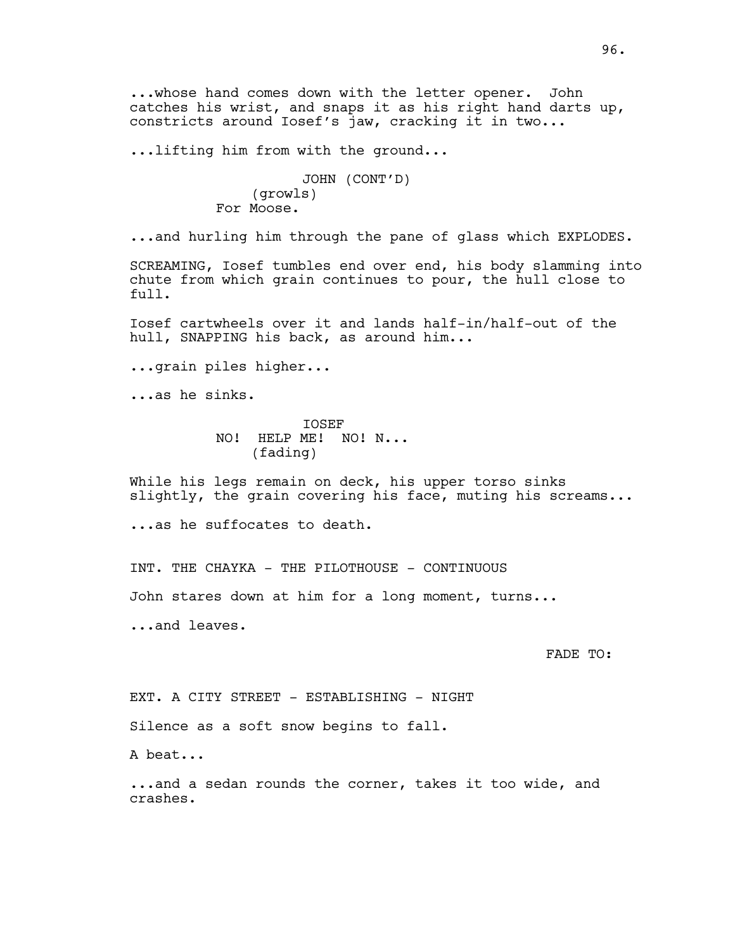...whose hand comes down with the letter opener. John catches his wrist, and snaps it as his right hand darts up, constricts around Iosef's jaw, cracking it in two...

...lifting him from with the ground...

JOHN (CONT'D) (growls) For Moose.

...and hurling him through the pane of glass which EXPLODES.

SCREAMING, Iosef tumbles end over end, his body slamming into chute from which grain continues to pour, the hull close to full.

Iosef cartwheels over it and lands half-in/half-out of the hull, SNAPPING his back, as around him...

...grain piles higher...

...as he sinks.

IOSEF NO! HELP ME! NO! N... (fading)

While his legs remain on deck, his upper torso sinks slightly, the grain covering his face, muting his screams...

...as he suffocates to death.

INT. THE CHAYKA - THE PILOTHOUSE - CONTINUOUS

John stares down at him for a long moment, turns...

...and leaves.

FADE TO:

EXT. A CITY STREET - ESTABLISHING - NIGHT

Silence as a soft snow begins to fall.

A beat...

...and a sedan rounds the corner, takes it too wide, and crashes.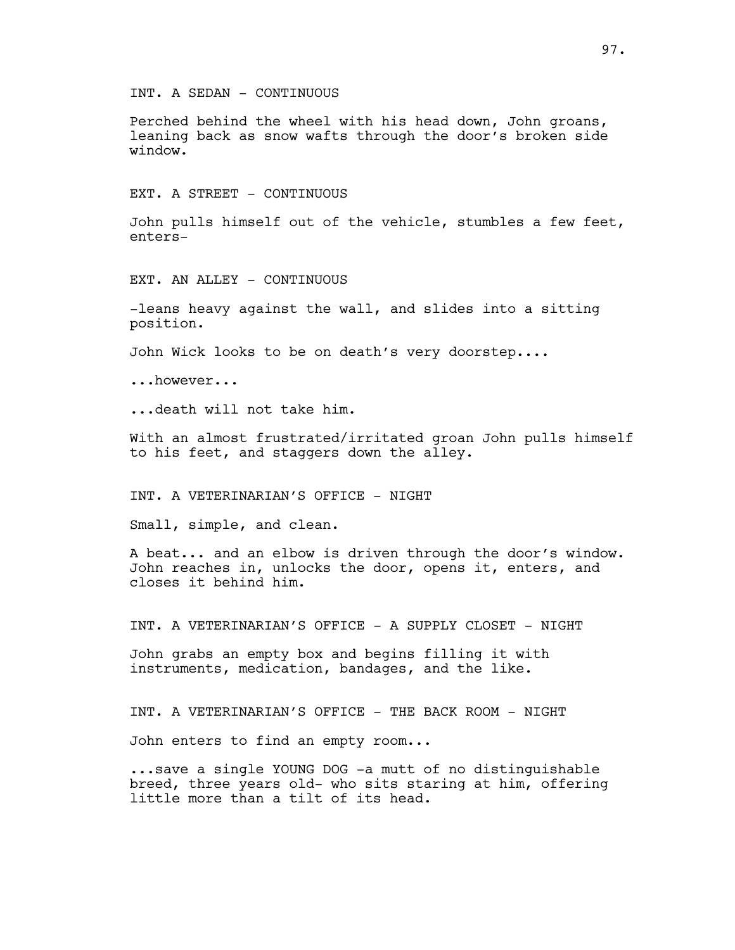INT. A SEDAN - CONTINUOUS

Perched behind the wheel with his head down, John groans, leaning back as snow wafts through the door's broken side window.

EXT. A STREET - CONTINUOUS

John pulls himself out of the vehicle, stumbles a few feet, enters-

EXT. AN ALLEY - CONTINUOUS

-leans heavy against the wall, and slides into a sitting position.

John Wick looks to be on death's very doorstep....

...however...

...death will not take him.

With an almost frustrated/irritated groan John pulls himself to his feet, and staggers down the alley.

INT. A VETERINARIAN'S OFFICE - NIGHT

Small, simple, and clean.

A beat... and an elbow is driven through the door's window. John reaches in, unlocks the door, opens it, enters, and closes it behind him.

INT. A VETERINARIAN'S OFFICE - A SUPPLY CLOSET - NIGHT

John grabs an empty box and begins filling it with instruments, medication, bandages, and the like.

INT. A VETERINARIAN'S OFFICE - THE BACK ROOM - NIGHT

John enters to find an empty room...

...save a single YOUNG DOG -a mutt of no distinguishable breed, three years old- who sits staring at him, offering little more than a tilt of its head.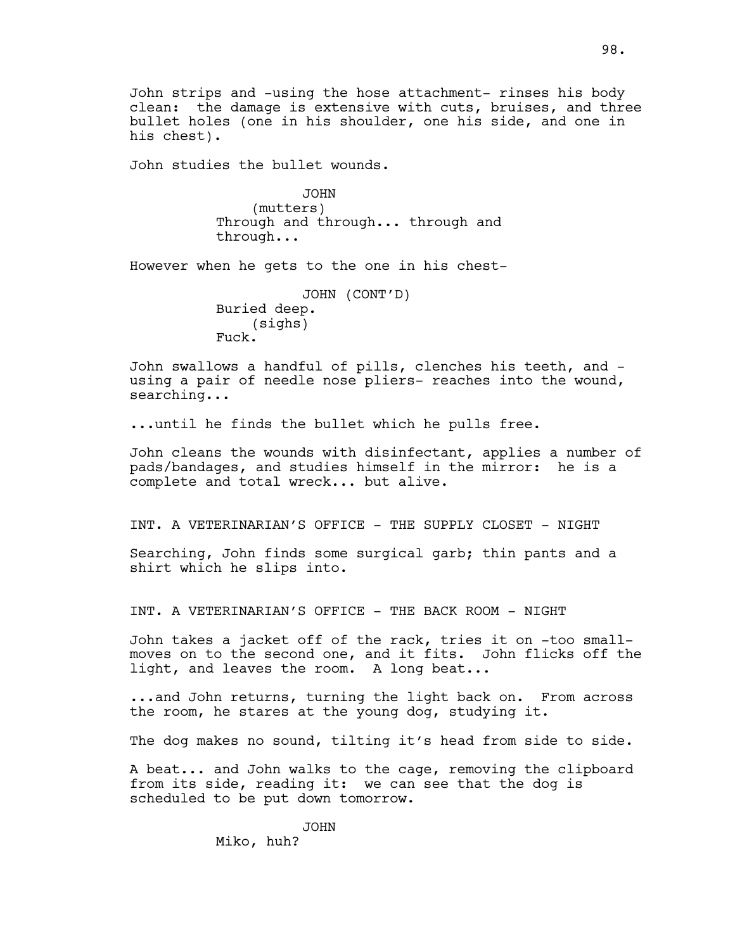John strips and -using the hose attachment- rinses his body clean: the damage is extensive with cuts, bruises, and three bullet holes (one in his shoulder, one his side, and one in his chest).

John studies the bullet wounds.

JOHN (mutters) Through and through... through and through...

However when he gets to the one in his chest-

JOHN (CONT'D) Buried deep. (sighs) Fuck.

John swallows a handful of pills, clenches his teeth, and using a pair of needle nose pliers- reaches into the wound, searching...

...until he finds the bullet which he pulls free.

John cleans the wounds with disinfectant, applies a number of pads/bandages, and studies himself in the mirror: he is a complete and total wreck... but alive.

INT. A VETERINARIAN'S OFFICE - THE SUPPLY CLOSET - NIGHT

Searching, John finds some surgical garb; thin pants and a shirt which he slips into.

INT. A VETERINARIAN'S OFFICE - THE BACK ROOM - NIGHT

John takes a jacket off of the rack, tries it on -too smallmoves on to the second one, and it fits. John flicks off the light, and leaves the room. A long beat...

...and John returns, turning the light back on. From across the room, he stares at the young dog, studying it.

The dog makes no sound, tilting it's head from side to side.

A beat... and John walks to the cage, removing the clipboard from its side, reading it: we can see that the dog is scheduled to be put down tomorrow.

> JOHN Miko, huh?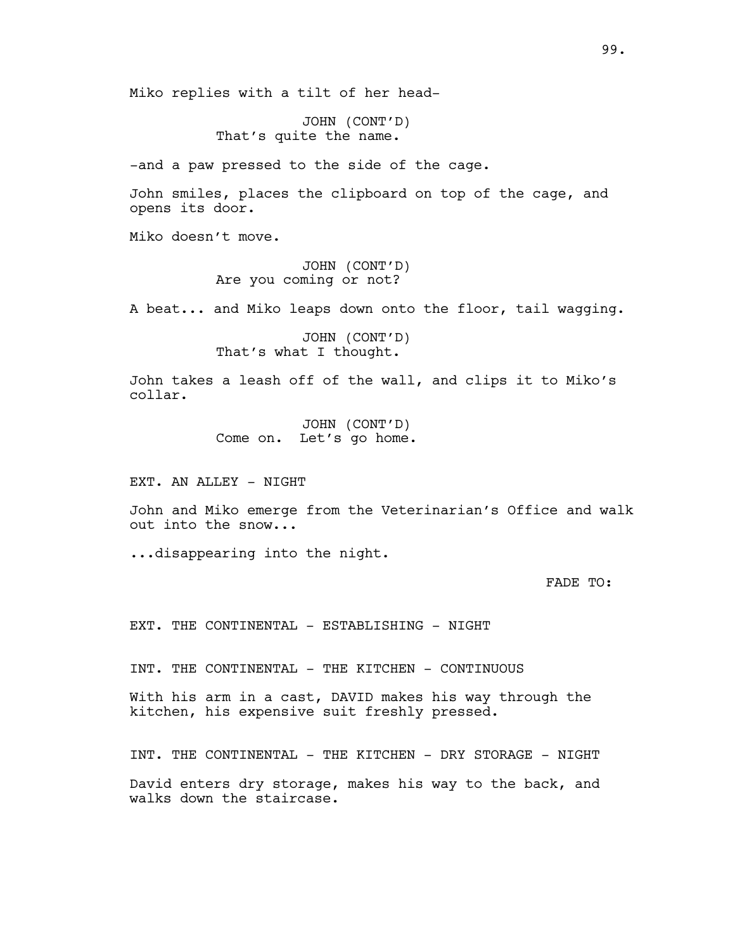Miko replies with a tilt of her head-

JOHN (CONT'D) That's quite the name.

-and a paw pressed to the side of the cage.

John smiles, places the clipboard on top of the cage, and opens its door.

Miko doesn't move.

JOHN (CONT'D) Are you coming or not?

A beat... and Miko leaps down onto the floor, tail wagging.

JOHN (CONT'D) That's what I thought.

John takes a leash off of the wall, and clips it to Miko's collar.

> JOHN (CONT'D) Come on. Let's go home.

EXT. AN ALLEY - NIGHT

John and Miko emerge from the Veterinarian's Office and walk out into the snow...

...disappearing into the night.

FADE TO:

EXT. THE CONTINENTAL - ESTABLISHING - NIGHT

INT. THE CONTINENTAL - THE KITCHEN - CONTINUOUS

With his arm in a cast, DAVID makes his way through the kitchen, his expensive suit freshly pressed.

INT. THE CONTINENTAL - THE KITCHEN - DRY STORAGE - NIGHT David enters dry storage, makes his way to the back, and walks down the staircase.